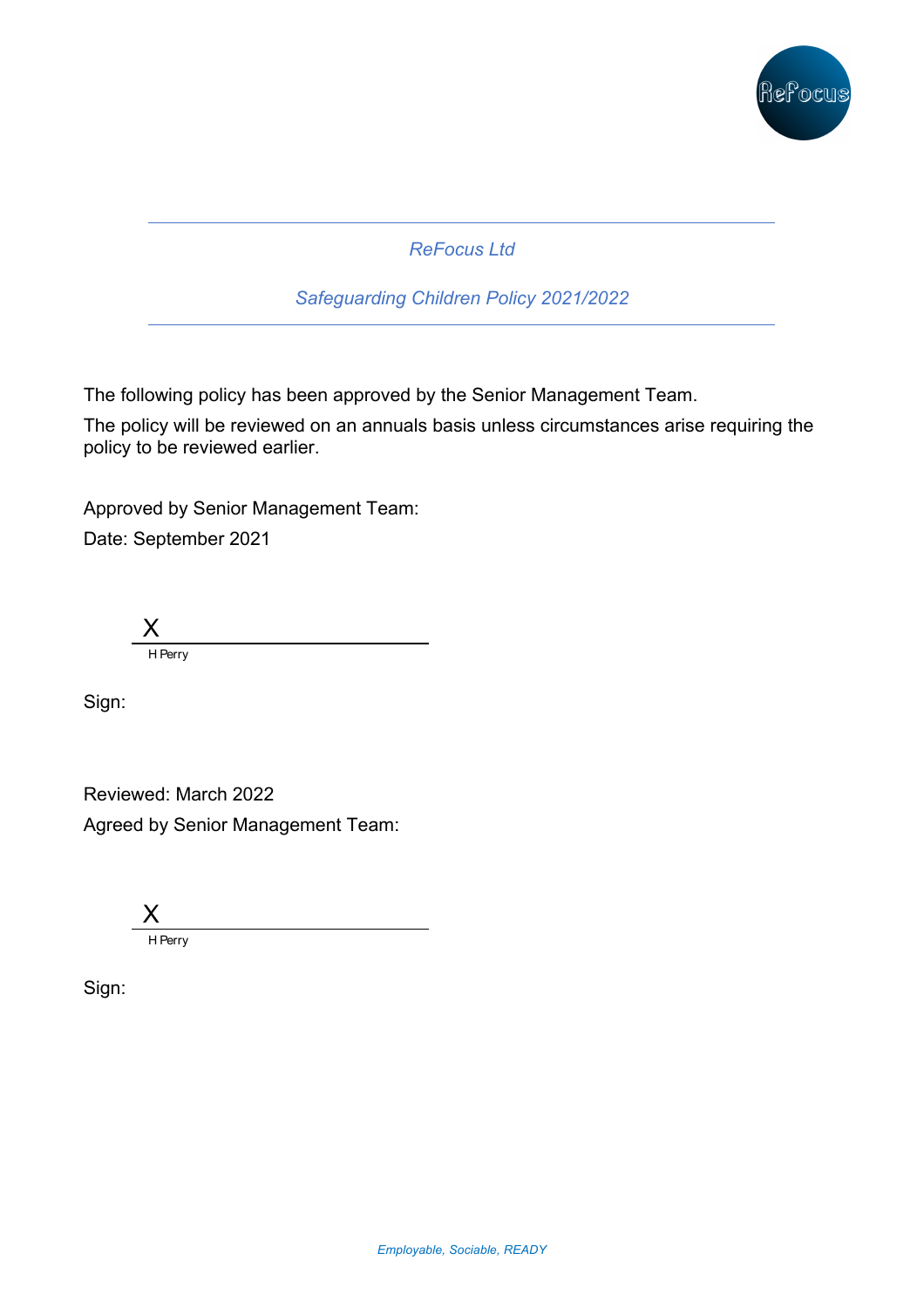

*ReFocus Ltd* 

*Safeguarding Children Policy 2021/2022*

The following policy has been approved by the Senior Management Team.

The policy will be reviewed on an annuals basis unless circumstances arise requiring the policy to be reviewed earlier.

Approved by Senior Management Team: Date: September 2021

X H Perry

Sign:

Reviewed: March 2022 Agreed by Senior Management Team:



Sign: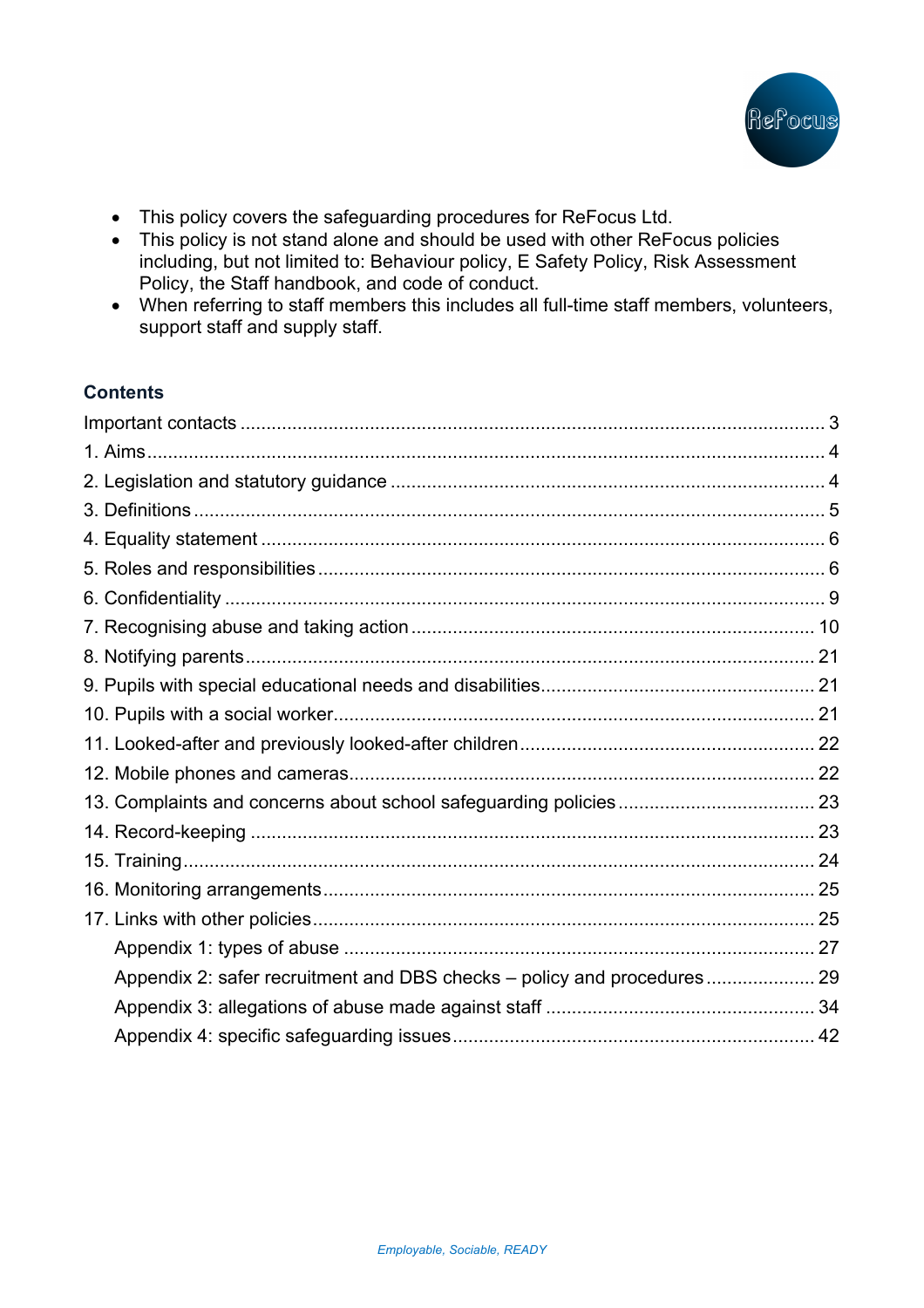

- This policy covers the safeguarding procedures for ReFocus Ltd.
- This policy is not stand alone and should be used with other ReFocus policies including, but not limited to: Behaviour policy, E Safety Policy, Risk Assessment Policy, the Staff handbook, and code of conduct.
- When referring to staff members this includes all full-time staff members, volunteers, support staff and supply staff.

# **Contents**

| Appendix 2: safer recruitment and DBS checks - policy and procedures 29 |  |
|-------------------------------------------------------------------------|--|
|                                                                         |  |
|                                                                         |  |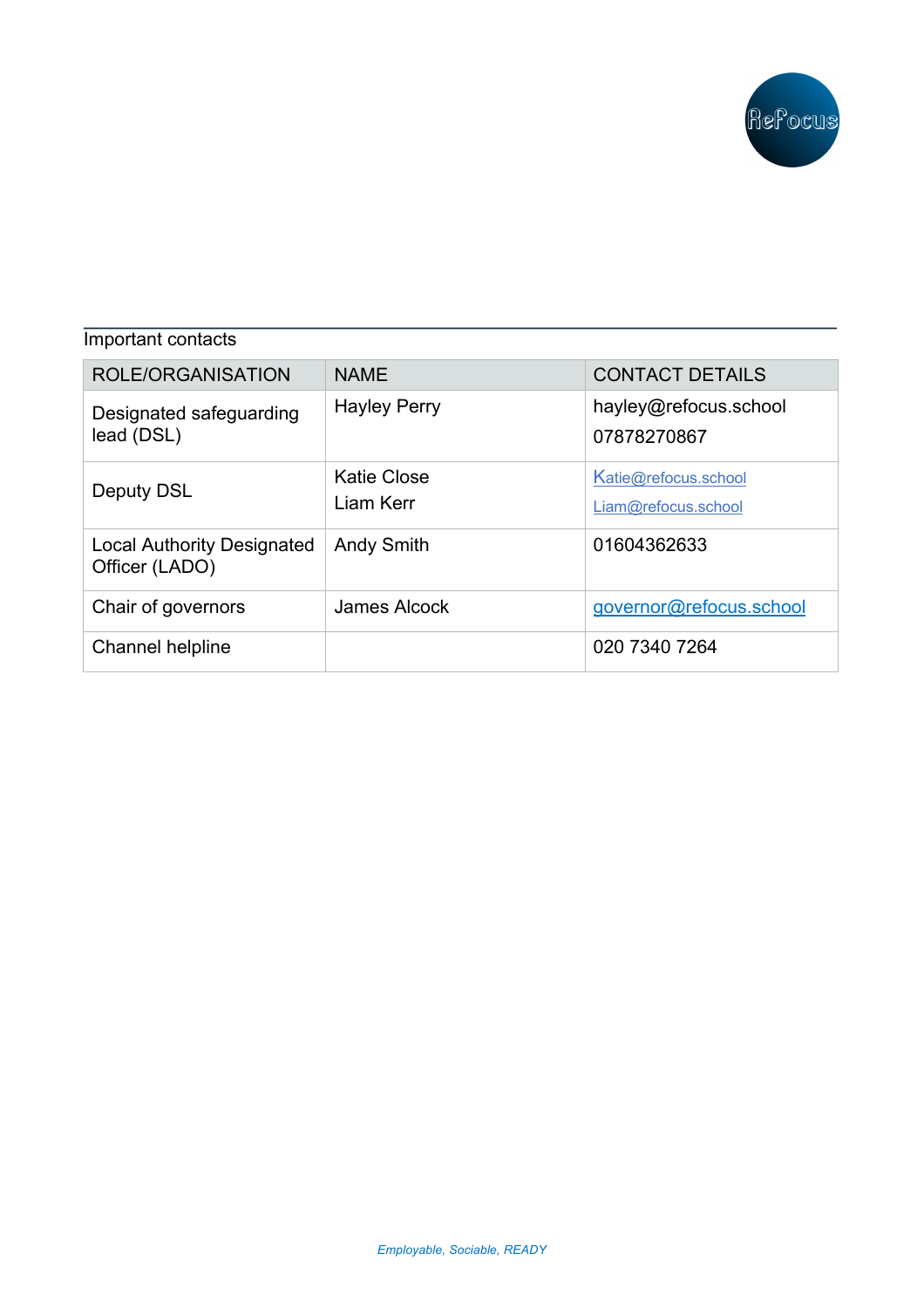

| Important contacts                                  |                                 |                                             |  |
|-----------------------------------------------------|---------------------------------|---------------------------------------------|--|
| ROLE/ORGANISATION                                   | <b>NAME</b>                     | <b>CONTACT DETAILS</b>                      |  |
| Designated safeguarding<br>lead (DSL)               | <b>Hayley Perry</b>             | hayley@refocus.school<br>07878270867        |  |
| Deputy DSL                                          | <b>Katie Close</b><br>Liam Kerr | Katie@refocus.school<br>Liam@refocus.school |  |
| <b>Local Authority Designated</b><br>Officer (LADO) | <b>Andy Smith</b>               | 01604362633                                 |  |
| Chair of governors                                  | <b>James Alcock</b>             | governor@refocus.school                     |  |
| Channel helpline                                    |                                 | 020 7340 7264                               |  |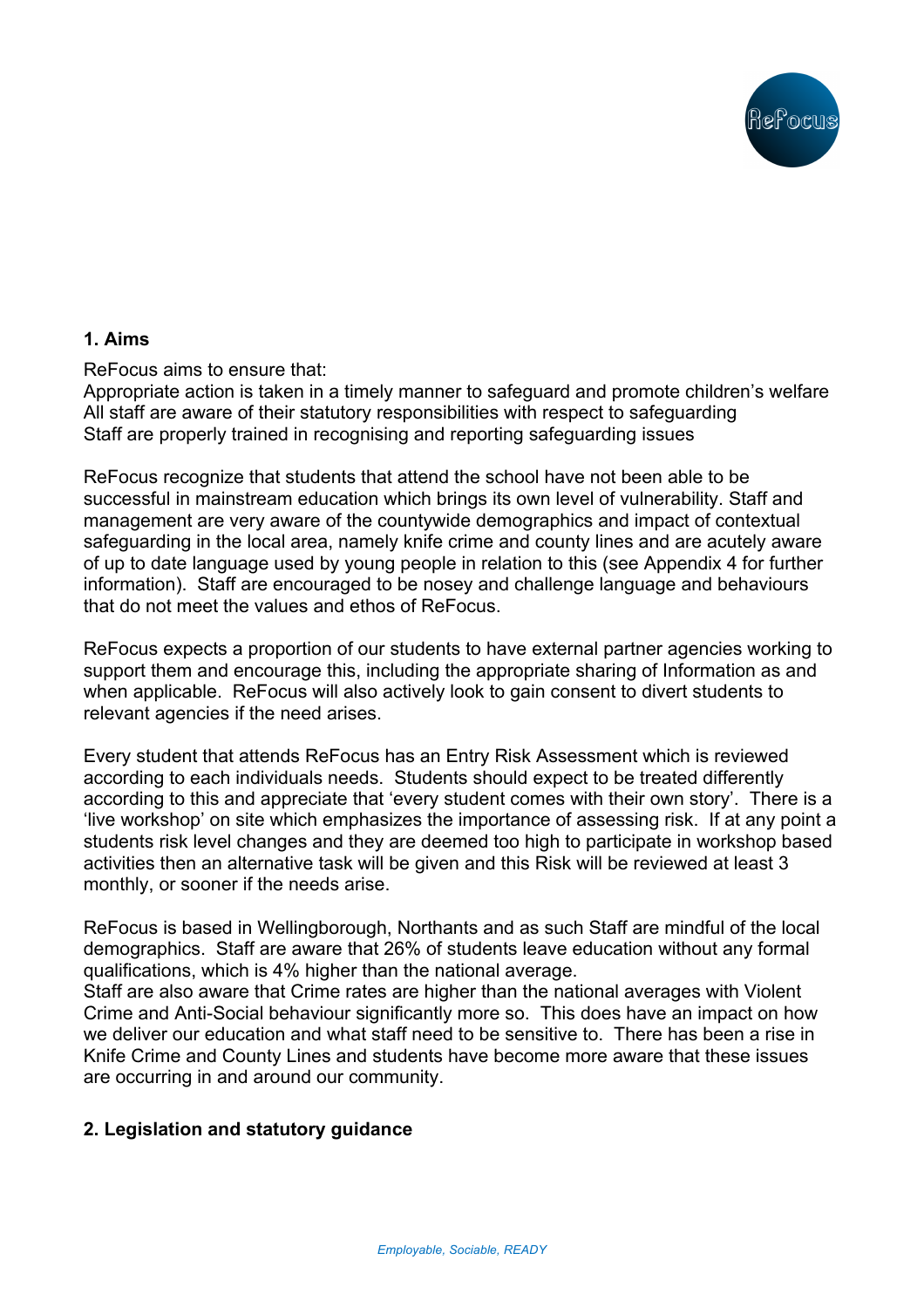

## **1. Aims**

ReFocus aims to ensure that:

Appropriate action is taken in a timely manner to safeguard and promote children's welfare All staff are aware of their statutory responsibilities with respect to safeguarding Staff are properly trained in recognising and reporting safeguarding issues

ReFocus recognize that students that attend the school have not been able to be successful in mainstream education which brings its own level of vulnerability. Staff and management are very aware of the countywide demographics and impact of contextual safeguarding in the local area, namely knife crime and county lines and are acutely aware of up to date language used by young people in relation to this (see Appendix 4 for further information). Staff are encouraged to be nosey and challenge language and behaviours that do not meet the values and ethos of ReFocus.

ReFocus expects a proportion of our students to have external partner agencies working to support them and encourage this, including the appropriate sharing of Information as and when applicable. ReFocus will also actively look to gain consent to divert students to relevant agencies if the need arises.

Every student that attends ReFocus has an Entry Risk Assessment which is reviewed according to each individuals needs. Students should expect to be treated differently according to this and appreciate that 'every student comes with their own story'. There is a 'live workshop' on site which emphasizes the importance of assessing risk. If at any point a students risk level changes and they are deemed too high to participate in workshop based activities then an alternative task will be given and this Risk will be reviewed at least 3 monthly, or sooner if the needs arise.

ReFocus is based in Wellingborough, Northants and as such Staff are mindful of the local demographics. Staff are aware that 26% of students leave education without any formal qualifications, which is 4% higher than the national average.

Staff are also aware that Crime rates are higher than the national averages with Violent Crime and Anti-Social behaviour significantly more so. This does have an impact on how we deliver our education and what staff need to be sensitive to. There has been a rise in Knife Crime and County Lines and students have become more aware that these issues are occurring in and around our community.

## **2. Legislation and statutory guidance**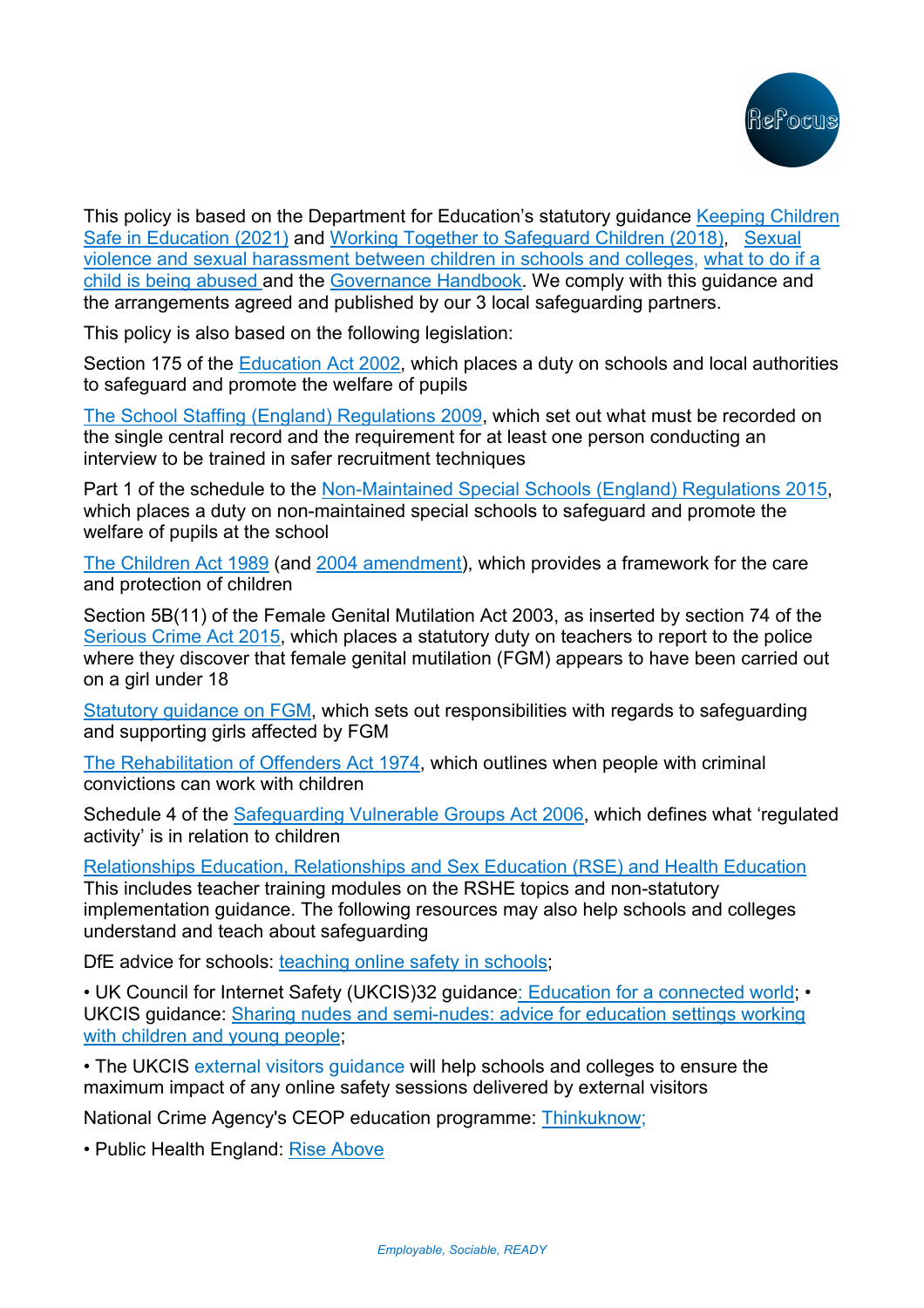

This policy is based on the Department for Education's statutory guidance Keeping Children Safe in Education (2021) and Working Together to Safeguard Children (2018), Sexual violence and sexual harassment between children in schools and colleges, what to do if a child is being abused and the Governance Handbook. We comply with this guidance and the arrangements agreed and published by our 3 local safeguarding partners.

This policy is also based on the following legislation:

Section 175 of the Education Act 2002, which places a duty on schools and local authorities to safeguard and promote the welfare of pupils

The School Staffing (England) Regulations 2009, which set out what must be recorded on the single central record and the requirement for at least one person conducting an interview to be trained in safer recruitment techniques

Part 1 of the schedule to the Non-Maintained Special Schools (England) Regulations 2015, which places a duty on non-maintained special schools to safeguard and promote the welfare of pupils at the school

The Children Act 1989 (and 2004 amendment), which provides a framework for the care and protection of children

Section 5B(11) of the Female Genital Mutilation Act 2003, as inserted by section 74 of the Serious Crime Act 2015, which places a statutory duty on teachers to report to the police where they discover that female genital mutilation (FGM) appears to have been carried out on a girl under 18

Statutory guidance on FGM, which sets out responsibilities with regards to safeguarding and supporting girls affected by FGM

The Rehabilitation of Offenders Act 1974, which outlines when people with criminal convictions can work with children

Schedule 4 of the Safeguarding Vulnerable Groups Act 2006, which defines what 'regulated activity' is in relation to children

Relationships Education, Relationships and Sex Education (RSE) and Health Education

This includes teacher training modules on the RSHE topics and non-statutory implementation guidance. The following resources may also help schools and colleges understand and teach about safeguarding

DfE advice for schools: teaching online safety in schools;

• UK Council for Internet Safety (UKCIS)32 guidance: Education for a connected world: • UKCIS guidance: Sharing nudes and semi-nudes: advice for education settings working with children and young people;

• The UKCIS external visitors guidance will help schools and colleges to ensure the maximum impact of any online safety sessions delivered by external visitors

National Crime Agency's CEOP education programme: Thinkuknow;

• Public Health England: Rise Above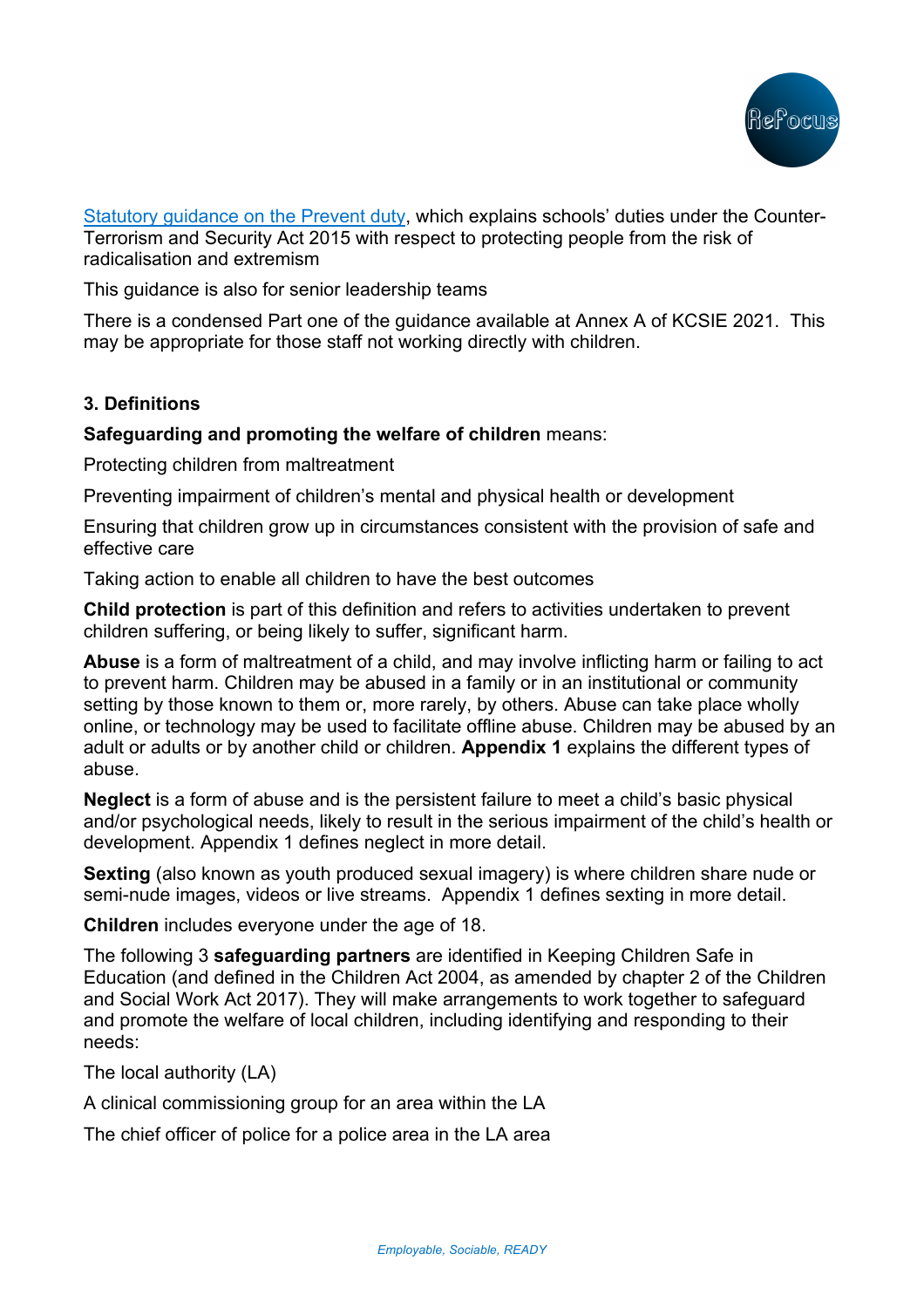

Statutory guidance on the Prevent duty, which explains schools' duties under the Counter-Terrorism and Security Act 2015 with respect to protecting people from the risk of radicalisation and extremism

This guidance is also for senior leadership teams

There is a condensed Part one of the guidance available at Annex A of KCSIE 2021. This may be appropriate for those staff not working directly with children.

## **3. Definitions**

### **Safeguarding and promoting the welfare of children** means:

Protecting children from maltreatment

Preventing impairment of children's mental and physical health or development

Ensuring that children grow up in circumstances consistent with the provision of safe and effective care

Taking action to enable all children to have the best outcomes

**Child protection** is part of this definition and refers to activities undertaken to prevent children suffering, or being likely to suffer, significant harm.

**Abuse** is a form of maltreatment of a child, and may involve inflicting harm or failing to act to prevent harm. Children may be abused in a family or in an institutional or community setting by those known to them or, more rarely, by others. Abuse can take place wholly online, or technology may be used to facilitate offline abuse. Children may be abused by an adult or adults or by another child or children. **Appendix 1** explains the different types of abuse.

**Neglect** is a form of abuse and is the persistent failure to meet a child's basic physical and/or psychological needs, likely to result in the serious impairment of the child's health or development. Appendix 1 defines neglect in more detail.

**Sexting** (also known as youth produced sexual imagery) is where children share nude or semi-nude images, videos or live streams. Appendix 1 defines sexting in more detail.

**Children** includes everyone under the age of 18.

The following 3 **safeguarding partners** are identified in Keeping Children Safe in Education (and defined in the Children Act 2004, as amended by chapter 2 of the Children and Social Work Act 2017). They will make arrangements to work together to safeguard and promote the welfare of local children, including identifying and responding to their needs:

The local authority (LA)

A clinical commissioning group for an area within the LA

The chief officer of police for a police area in the LA area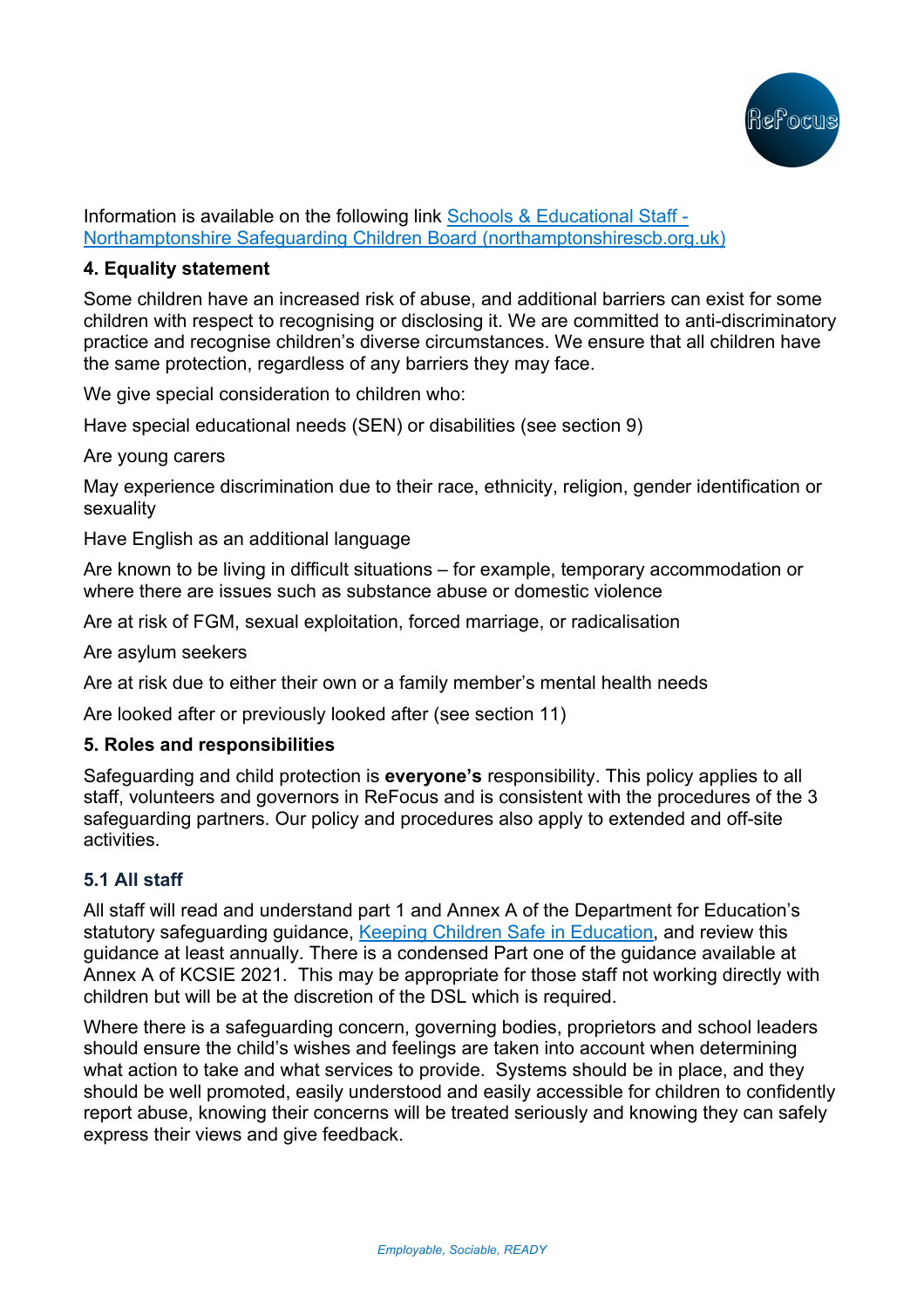

Information is available on the following link Schools & Educational Staff - Northamptonshire Safeguarding Children Board (northamptonshirescb.org.uk)

## **4. Equality statement**

Some children have an increased risk of abuse, and additional barriers can exist for some children with respect to recognising or disclosing it. We are committed to anti-discriminatory practice and recognise children's diverse circumstances. We ensure that all children have the same protection, regardless of any barriers they may face.

We give special consideration to children who:

Have special educational needs (SEN) or disabilities (see section 9)

Are young carers

May experience discrimination due to their race, ethnicity, religion, gender identification or sexuality

Have English as an additional language

Are known to be living in difficult situations – for example, temporary accommodation or where there are issues such as substance abuse or domestic violence

Are at risk of FGM, sexual exploitation, forced marriage, or radicalisation

Are asylum seekers

Are at risk due to either their own or a family member's mental health needs

Are looked after or previously looked after (see section 11)

## **5. Roles and responsibilities**

Safeguarding and child protection is **everyone's** responsibility. This policy applies to all staff, volunteers and governors in ReFocus and is consistent with the procedures of the 3 safeguarding partners. Our policy and procedures also apply to extended and off-site activities.

## **5.1 All staff**

All staff will read and understand part 1 and Annex A of the Department for Education's statutory safeguarding guidance, Keeping Children Safe in Education, and review this guidance at least annually. There is a condensed Part one of the guidance available at Annex A of KCSIE 2021. This may be appropriate for those staff not working directly with children but will be at the discretion of the DSL which is required.

Where there is a safeguarding concern, governing bodies, proprietors and school leaders should ensure the child's wishes and feelings are taken into account when determining what action to take and what services to provide. Systems should be in place, and they should be well promoted, easily understood and easily accessible for children to confidently report abuse, knowing their concerns will be treated seriously and knowing they can safely express their views and give feedback.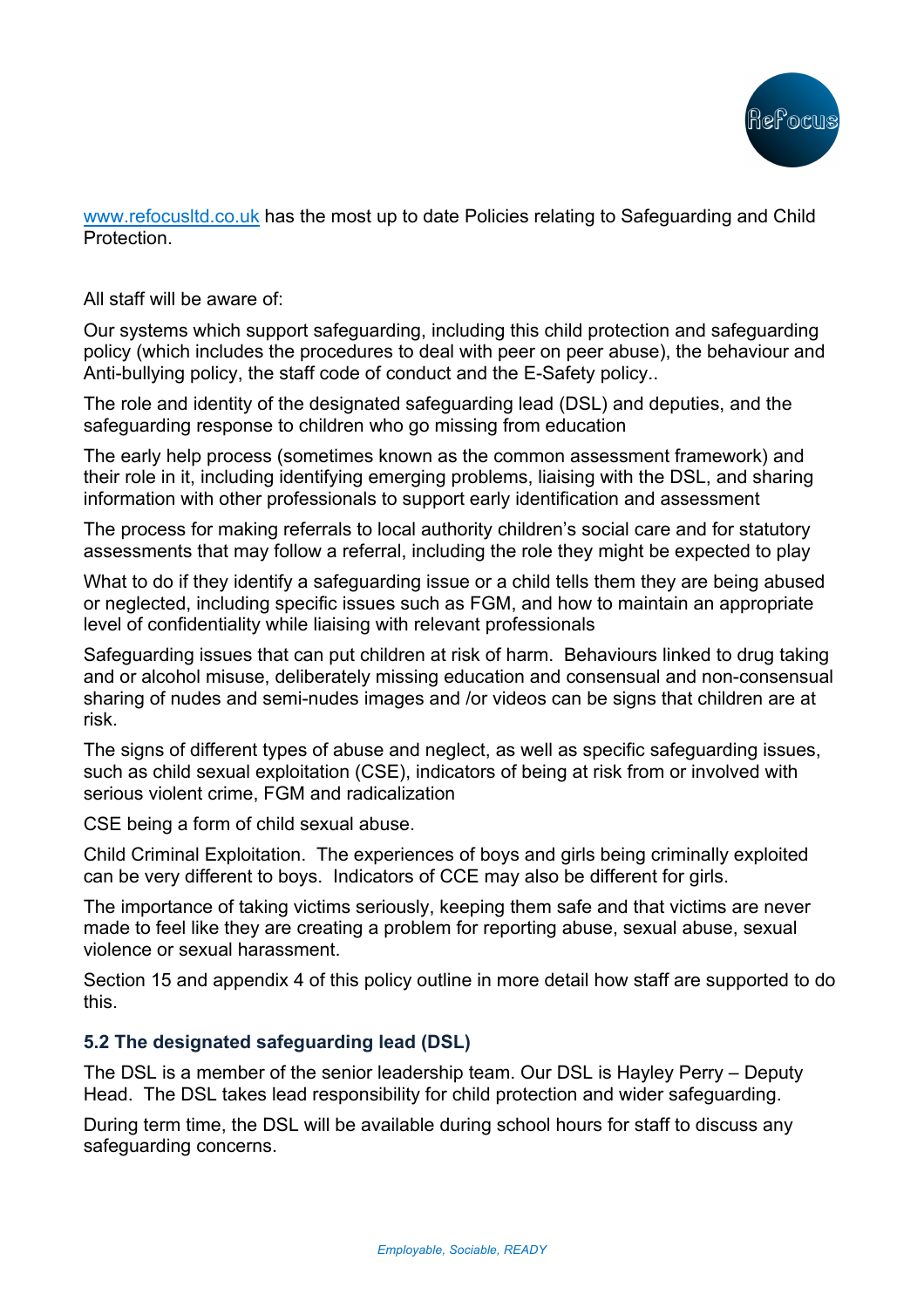

www.refocusltd.co.uk has the most up to date Policies relating to Safeguarding and Child **Protection** 

All staff will be aware of:

Our systems which support safeguarding, including this child protection and safeguarding policy (which includes the procedures to deal with peer on peer abuse), the behaviour and Anti-bullying policy, the staff code of conduct and the E-Safety policy..

The role and identity of the designated safeguarding lead (DSL) and deputies, and the safeguarding response to children who go missing from education

The early help process (sometimes known as the common assessment framework) and their role in it, including identifying emerging problems, liaising with the DSL, and sharing information with other professionals to support early identification and assessment

The process for making referrals to local authority children's social care and for statutory assessments that may follow a referral, including the role they might be expected to play

What to do if they identify a safeguarding issue or a child tells them they are being abused or neglected, including specific issues such as FGM, and how to maintain an appropriate level of confidentiality while liaising with relevant professionals

Safeguarding issues that can put children at risk of harm. Behaviours linked to drug taking and or alcohol misuse, deliberately missing education and consensual and non-consensual sharing of nudes and semi-nudes images and /or videos can be signs that children are at risk.

The signs of different types of abuse and neglect, as well as specific safeguarding issues, such as child sexual exploitation (CSE), indicators of being at risk from or involved with serious violent crime, FGM and radicalization

CSE being a form of child sexual abuse.

Child Criminal Exploitation. The experiences of boys and girls being criminally exploited can be very different to boys. Indicators of CCE may also be different for girls.

The importance of taking victims seriously, keeping them safe and that victims are never made to feel like they are creating a problem for reporting abuse, sexual abuse, sexual violence or sexual harassment.

Section 15 and appendix 4 of this policy outline in more detail how staff are supported to do this.

## **5.2 The designated safeguarding lead (DSL)**

The DSL is a member of the senior leadership team. Our DSL is Hayley Perry – Deputy Head. The DSL takes lead responsibility for child protection and wider safeguarding.

During term time, the DSL will be available during school hours for staff to discuss any safeguarding concerns.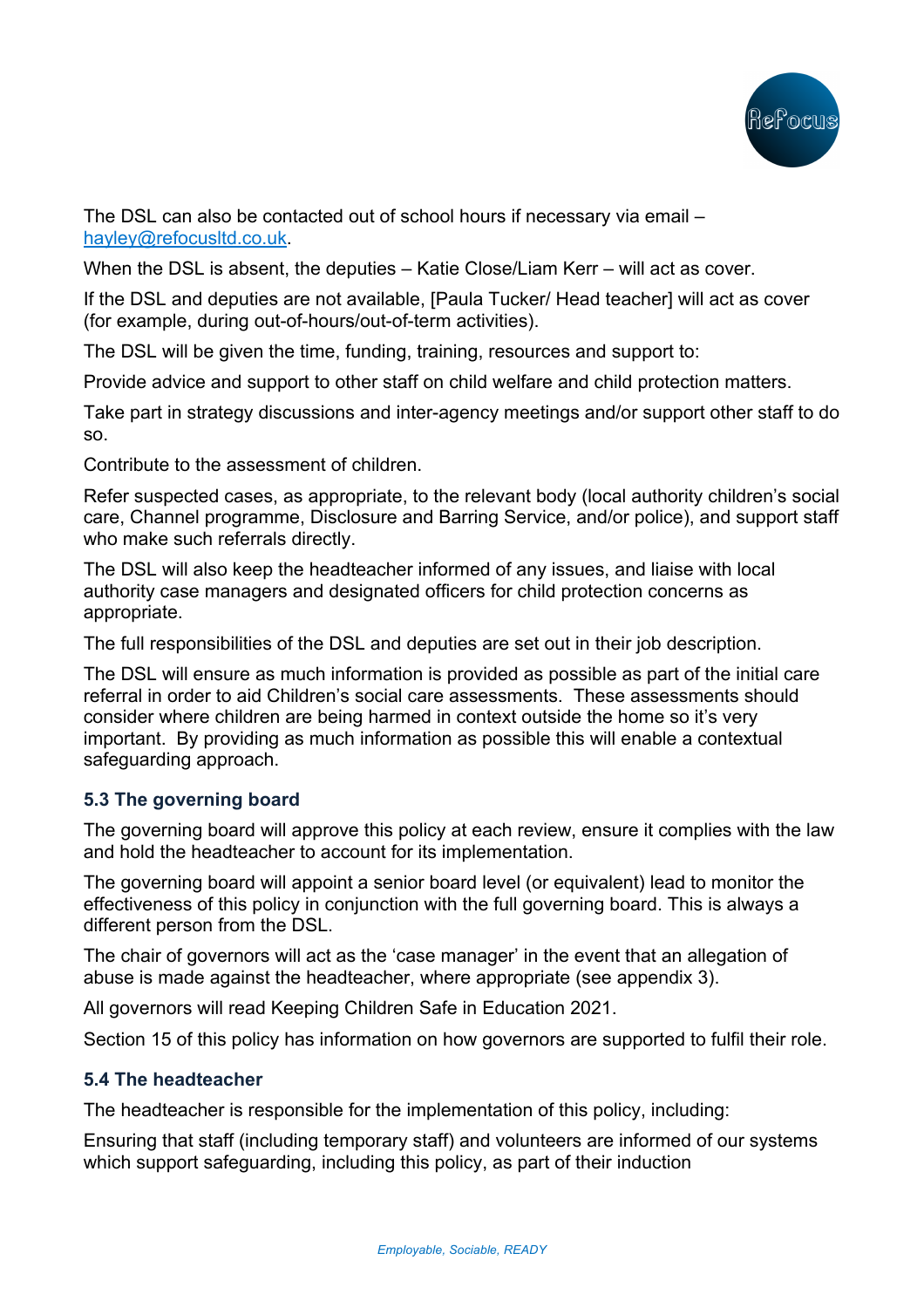

The DSL can also be contacted out of school hours if necessary via email – hayley@refocusltd.co.uk.

When the DSL is absent, the deputies – Katie Close/Liam Kerr – will act as cover.

If the DSL and deputies are not available, [Paula Tucker/ Head teacher] will act as cover (for example, during out-of-hours/out-of-term activities).

The DSL will be given the time, funding, training, resources and support to:

Provide advice and support to other staff on child welfare and child protection matters.

Take part in strategy discussions and inter-agency meetings and/or support other staff to do so.

Contribute to the assessment of children.

Refer suspected cases, as appropriate, to the relevant body (local authority children's social care, Channel programme, Disclosure and Barring Service, and/or police), and support staff who make such referrals directly.

The DSL will also keep the headteacher informed of any issues, and liaise with local authority case managers and designated officers for child protection concerns as appropriate.

The full responsibilities of the DSL and deputies are set out in their job description.

The DSL will ensure as much information is provided as possible as part of the initial care referral in order to aid Children's social care assessments. These assessments should consider where children are being harmed in context outside the home so it's very important. By providing as much information as possible this will enable a contextual safeguarding approach.

## **5.3 The governing board**

The governing board will approve this policy at each review, ensure it complies with the law and hold the headteacher to account for its implementation.

The governing board will appoint a senior board level (or equivalent) lead to monitor the effectiveness of this policy in conjunction with the full governing board. This is always a different person from the DSL.

The chair of governors will act as the 'case manager' in the event that an allegation of abuse is made against the headteacher, where appropriate (see appendix 3).

All governors will read Keeping Children Safe in Education 2021.

Section 15 of this policy has information on how governors are supported to fulfil their role.

## **5.4 The headteacher**

The headteacher is responsible for the implementation of this policy, including:

Ensuring that staff (including temporary staff) and volunteers are informed of our systems which support safeguarding, including this policy, as part of their induction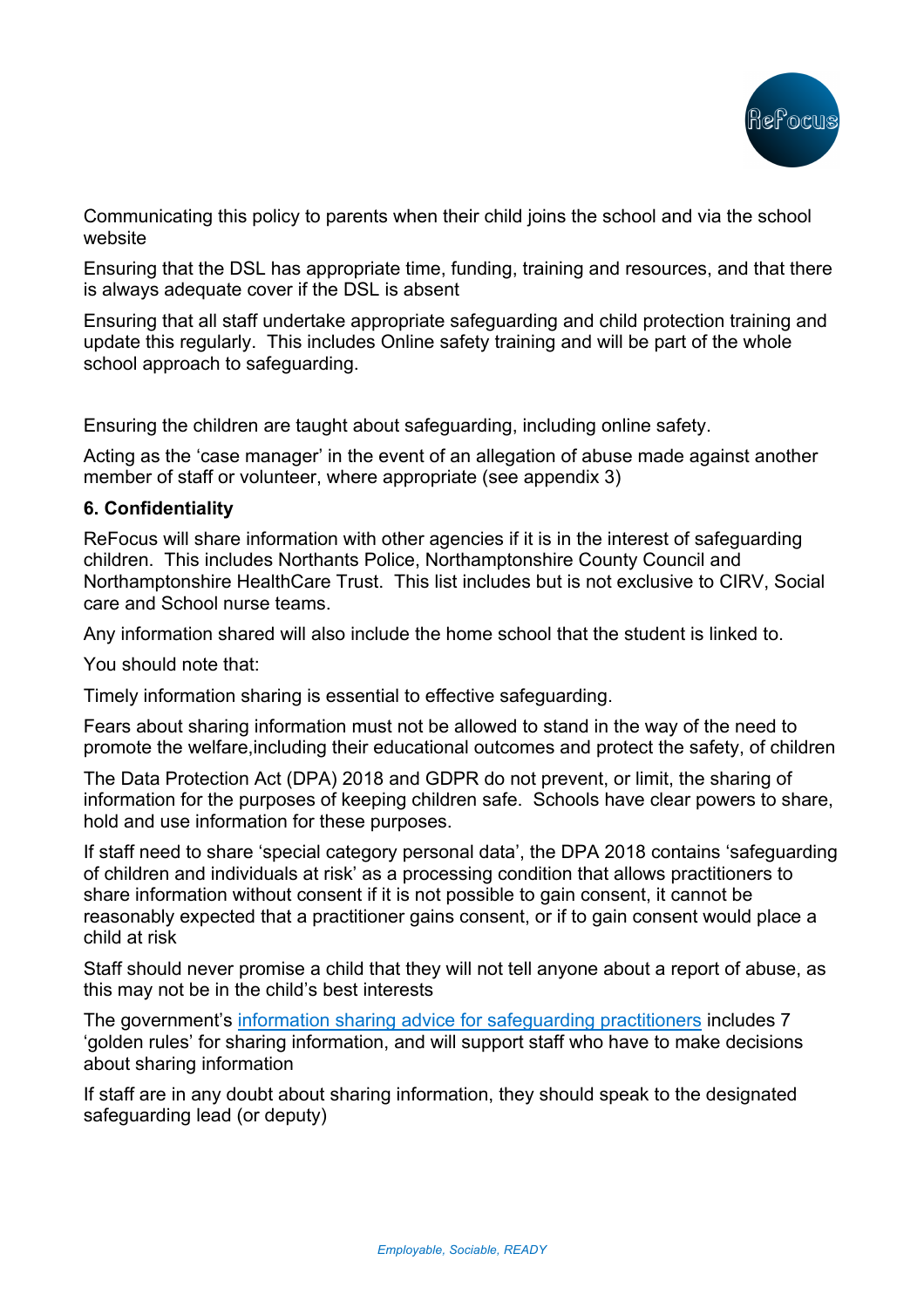

Communicating this policy to parents when their child joins the school and via the school website

Ensuring that the DSL has appropriate time, funding, training and resources, and that there is always adequate cover if the DSL is absent

Ensuring that all staff undertake appropriate safeguarding and child protection training and update this regularly. This includes Online safety training and will be part of the whole school approach to safeguarding.

Ensuring the children are taught about safeguarding, including online safety.

Acting as the 'case manager' in the event of an allegation of abuse made against another member of staff or volunteer, where appropriate (see appendix 3)

### **6. Confidentiality**

ReFocus will share information with other agencies if it is in the interest of safeguarding children. This includes Northants Police, Northamptonshire County Council and Northamptonshire HealthCare Trust. This list includes but is not exclusive to CIRV, Social care and School nurse teams.

Any information shared will also include the home school that the student is linked to.

You should note that:

Timely information sharing is essential to effective safeguarding.

Fears about sharing information must not be allowed to stand in the way of the need to promote the welfare,including their educational outcomes and protect the safety, of children

The Data Protection Act (DPA) 2018 and GDPR do not prevent, or limit, the sharing of information for the purposes of keeping children safe. Schools have clear powers to share, hold and use information for these purposes.

If staff need to share 'special category personal data', the DPA 2018 contains 'safeguarding of children and individuals at risk' as a processing condition that allows practitioners to share information without consent if it is not possible to gain consent, it cannot be reasonably expected that a practitioner gains consent, or if to gain consent would place a child at risk

Staff should never promise a child that they will not tell anyone about a report of abuse, as this may not be in the child's best interests

The government's information sharing advice for safeguarding practitioners includes 7 'golden rules' for sharing information, and will support staff who have to make decisions about sharing information

If staff are in any doubt about sharing information, they should speak to the designated safeguarding lead (or deputy)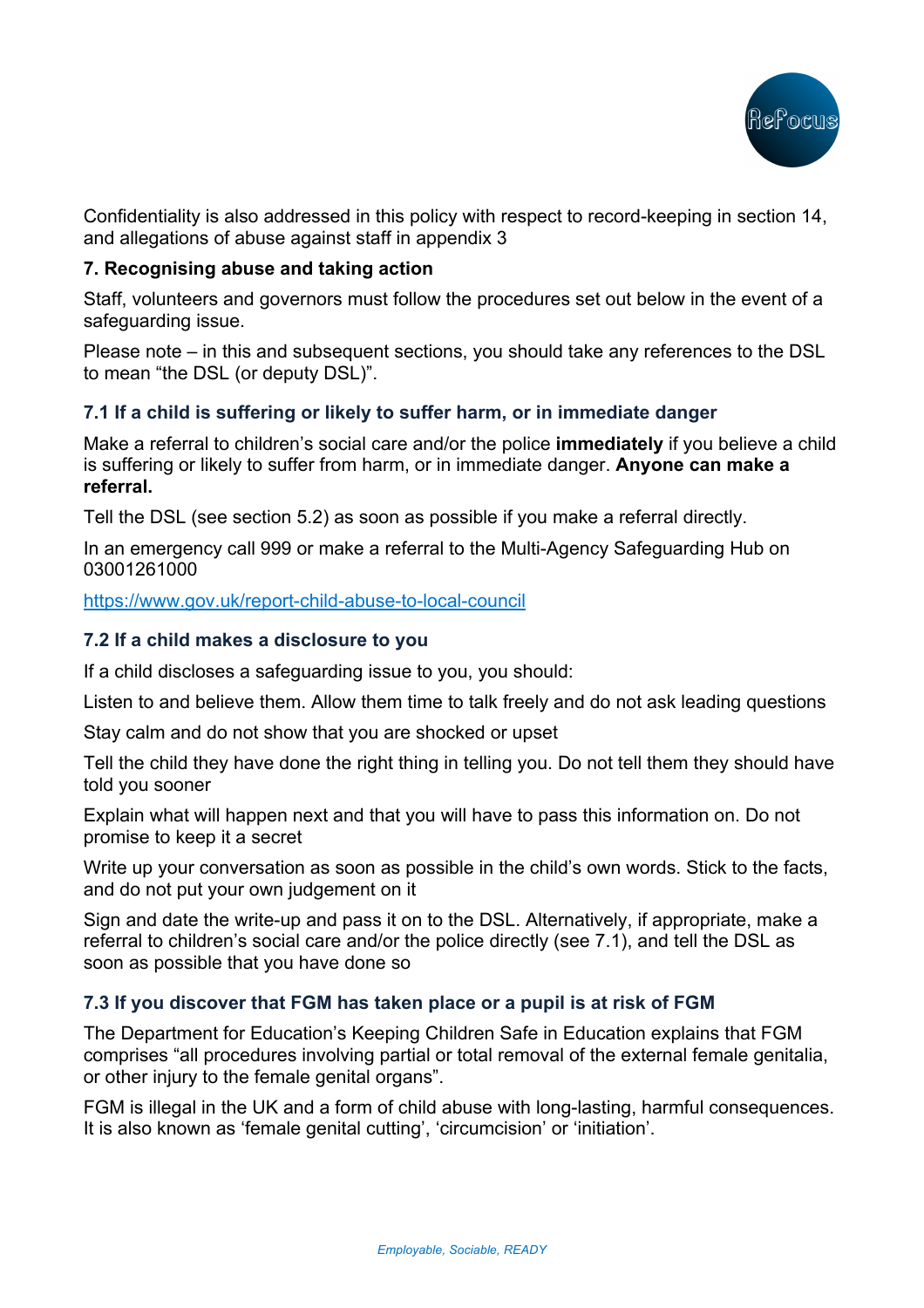

Confidentiality is also addressed in this policy with respect to record-keeping in section 14, and allegations of abuse against staff in appendix 3

## **7. Recognising abuse and taking action**

Staff, volunteers and governors must follow the procedures set out below in the event of a safeguarding issue.

Please note – in this and subsequent sections, you should take any references to the DSL to mean "the DSL (or deputy DSL)".

## **7.1 If a child is suffering or likely to suffer harm, or in immediate danger**

Make a referral to children's social care and/or the police **immediately** if you believe a child is suffering or likely to suffer from harm, or in immediate danger. **Anyone can make a referral.**

Tell the DSL (see section 5.2) as soon as possible if you make a referral directly.

In an emergency call 999 or make a referral to the Multi-Agency Safeguarding Hub on 03001261000

https://www.gov.uk/report-child-abuse-to-local-council

## **7.2 If a child makes a disclosure to you**

If a child discloses a safeguarding issue to you, you should:

Listen to and believe them. Allow them time to talk freely and do not ask leading questions

Stay calm and do not show that you are shocked or upset

Tell the child they have done the right thing in telling you. Do not tell them they should have told you sooner

Explain what will happen next and that you will have to pass this information on. Do not promise to keep it a secret

Write up your conversation as soon as possible in the child's own words. Stick to the facts, and do not put your own judgement on it

Sign and date the write-up and pass it on to the DSL. Alternatively, if appropriate, make a referral to children's social care and/or the police directly (see 7.1), and tell the DSL as soon as possible that you have done so

## **7.3 If you discover that FGM has taken place or a pupil is at risk of FGM**

The Department for Education's Keeping Children Safe in Education explains that FGM comprises "all procedures involving partial or total removal of the external female genitalia, or other injury to the female genital organs".

FGM is illegal in the UK and a form of child abuse with long-lasting, harmful consequences. It is also known as 'female genital cutting', 'circumcision' or 'initiation'.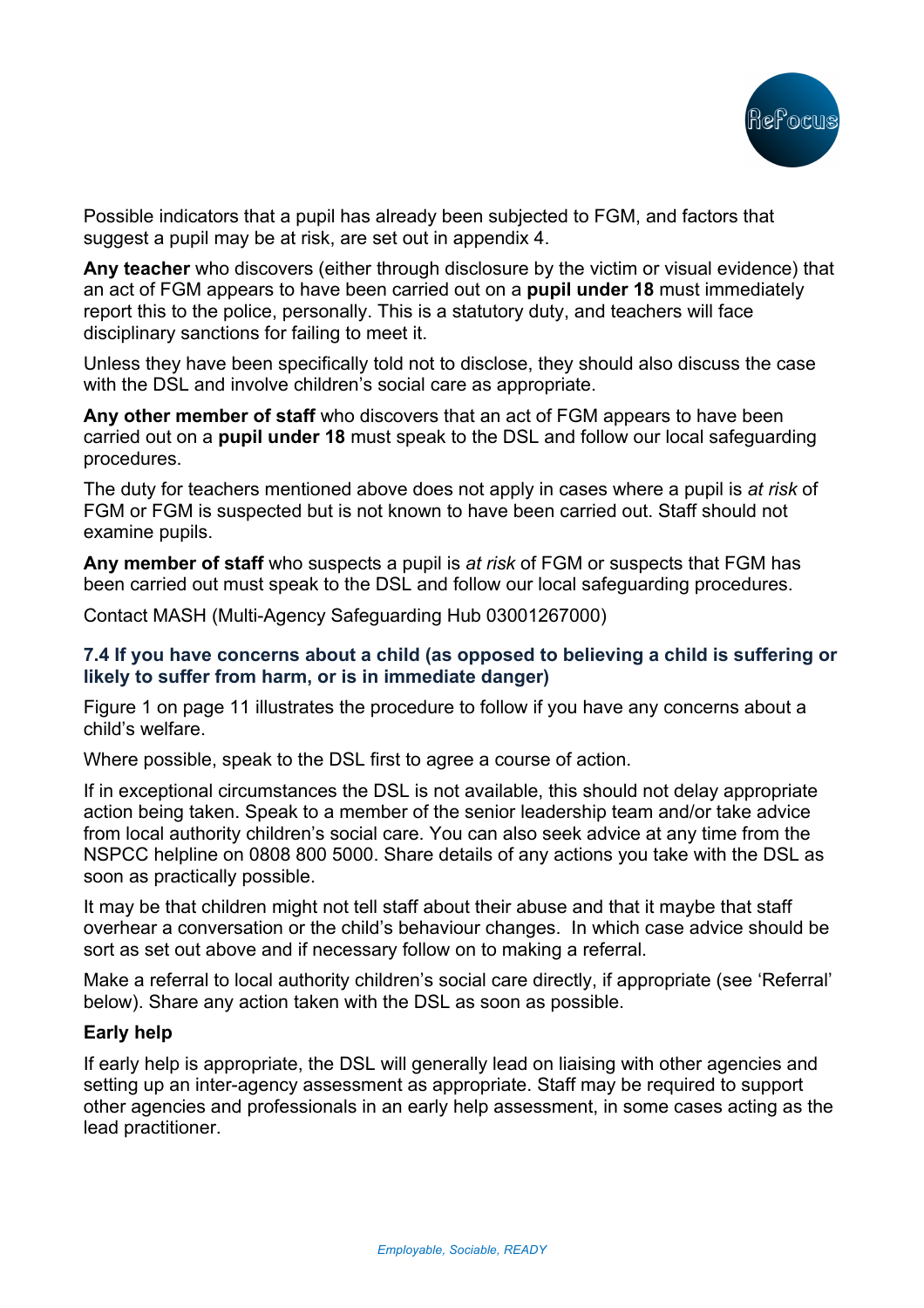

Possible indicators that a pupil has already been subjected to FGM, and factors that suggest a pupil may be at risk, are set out in appendix 4.

**Any teacher** who discovers (either through disclosure by the victim or visual evidence) that an act of FGM appears to have been carried out on a **pupil under 18** must immediately report this to the police, personally. This is a statutory duty, and teachers will face disciplinary sanctions for failing to meet it.

Unless they have been specifically told not to disclose, they should also discuss the case with the DSL and involve children's social care as appropriate.

**Any other member of staff** who discovers that an act of FGM appears to have been carried out on a **pupil under 18** must speak to the DSL and follow our local safeguarding procedures.

The duty for teachers mentioned above does not apply in cases where a pupil is *at risk* of FGM or FGM is suspected but is not known to have been carried out. Staff should not examine pupils.

**Any member of staff** who suspects a pupil is *at risk* of FGM or suspects that FGM has been carried out must speak to the DSL and follow our local safeguarding procedures.

Contact MASH (Multi-Agency Safeguarding Hub 03001267000)

## **7.4 If you have concerns about a child (as opposed to believing a child is suffering or likely to suffer from harm, or is in immediate danger)**

Figure 1 on page 11 illustrates the procedure to follow if you have any concerns about a child's welfare.

Where possible, speak to the DSL first to agree a course of action.

If in exceptional circumstances the DSL is not available, this should not delay appropriate action being taken. Speak to a member of the senior leadership team and/or take advice from local authority children's social care. You can also seek advice at any time from the NSPCC helpline on 0808 800 5000. Share details of any actions you take with the DSL as soon as practically possible.

It may be that children might not tell staff about their abuse and that it maybe that staff overhear a conversation or the child's behaviour changes. In which case advice should be sort as set out above and if necessary follow on to making a referral.

Make a referral to local authority children's social care directly, if appropriate (see 'Referral' below). Share any action taken with the DSL as soon as possible.

### **Early help**

If early help is appropriate, the DSL will generally lead on liaising with other agencies and setting up an inter-agency assessment as appropriate. Staff may be required to support other agencies and professionals in an early help assessment, in some cases acting as the lead practitioner.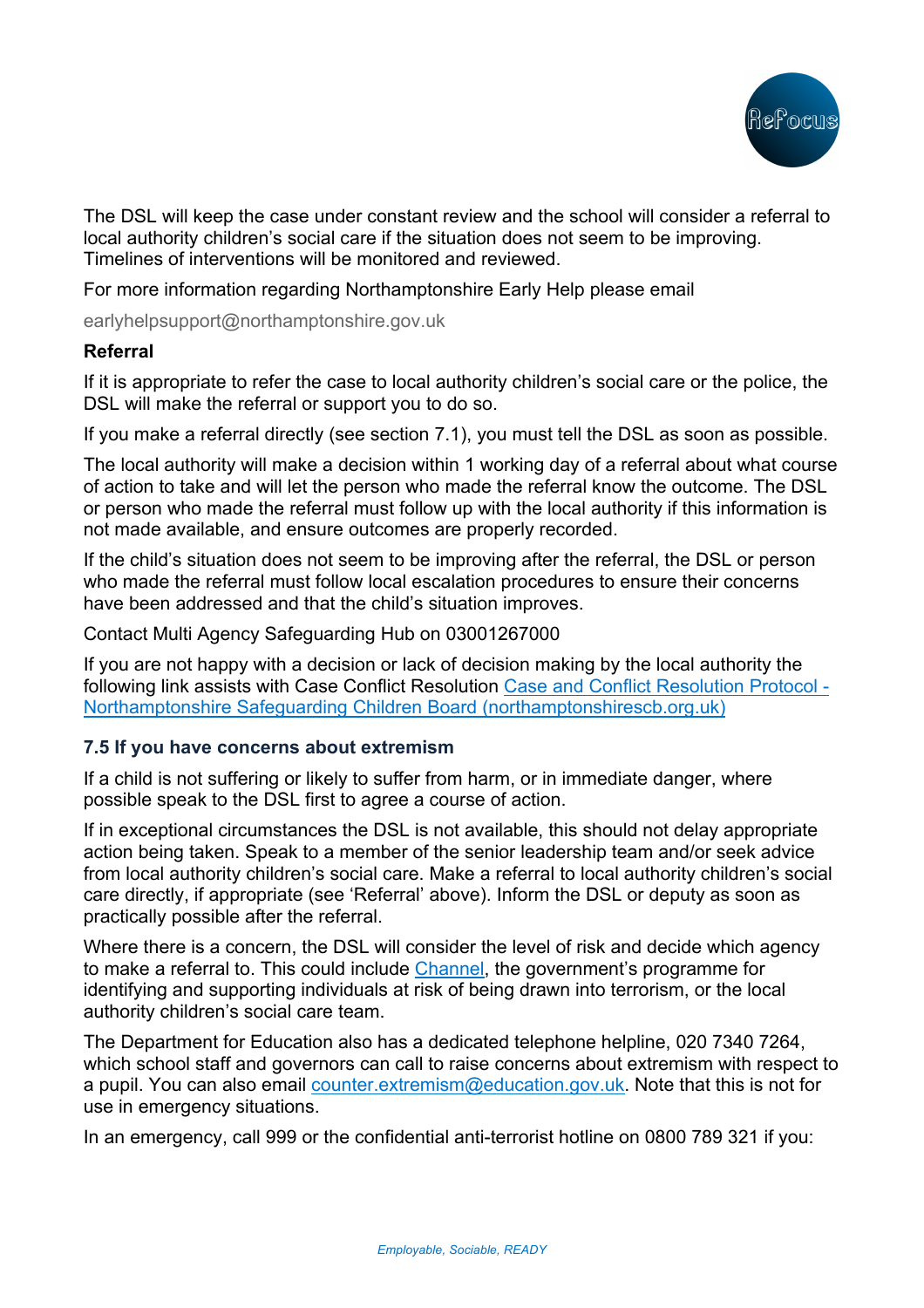

The DSL will keep the case under constant review and the school will consider a referral to local authority children's social care if the situation does not seem to be improving. Timelines of interventions will be monitored and reviewed.

For more information regarding Northamptonshire Early Help please email

earlyhelpsupport@northamptonshire.gov.uk

### **Referral**

If it is appropriate to refer the case to local authority children's social care or the police, the DSL will make the referral or support you to do so.

If you make a referral directly (see section 7.1), you must tell the DSL as soon as possible.

The local authority will make a decision within 1 working day of a referral about what course of action to take and will let the person who made the referral know the outcome. The DSL or person who made the referral must follow up with the local authority if this information is not made available, and ensure outcomes are properly recorded.

If the child's situation does not seem to be improving after the referral, the DSL or person who made the referral must follow local escalation procedures to ensure their concerns have been addressed and that the child's situation improves.

Contact Multi Agency Safeguarding Hub on 03001267000

If you are not happy with a decision or lack of decision making by the local authority the following link assists with Case Conflict Resolution Case and Conflict Resolution Protocol - Northamptonshire Safeguarding Children Board (northamptonshirescb.org.uk)

### **7.5 If you have concerns about extremism**

If a child is not suffering or likely to suffer from harm, or in immediate danger, where possible speak to the DSL first to agree a course of action.

If in exceptional circumstances the DSL is not available, this should not delay appropriate action being taken. Speak to a member of the senior leadership team and/or seek advice from local authority children's social care. Make a referral to local authority children's social care directly, if appropriate (see 'Referral' above). Inform the DSL or deputy as soon as practically possible after the referral.

Where there is a concern, the DSL will consider the level of risk and decide which agency to make a referral to. This could include Channel, the government's programme for identifying and supporting individuals at risk of being drawn into terrorism, or the local authority children's social care team.

The Department for Education also has a dedicated telephone helpline, 020 7340 7264, which school staff and governors can call to raise concerns about extremism with respect to a pupil. You can also email counter.extremism@education.gov.uk. Note that this is not for use in emergency situations.

In an emergency, call 999 or the confidential anti-terrorist hotline on 0800 789 321 if you: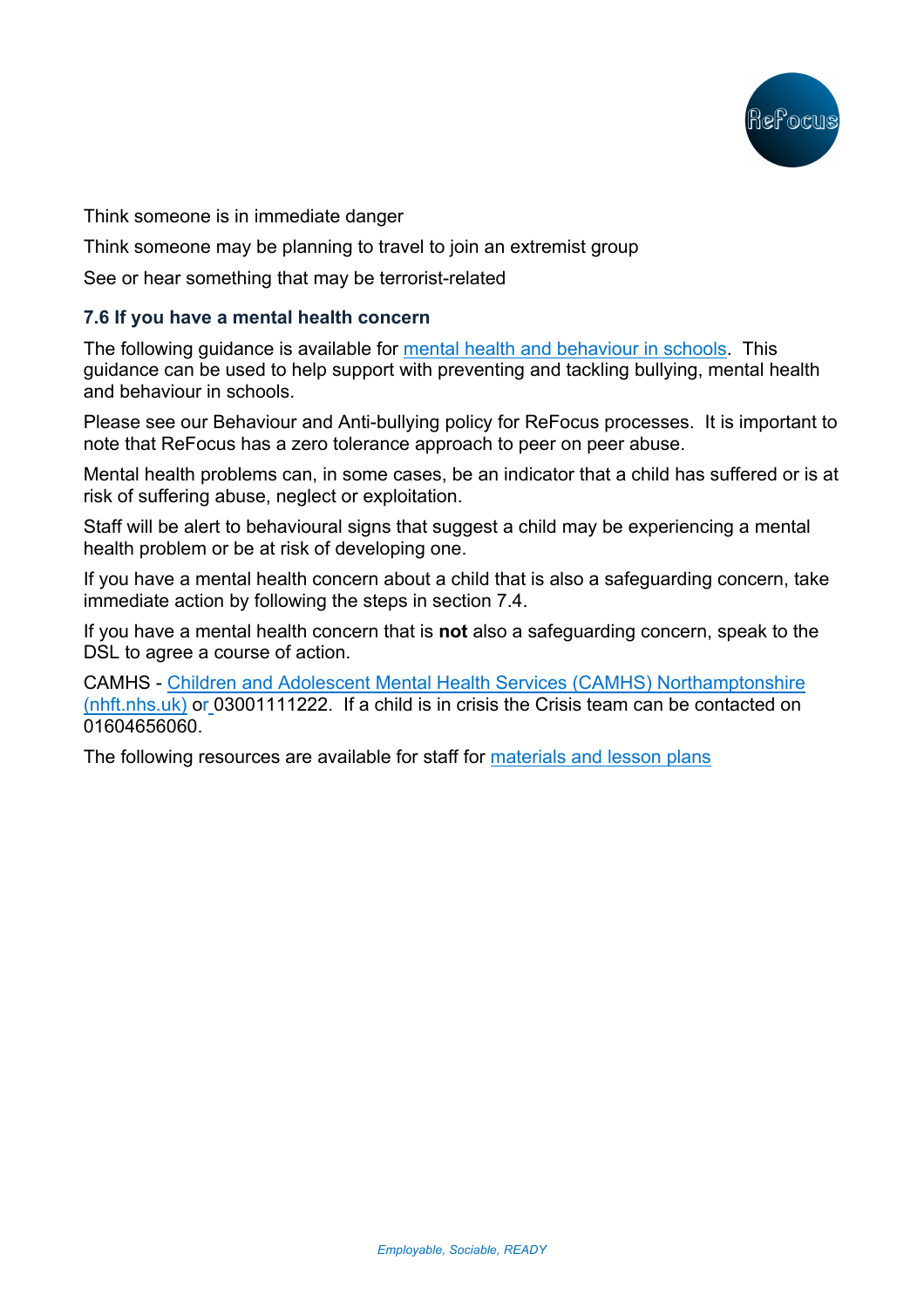

Think someone is in immediate danger

Think someone may be planning to travel to join an extremist group

See or hear something that may be terrorist-related

## **7.6 If you have a mental health concern**

The following guidance is available for mental health and behaviour in schools. This guidance can be used to help support with preventing and tackling bullying, mental health and behaviour in schools.

Please see our Behaviour and Anti-bullying policy for ReFocus processes. It is important to note that ReFocus has a zero tolerance approach to peer on peer abuse.

Mental health problems can, in some cases, be an indicator that a child has suffered or is at risk of suffering abuse, neglect or exploitation.

Staff will be alert to behavioural signs that suggest a child may be experiencing a mental health problem or be at risk of developing one.

If you have a mental health concern about a child that is also a safeguarding concern, take immediate action by following the steps in section 7.4.

If you have a mental health concern that is **not** also a safeguarding concern, speak to the DSL to agree a course of action.

CAMHS - Children and Adolescent Mental Health Services (CAMHS) Northamptonshire (nhft.nhs.uk) or 03001111222. If a child is in crisis the Crisis team can be contacted on 01604656060.

The following resources are available for staff for materials and lesson plans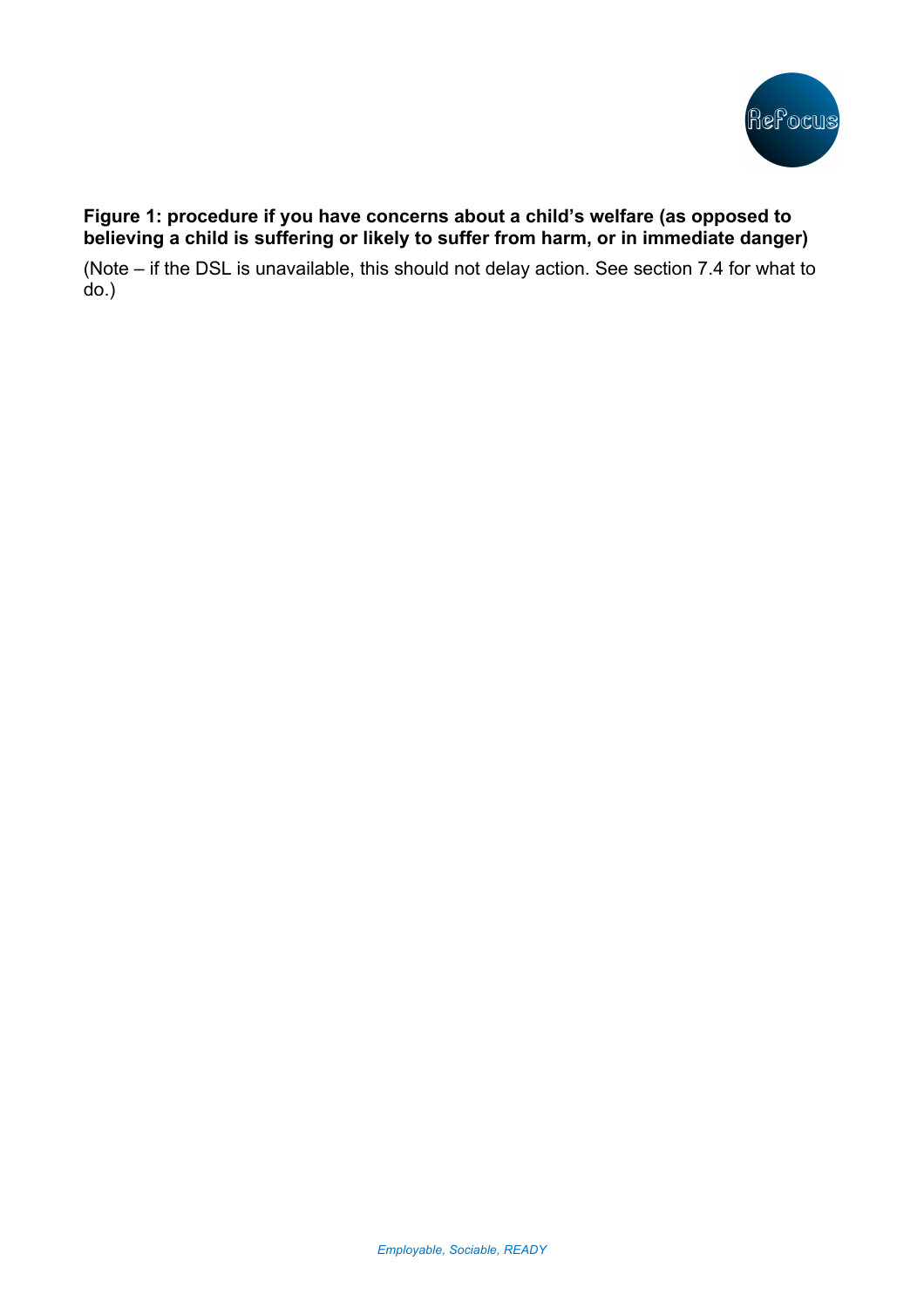

# **Figure 1: procedure if you have concerns about a child's welfare (as opposed to believing a child is suffering or likely to suffer from harm, or in immediate danger)**

(Note – if the DSL is unavailable, this should not delay action. See section 7.4 for what to do.)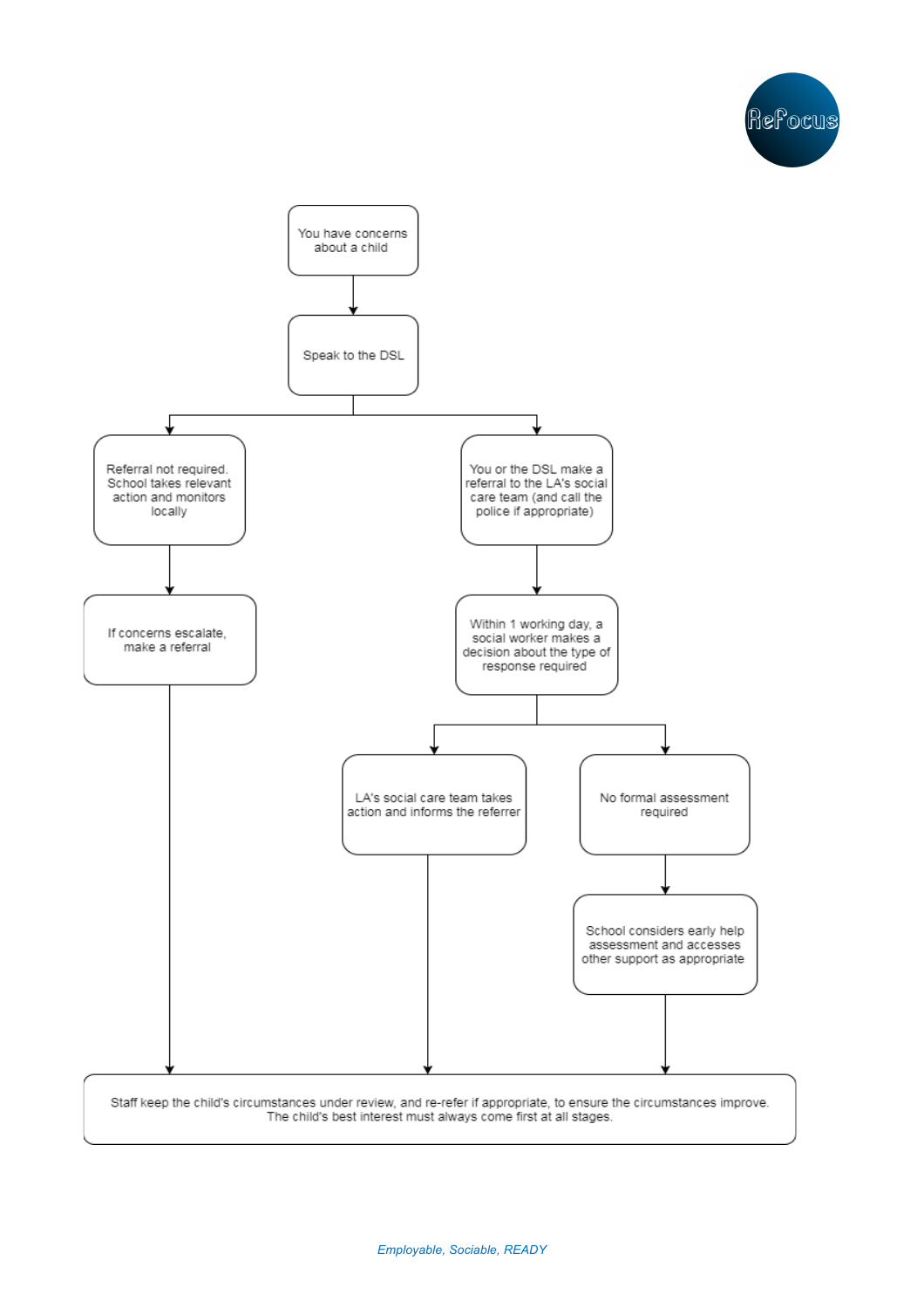

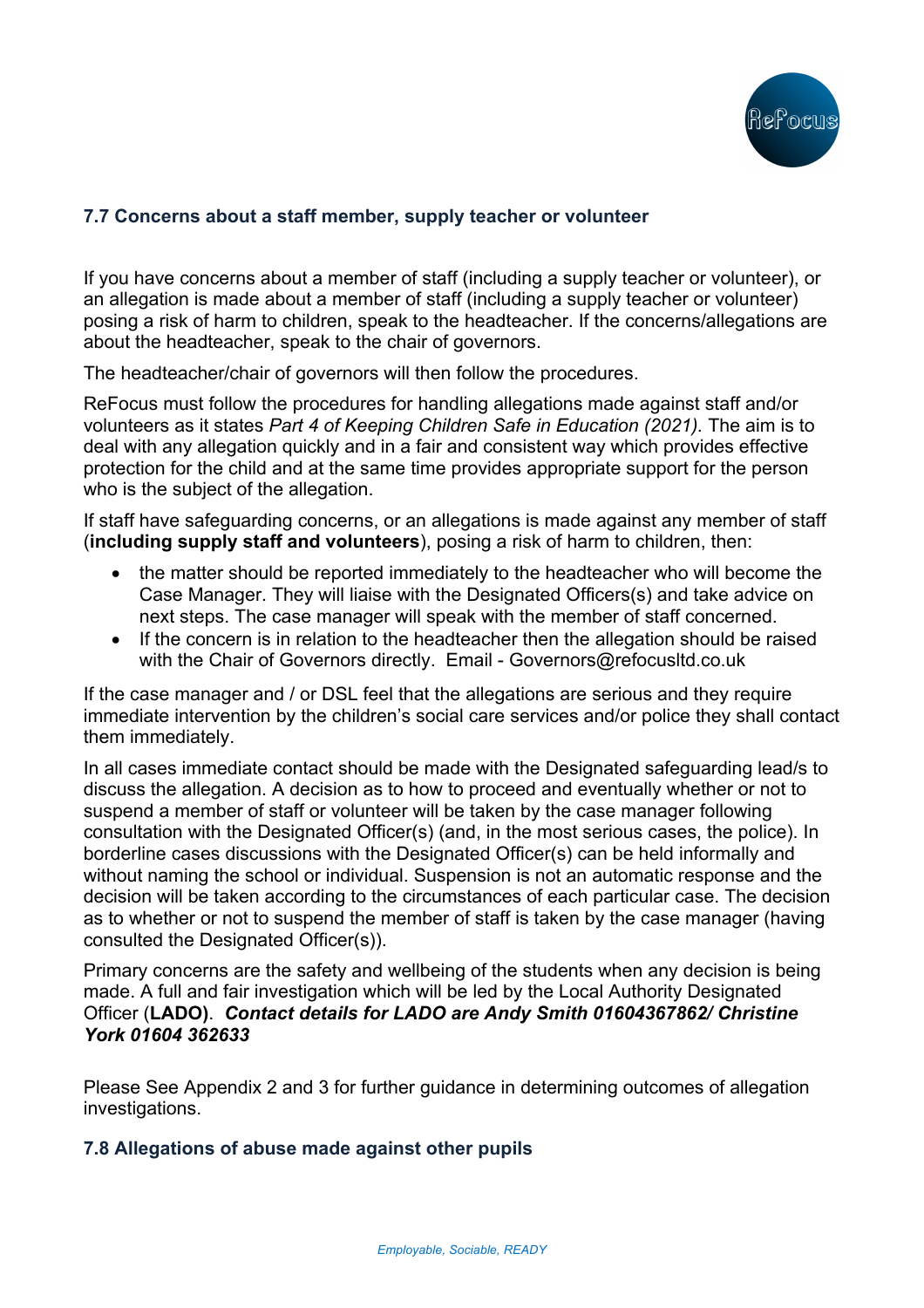

# **7.7 Concerns about a staff member, supply teacher or volunteer**

If you have concerns about a member of staff (including a supply teacher or volunteer), or an allegation is made about a member of staff (including a supply teacher or volunteer) posing a risk of harm to children, speak to the headteacher. If the concerns/allegations are about the headteacher, speak to the chair of governors.

The headteacher/chair of governors will then follow the procedures.

ReFocus must follow the procedures for handling allegations made against staff and/or volunteers as it states *Part 4 of Keeping Children Safe in Education (2021).* The aim is to deal with any allegation quickly and in a fair and consistent way which provides effective protection for the child and at the same time provides appropriate support for the person who is the subject of the allegation.

If staff have safeguarding concerns, or an allegations is made against any member of staff (**including supply staff and volunteers**), posing a risk of harm to children, then:

- the matter should be reported immediately to the headteacher who will become the Case Manager. They will liaise with the Designated Officers(s) and take advice on next steps. The case manager will speak with the member of staff concerned.
- If the concern is in relation to the headteacher then the allegation should be raised with the Chair of Governors directly. Email - Governors@refocusltd.co.uk

If the case manager and / or DSL feel that the allegations are serious and they require immediate intervention by the children's social care services and/or police they shall contact them immediately.

In all cases immediate contact should be made with the Designated safeguarding lead/s to discuss the allegation. A decision as to how to proceed and eventually whether or not to suspend a member of staff or volunteer will be taken by the case manager following consultation with the Designated Officer(s) (and, in the most serious cases, the police). In borderline cases discussions with the Designated Officer(s) can be held informally and without naming the school or individual. Suspension is not an automatic response and the decision will be taken according to the circumstances of each particular case. The decision as to whether or not to suspend the member of staff is taken by the case manager (having consulted the Designated Officer(s)).

Primary concerns are the safety and wellbeing of the students when any decision is being made. A full and fair investigation which will be led by the Local Authority Designated Officer (**LADO)**. *Contact details for LADO are Andy Smith 01604367862/ Christine York 01604 362633*

Please See Appendix 2 and 3 for further guidance in determining outcomes of allegation investigations.

### **7.8 Allegations of abuse made against other pupils**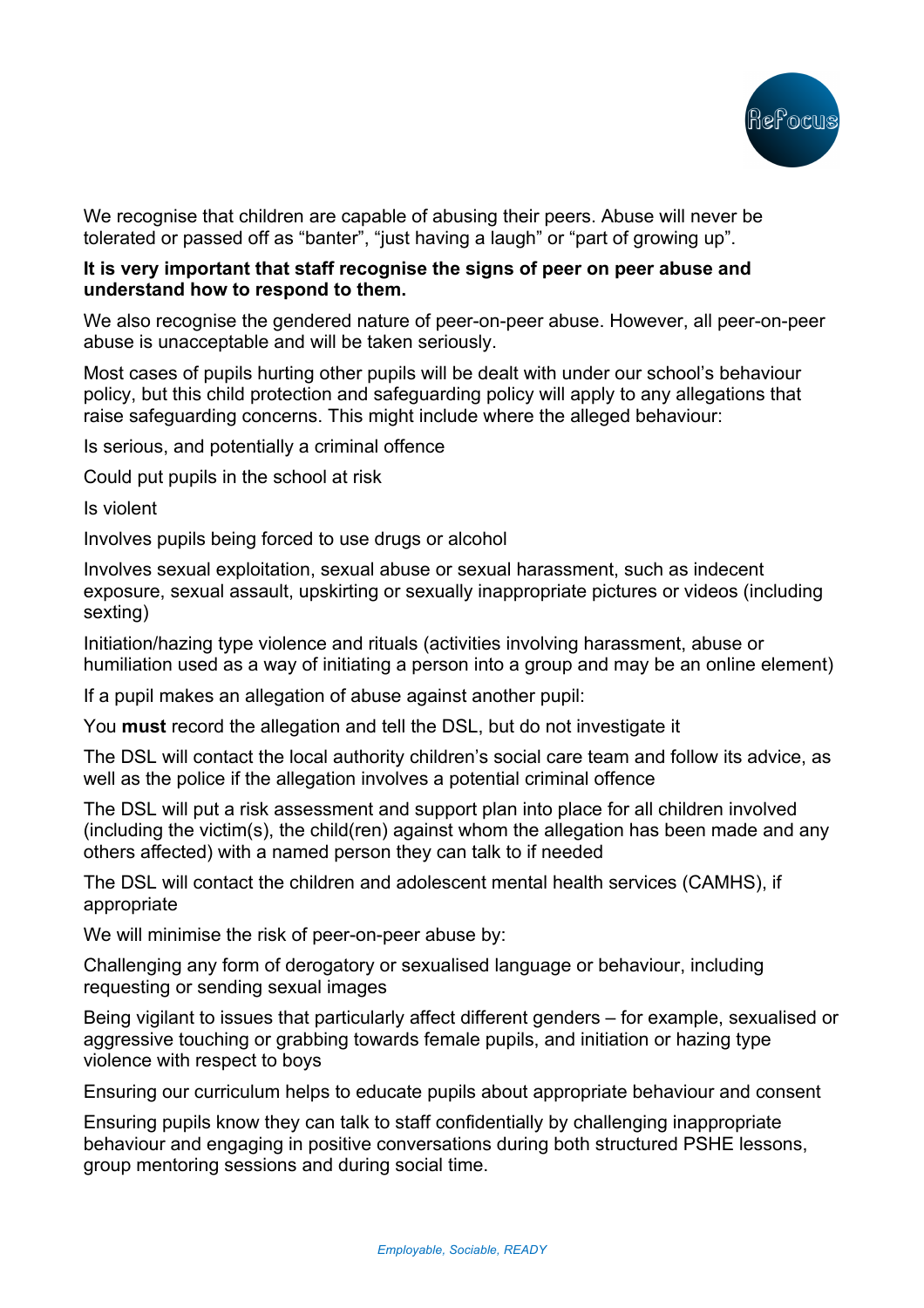

We recognise that children are capable of abusing their peers. Abuse will never be tolerated or passed off as "banter", "just having a laugh" or "part of growing up".

### **It is very important that staff recognise the signs of peer on peer abuse and understand how to respond to them.**

We also recognise the gendered nature of peer-on-peer abuse. However, all peer-on-peer abuse is unacceptable and will be taken seriously.

Most cases of pupils hurting other pupils will be dealt with under our school's behaviour policy, but this child protection and safeguarding policy will apply to any allegations that raise safeguarding concerns. This might include where the alleged behaviour:

Is serious, and potentially a criminal offence

Could put pupils in the school at risk

Is violent

Involves pupils being forced to use drugs or alcohol

Involves sexual exploitation, sexual abuse or sexual harassment, such as indecent exposure, sexual assault, upskirting or sexually inappropriate pictures or videos (including sexting)

Initiation/hazing type violence and rituals (activities involving harassment, abuse or humiliation used as a way of initiating a person into a group and may be an online element)

If a pupil makes an allegation of abuse against another pupil:

You **must** record the allegation and tell the DSL, but do not investigate it

The DSL will contact the local authority children's social care team and follow its advice, as well as the police if the allegation involves a potential criminal offence

The DSL will put a risk assessment and support plan into place for all children involved (including the victim(s), the child(ren) against whom the allegation has been made and any others affected) with a named person they can talk to if needed

The DSL will contact the children and adolescent mental health services (CAMHS), if appropriate

We will minimise the risk of peer-on-peer abuse by:

Challenging any form of derogatory or sexualised language or behaviour, including requesting or sending sexual images

Being vigilant to issues that particularly affect different genders – for example, sexualised or aggressive touching or grabbing towards female pupils, and initiation or hazing type violence with respect to boys

Ensuring our curriculum helps to educate pupils about appropriate behaviour and consent

Ensuring pupils know they can talk to staff confidentially by challenging inappropriate behaviour and engaging in positive conversations during both structured PSHE lessons, group mentoring sessions and during social time.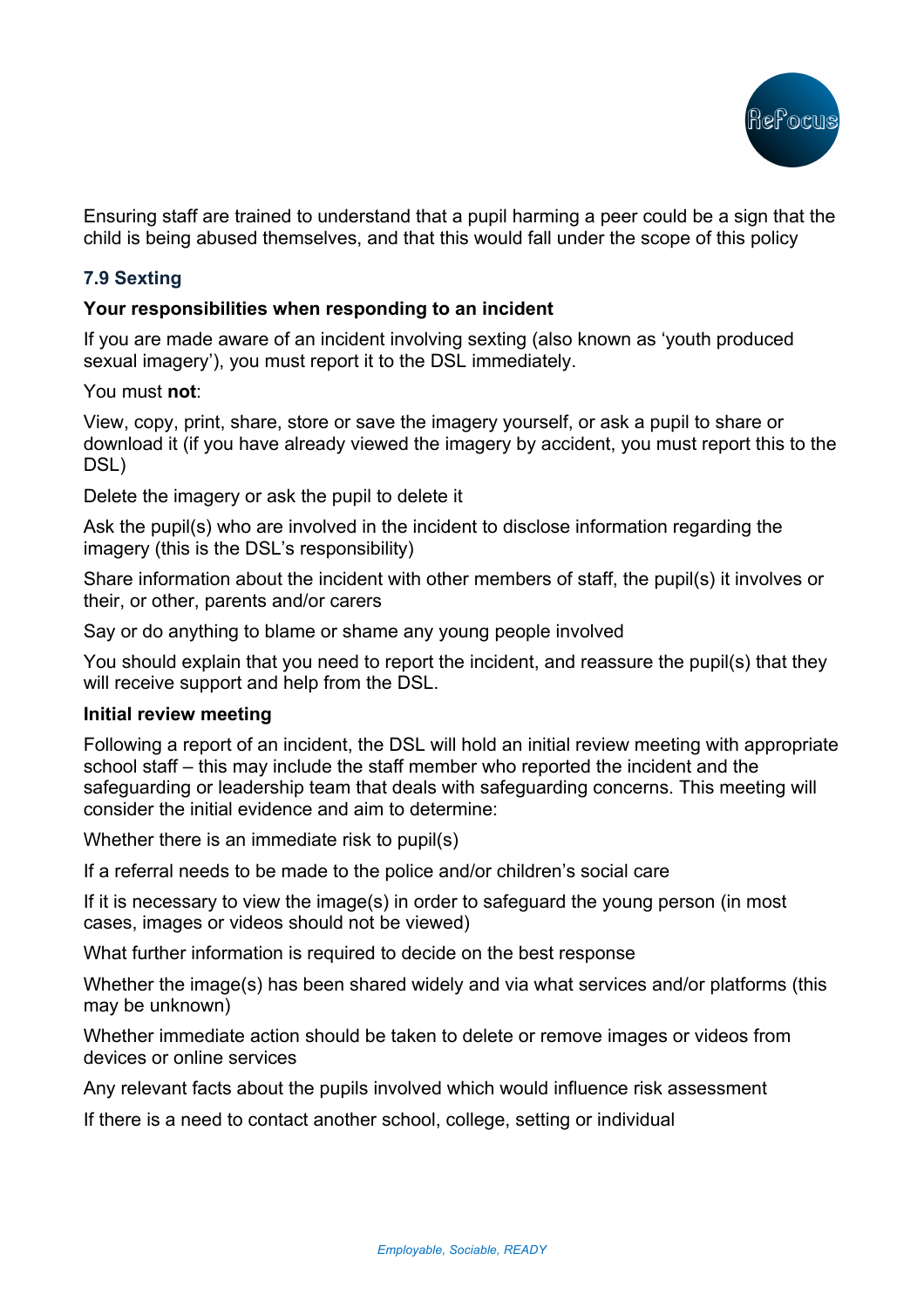

Ensuring staff are trained to understand that a pupil harming a peer could be a sign that the child is being abused themselves, and that this would fall under the scope of this policy

## **7.9 Sexting**

### **Your responsibilities when responding to an incident**

If you are made aware of an incident involving sexting (also known as 'youth produced sexual imagery'), you must report it to the DSL immediately.

You must **not**:

View, copy, print, share, store or save the imagery yourself, or ask a pupil to share or download it (if you have already viewed the imagery by accident, you must report this to the DSL)

Delete the imagery or ask the pupil to delete it

Ask the pupil(s) who are involved in the incident to disclose information regarding the imagery (this is the DSL's responsibility)

Share information about the incident with other members of staff, the pupil(s) it involves or their, or other, parents and/or carers

Say or do anything to blame or shame any young people involved

You should explain that you need to report the incident, and reassure the pupil(s) that they will receive support and help from the DSL.

### **Initial review meeting**

Following a report of an incident, the DSL will hold an initial review meeting with appropriate school staff – this may include the staff member who reported the incident and the safeguarding or leadership team that deals with safeguarding concerns. This meeting will consider the initial evidence and aim to determine:

Whether there is an immediate risk to pupil(s)

If a referral needs to be made to the police and/or children's social care

If it is necessary to view the image(s) in order to safeguard the young person (in most cases, images or videos should not be viewed)

What further information is required to decide on the best response

Whether the image(s) has been shared widely and via what services and/or platforms (this may be unknown)

Whether immediate action should be taken to delete or remove images or videos from devices or online services

Any relevant facts about the pupils involved which would influence risk assessment

If there is a need to contact another school, college, setting or individual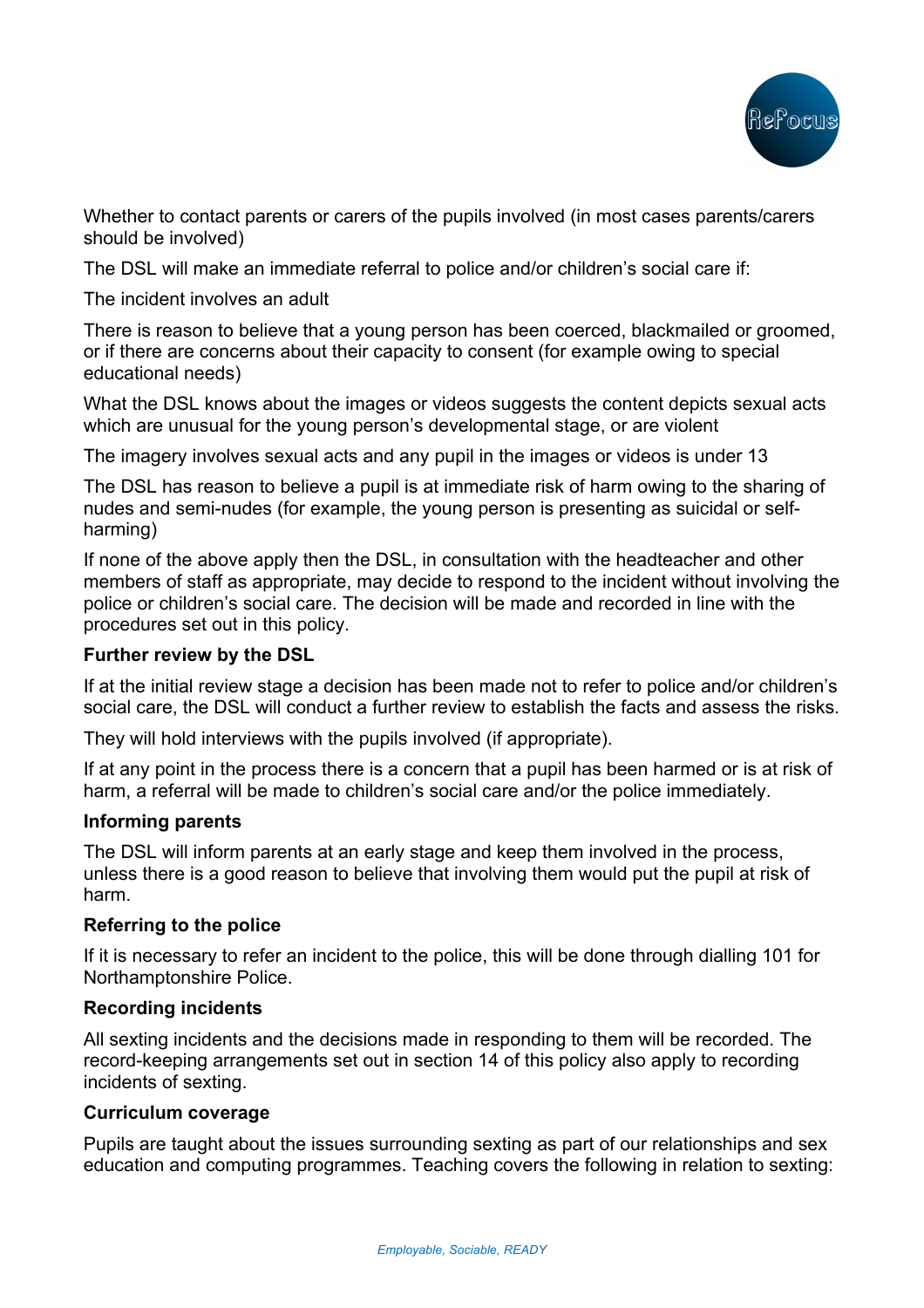

Whether to contact parents or carers of the pupils involved (in most cases parents/carers should be involved)

The DSL will make an immediate referral to police and/or children's social care if:

The incident involves an adult

There is reason to believe that a young person has been coerced, blackmailed or groomed, or if there are concerns about their capacity to consent (for example owing to special educational needs)

What the DSL knows about the images or videos suggests the content depicts sexual acts which are unusual for the young person's developmental stage, or are violent

The imagery involves sexual acts and any pupil in the images or videos is under 13

The DSL has reason to believe a pupil is at immediate risk of harm owing to the sharing of nudes and semi-nudes (for example, the young person is presenting as suicidal or selfharming)

If none of the above apply then the DSL, in consultation with the headteacher and other members of staff as appropriate, may decide to respond to the incident without involving the police or children's social care. The decision will be made and recorded in line with the procedures set out in this policy.

### **Further review by the DSL**

If at the initial review stage a decision has been made not to refer to police and/or children's social care, the DSL will conduct a further review to establish the facts and assess the risks.

They will hold interviews with the pupils involved (if appropriate).

If at any point in the process there is a concern that a pupil has been harmed or is at risk of harm, a referral will be made to children's social care and/or the police immediately.

### **Informing parents**

The DSL will inform parents at an early stage and keep them involved in the process, unless there is a good reason to believe that involving them would put the pupil at risk of harm.

### **Referring to the police**

If it is necessary to refer an incident to the police, this will be done through dialling 101 for Northamptonshire Police.

### **Recording incidents**

All sexting incidents and the decisions made in responding to them will be recorded. The record-keeping arrangements set out in section 14 of this policy also apply to recording incidents of sexting.

### **Curriculum coverage**

Pupils are taught about the issues surrounding sexting as part of our relationships and sex education and computing programmes. Teaching covers the following in relation to sexting: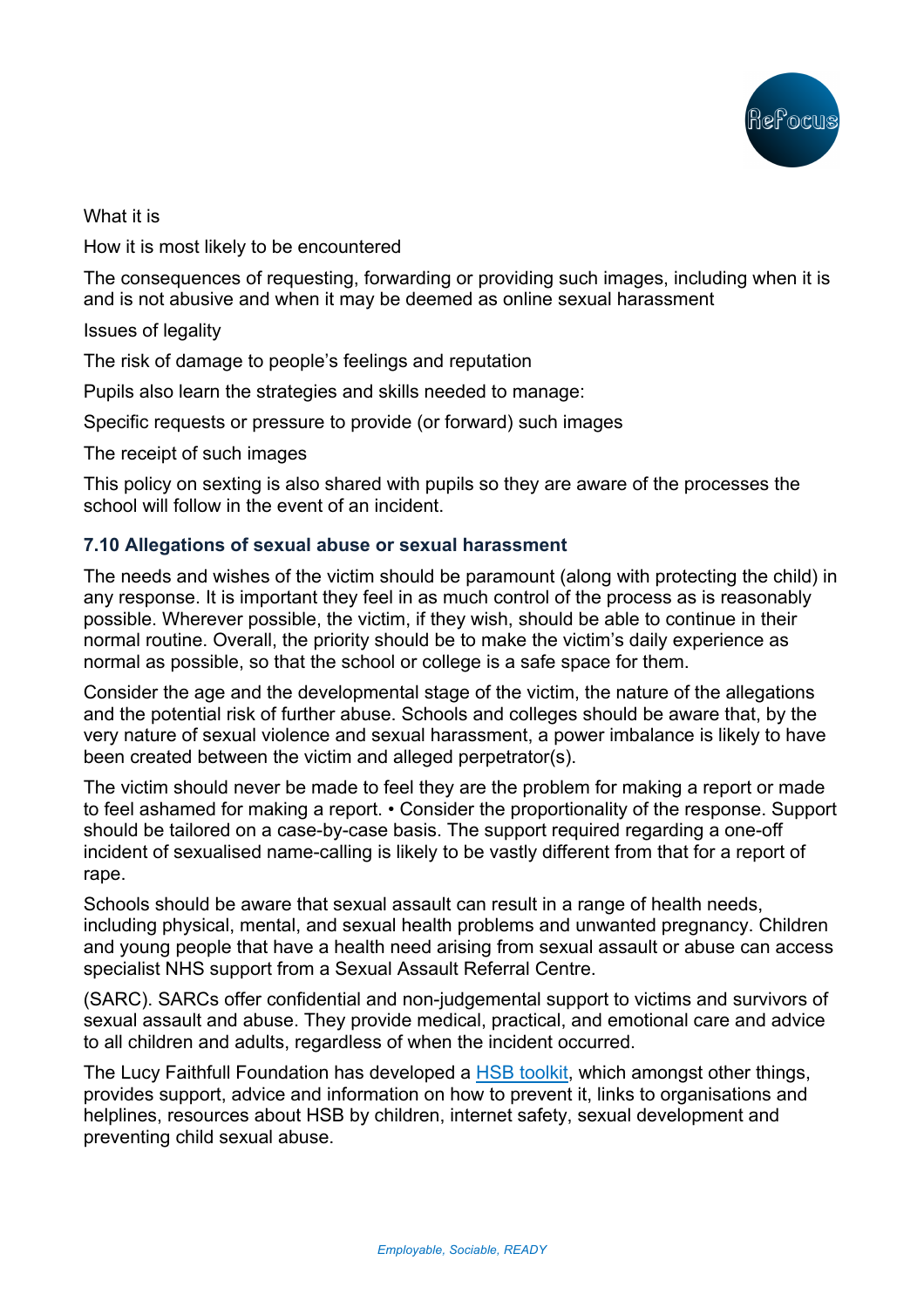

What it is

How it is most likely to be encountered

The consequences of requesting, forwarding or providing such images, including when it is and is not abusive and when it may be deemed as online sexual harassment

Issues of legality

The risk of damage to people's feelings and reputation

Pupils also learn the strategies and skills needed to manage:

Specific requests or pressure to provide (or forward) such images

The receipt of such images

This policy on sexting is also shared with pupils so they are aware of the processes the school will follow in the event of an incident.

## **7.10 Allegations of sexual abuse or sexual harassment**

The needs and wishes of the victim should be paramount (along with protecting the child) in any response. It is important they feel in as much control of the process as is reasonably possible. Wherever possible, the victim, if they wish, should be able to continue in their normal routine. Overall, the priority should be to make the victim's daily experience as normal as possible, so that the school or college is a safe space for them.

Consider the age and the developmental stage of the victim, the nature of the allegations and the potential risk of further abuse. Schools and colleges should be aware that, by the very nature of sexual violence and sexual harassment, a power imbalance is likely to have been created between the victim and alleged perpetrator(s).

The victim should never be made to feel they are the problem for making a report or made to feel ashamed for making a report. • Consider the proportionality of the response. Support should be tailored on a case-by-case basis. The support required regarding a one-off incident of sexualised name-calling is likely to be vastly different from that for a report of rape.

Schools should be aware that sexual assault can result in a range of health needs, including physical, mental, and sexual health problems and unwanted pregnancy. Children and young people that have a health need arising from sexual assault or abuse can access specialist NHS support from a Sexual Assault Referral Centre.

(SARC). SARCs offer confidential and non-judgemental support to victims and survivors of sexual assault and abuse. They provide medical, practical, and emotional care and advice to all children and adults, regardless of when the incident occurred.

The Lucy Faithfull Foundation has developed a HSB toolkit, which amongst other things, provides support, advice and information on how to prevent it, links to organisations and helplines, resources about HSB by children, internet safety, sexual development and preventing child sexual abuse.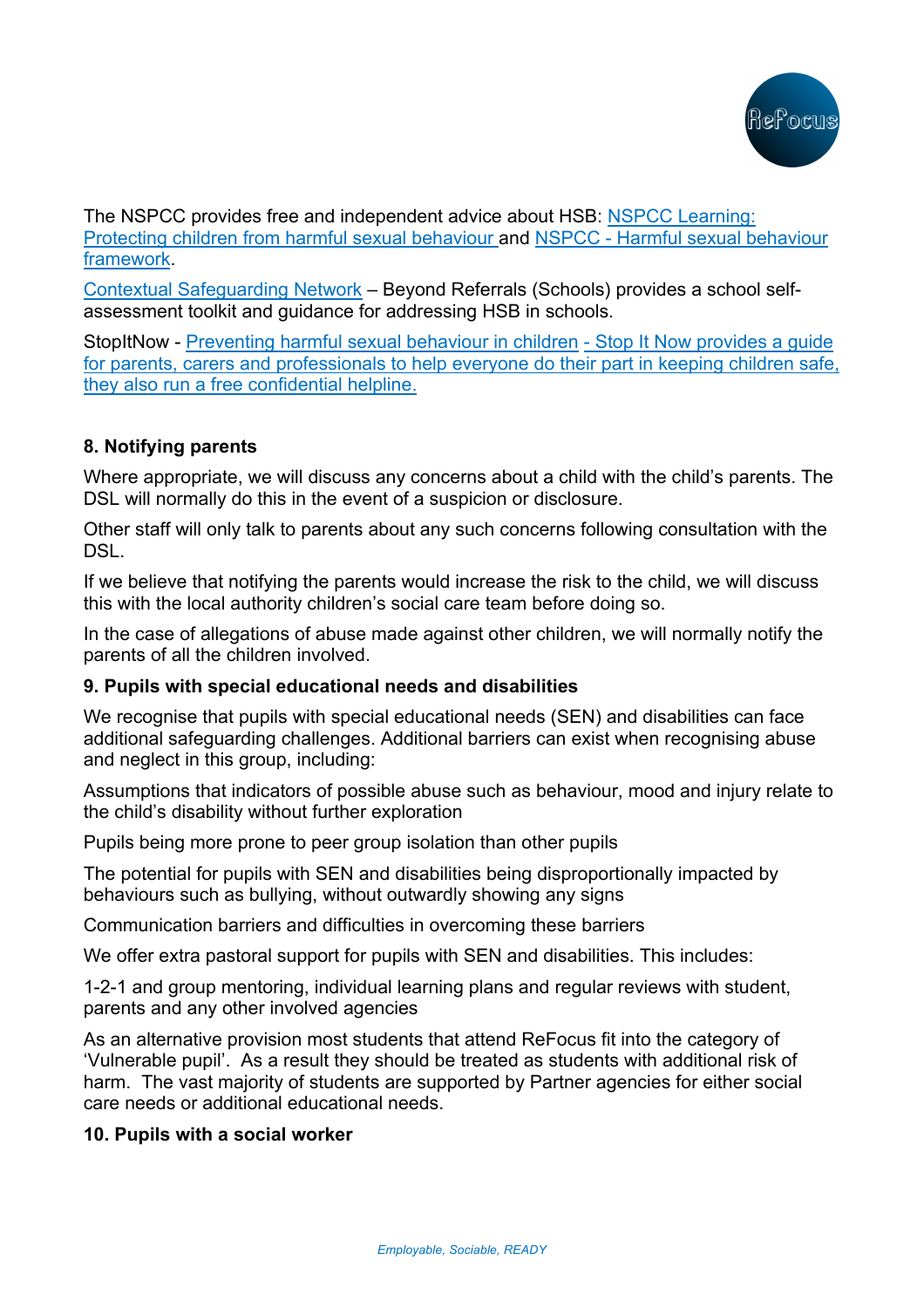

The NSPCC provides free and independent advice about HSB: NSPCC Learning: Protecting children from harmful sexual behaviour and NSPCC - Harmful sexual behaviour framework.

Contextual Safeguarding Network – Beyond Referrals (Schools) provides a school selfassessment toolkit and guidance for addressing HSB in schools.

StopItNow - Preventing harmful sexual behaviour in children - Stop It Now provides a guide for parents, carers and professionals to help everyone do their part in keeping children safe, they also run a free confidential helpline.

## **8. Notifying parents**

Where appropriate, we will discuss any concerns about a child with the child's parents. The DSL will normally do this in the event of a suspicion or disclosure.

Other staff will only talk to parents about any such concerns following consultation with the DSL.

If we believe that notifying the parents would increase the risk to the child, we will discuss this with the local authority children's social care team before doing so.

In the case of allegations of abuse made against other children, we will normally notify the parents of all the children involved.

## **9. Pupils with special educational needs and disabilities**

We recognise that pupils with special educational needs (SEN) and disabilities can face additional safeguarding challenges. Additional barriers can exist when recognising abuse and neglect in this group, including:

Assumptions that indicators of possible abuse such as behaviour, mood and injury relate to the child's disability without further exploration

Pupils being more prone to peer group isolation than other pupils

The potential for pupils with SEN and disabilities being disproportionally impacted by behaviours such as bullying, without outwardly showing any signs

Communication barriers and difficulties in overcoming these barriers

We offer extra pastoral support for pupils with SEN and disabilities. This includes:

1-2-1 and group mentoring, individual learning plans and regular reviews with student, parents and any other involved agencies

As an alternative provision most students that attend ReFocus fit into the category of 'Vulnerable pupil'. As a result they should be treated as students with additional risk of harm. The vast majority of students are supported by Partner agencies for either social care needs or additional educational needs.

## **10. Pupils with a social worker**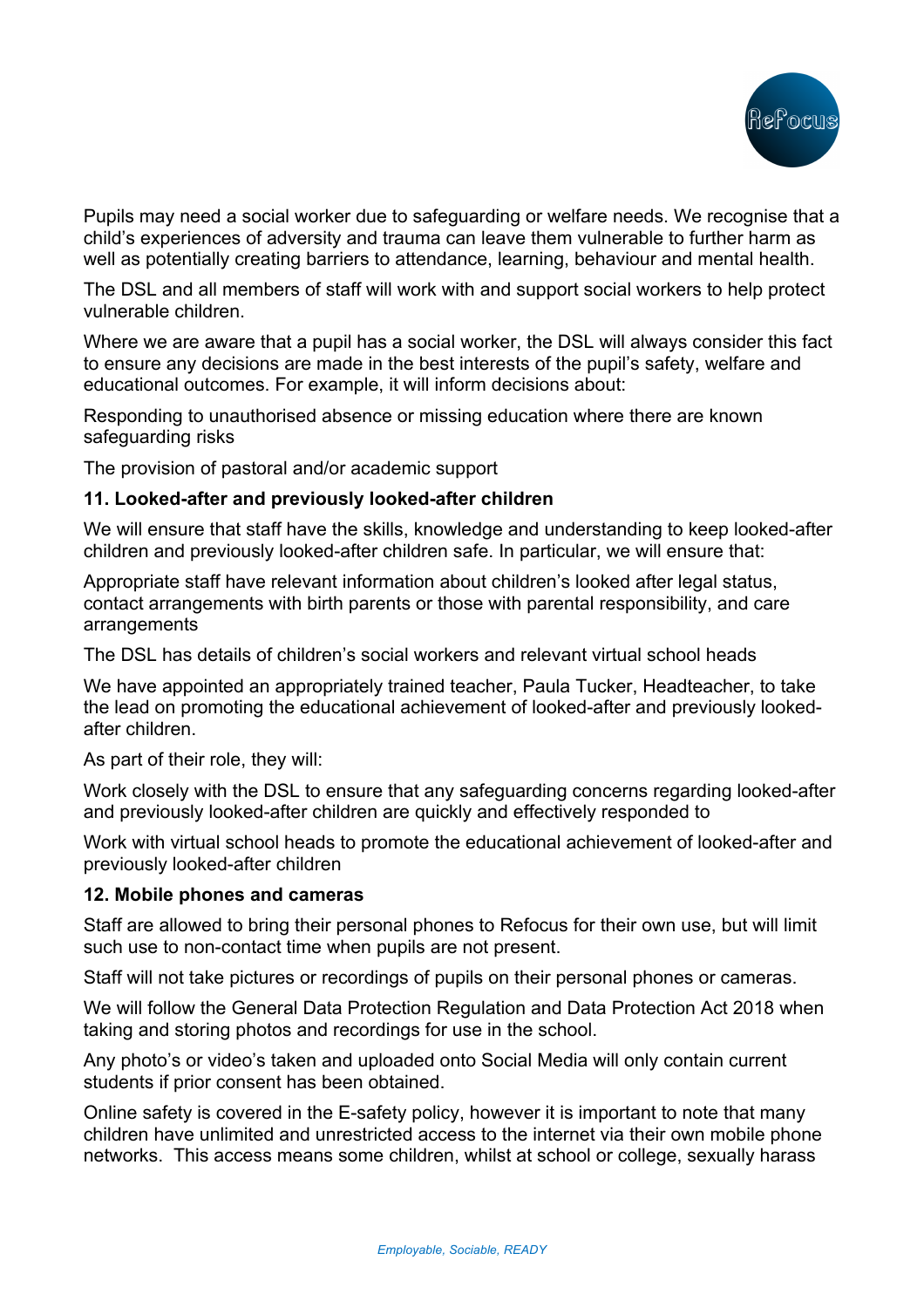

Pupils may need a social worker due to safeguarding or welfare needs. We recognise that a child's experiences of adversity and trauma can leave them vulnerable to further harm as well as potentially creating barriers to attendance, learning, behaviour and mental health.

The DSL and all members of staff will work with and support social workers to help protect vulnerable children.

Where we are aware that a pupil has a social worker, the DSL will always consider this fact to ensure any decisions are made in the best interests of the pupil's safety, welfare and educational outcomes. For example, it will inform decisions about:

Responding to unauthorised absence or missing education where there are known safeguarding risks

The provision of pastoral and/or academic support

## **11. Looked-after and previously looked-after children**

We will ensure that staff have the skills, knowledge and understanding to keep looked-after children and previously looked-after children safe. In particular, we will ensure that:

Appropriate staff have relevant information about children's looked after legal status, contact arrangements with birth parents or those with parental responsibility, and care arrangements

The DSL has details of children's social workers and relevant virtual school heads

We have appointed an appropriately trained teacher, Paula Tucker, Headteacher, to take the lead on promoting the educational achievement of looked-after and previously lookedafter children.

As part of their role, they will:

Work closely with the DSL to ensure that any safeguarding concerns regarding looked-after and previously looked-after children are quickly and effectively responded to

Work with virtual school heads to promote the educational achievement of looked-after and previously looked-after children

### **12. Mobile phones and cameras**

Staff are allowed to bring their personal phones to Refocus for their own use, but will limit such use to non-contact time when pupils are not present.

Staff will not take pictures or recordings of pupils on their personal phones or cameras.

We will follow the General Data Protection Regulation and Data Protection Act 2018 when taking and storing photos and recordings for use in the school.

Any photo's or video's taken and uploaded onto Social Media will only contain current students if prior consent has been obtained.

Online safety is covered in the E-safety policy, however it is important to note that many children have unlimited and unrestricted access to the internet via their own mobile phone networks. This access means some children, whilst at school or college, sexually harass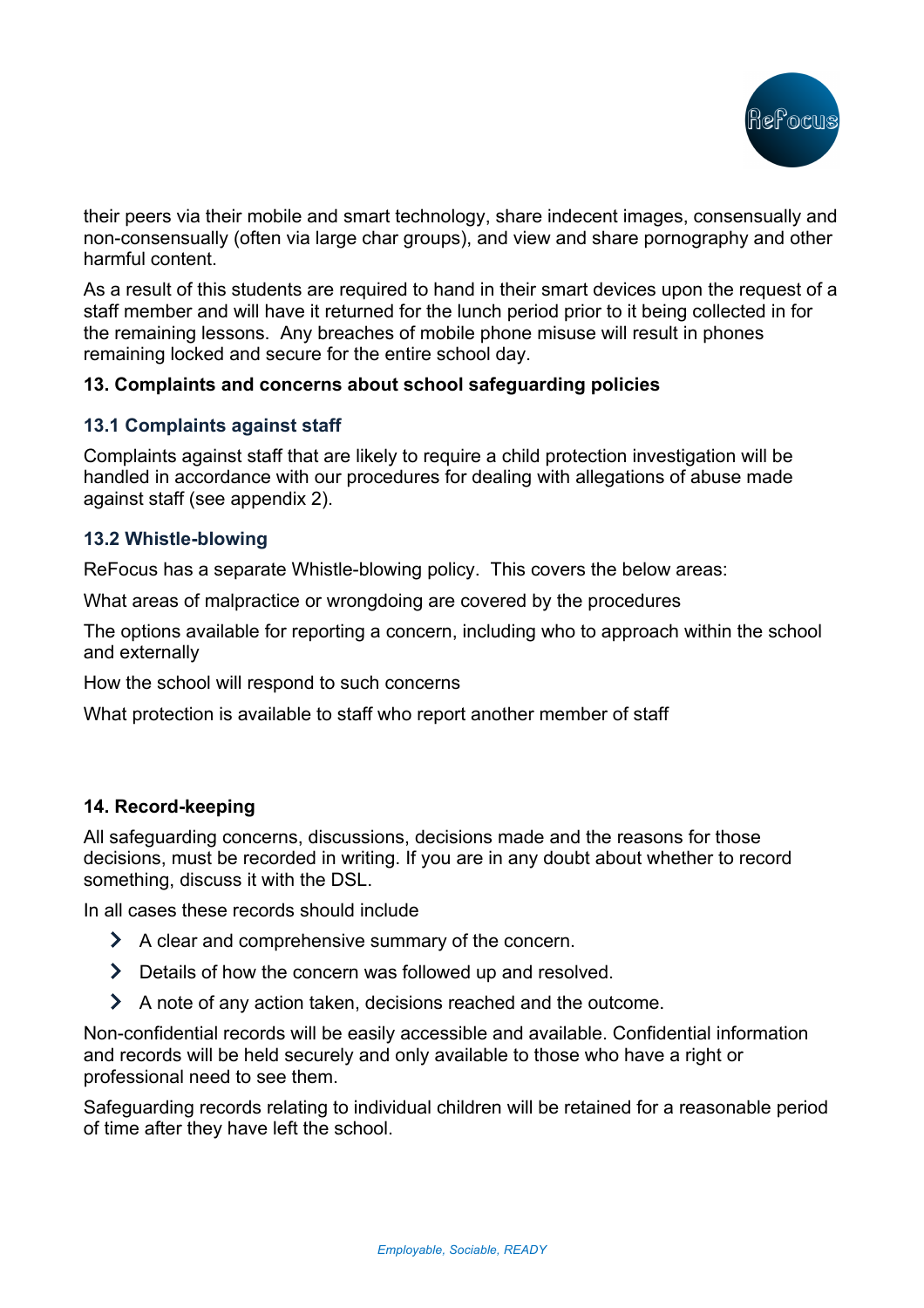

their peers via their mobile and smart technology, share indecent images, consensually and non-consensually (often via large char groups), and view and share pornography and other harmful content.

As a result of this students are required to hand in their smart devices upon the request of a staff member and will have it returned for the lunch period prior to it being collected in for the remaining lessons. Any breaches of mobile phone misuse will result in phones remaining locked and secure for the entire school day.

## **13. Complaints and concerns about school safeguarding policies**

## **13.1 Complaints against staff**

Complaints against staff that are likely to require a child protection investigation will be handled in accordance with our procedures for dealing with allegations of abuse made against staff (see appendix 2).

## **13.2 Whistle-blowing**

ReFocus has a separate Whistle-blowing policy. This covers the below areas:

What areas of malpractice or wrongdoing are covered by the procedures

The options available for reporting a concern, including who to approach within the school and externally

How the school will respond to such concerns

What protection is available to staff who report another member of staff

## **14. Record-keeping**

All safeguarding concerns, discussions, decisions made and the reasons for those decisions, must be recorded in writing. If you are in any doubt about whether to record something, discuss it with the DSL.

In all cases these records should include

- A clear and comprehensive summary of the concern.
- > Details of how the concern was followed up and resolved.
- A note of any action taken, decisions reached and the outcome.

Non-confidential records will be easily accessible and available. Confidential information and records will be held securely and only available to those who have a right or professional need to see them.

Safeguarding records relating to individual children will be retained for a reasonable period of time after they have left the school.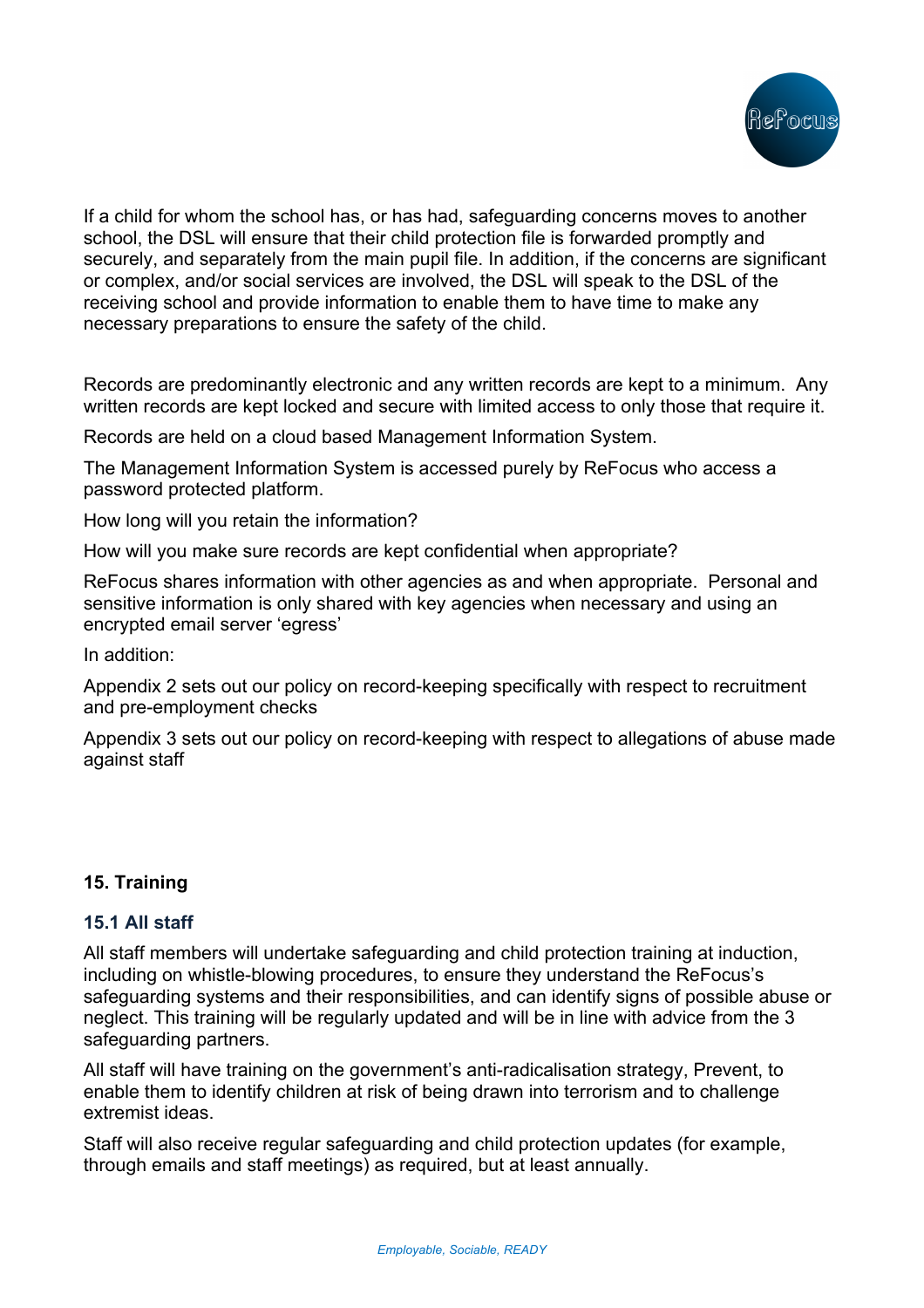

If a child for whom the school has, or has had, safeguarding concerns moves to another school, the DSL will ensure that their child protection file is forwarded promptly and securely, and separately from the main pupil file. In addition, if the concerns are significant or complex, and/or social services are involved, the DSL will speak to the DSL of the receiving school and provide information to enable them to have time to make any necessary preparations to ensure the safety of the child.

Records are predominantly electronic and any written records are kept to a minimum. Any written records are kept locked and secure with limited access to only those that require it.

Records are held on a cloud based Management Information System.

The Management Information System is accessed purely by ReFocus who access a password protected platform.

How long will you retain the information?

How will you make sure records are kept confidential when appropriate?

ReFocus shares information with other agencies as and when appropriate. Personal and sensitive information is only shared with key agencies when necessary and using an encrypted email server 'egress'

In addition:

Appendix 2 sets out our policy on record-keeping specifically with respect to recruitment and pre-employment checks

Appendix 3 sets out our policy on record-keeping with respect to allegations of abuse made against staff

## **15. Training**

### **15.1 All staff**

All staff members will undertake safeguarding and child protection training at induction, including on whistle-blowing procedures, to ensure they understand the ReFocus's safeguarding systems and their responsibilities, and can identify signs of possible abuse or neglect. This training will be regularly updated and will be in line with advice from the 3 safeguarding partners.

All staff will have training on the government's anti-radicalisation strategy, Prevent, to enable them to identify children at risk of being drawn into terrorism and to challenge extremist ideas.

Staff will also receive regular safeguarding and child protection updates (for example, through emails and staff meetings) as required, but at least annually.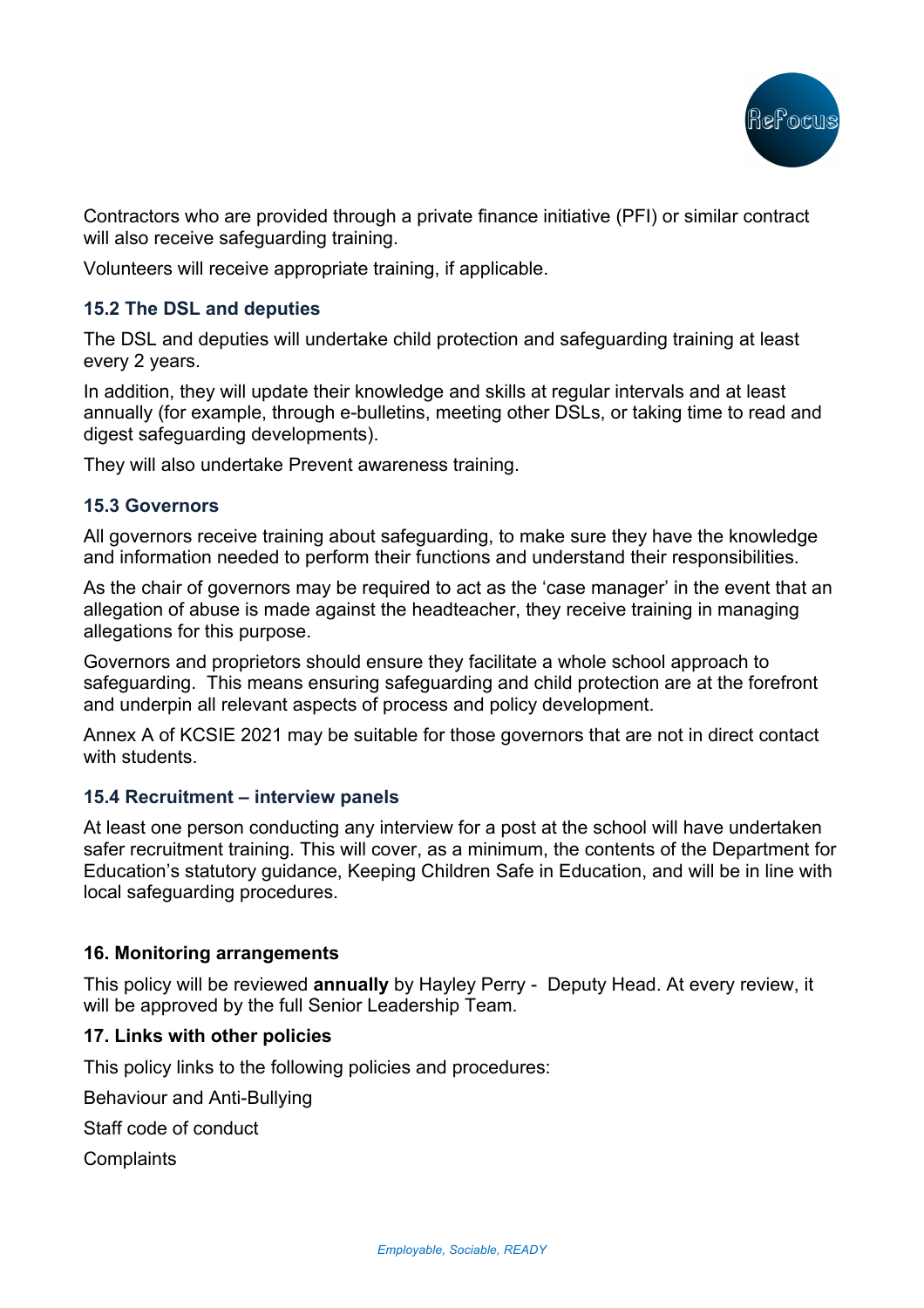

Contractors who are provided through a private finance initiative (PFI) or similar contract will also receive safeguarding training.

Volunteers will receive appropriate training, if applicable.

## **15.2 The DSL and deputies**

The DSL and deputies will undertake child protection and safeguarding training at least every 2 years.

In addition, they will update their knowledge and skills at regular intervals and at least annually (for example, through e-bulletins, meeting other DSLs, or taking time to read and digest safeguarding developments).

They will also undertake Prevent awareness training.

### **15.3 Governors**

All governors receive training about safeguarding, to make sure they have the knowledge and information needed to perform their functions and understand their responsibilities.

As the chair of governors may be required to act as the 'case manager' in the event that an allegation of abuse is made against the headteacher, they receive training in managing allegations for this purpose.

Governors and proprietors should ensure they facilitate a whole school approach to safeguarding. This means ensuring safeguarding and child protection are at the forefront and underpin all relevant aspects of process and policy development.

Annex A of KCSIE 2021 may be suitable for those governors that are not in direct contact with students.

### **15.4 Recruitment – interview panels**

At least one person conducting any interview for a post at the school will have undertaken safer recruitment training. This will cover, as a minimum, the contents of the Department for Education's statutory guidance, Keeping Children Safe in Education, and will be in line with local safeguarding procedures.

### **16. Monitoring arrangements**

This policy will be reviewed **annually** by Hayley Perry - Deputy Head. At every review, it will be approved by the full Senior Leadership Team.

## **17. Links with other policies**

This policy links to the following policies and procedures:

Behaviour and Anti-Bullying

Staff code of conduct

**Complaints**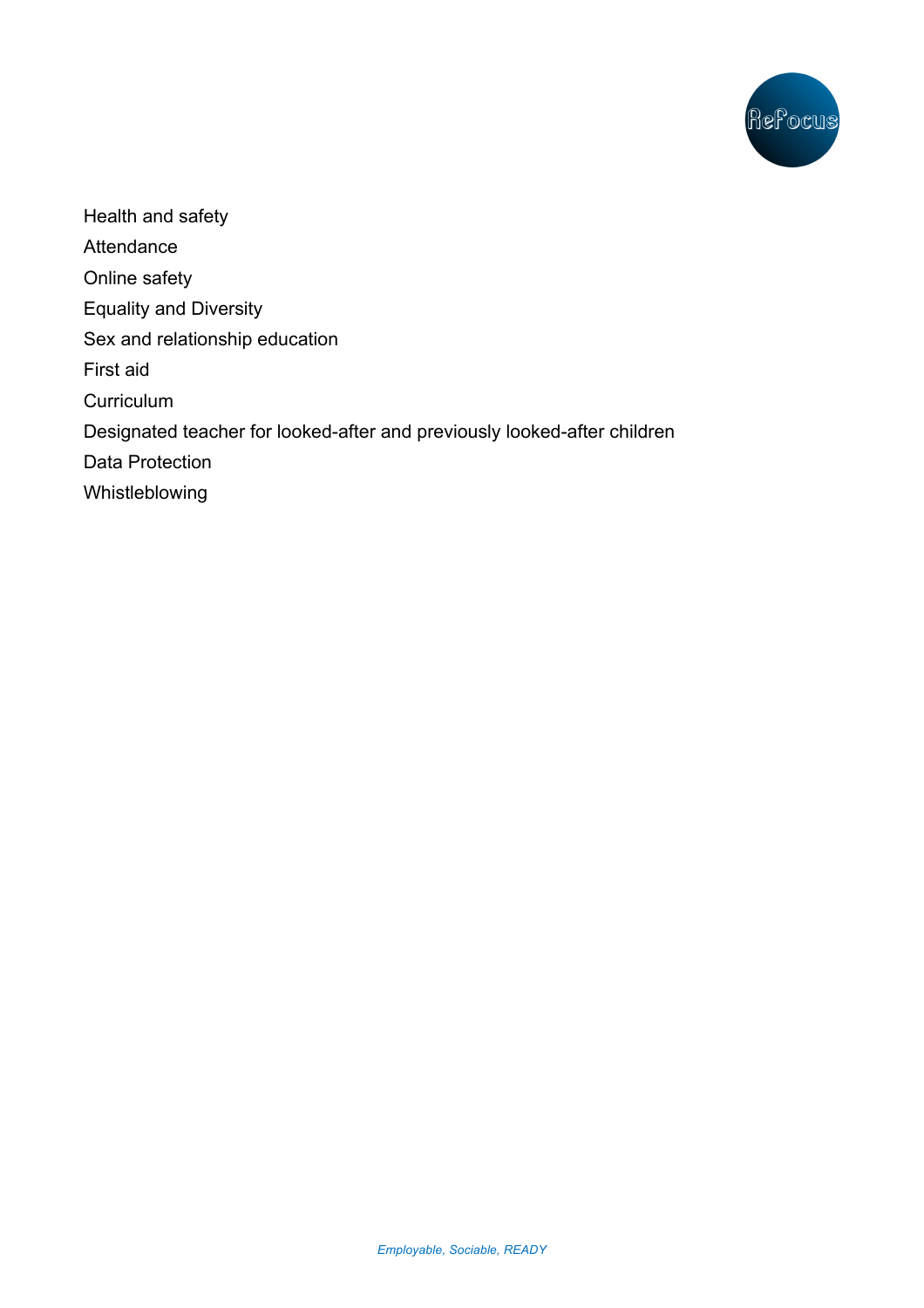

Health and safety **Attendance** Online safety Equality and Diversity Sex and relationship education First aid **Curriculum** Designated teacher for looked-after and previously looked-after children Data Protection Whistleblowing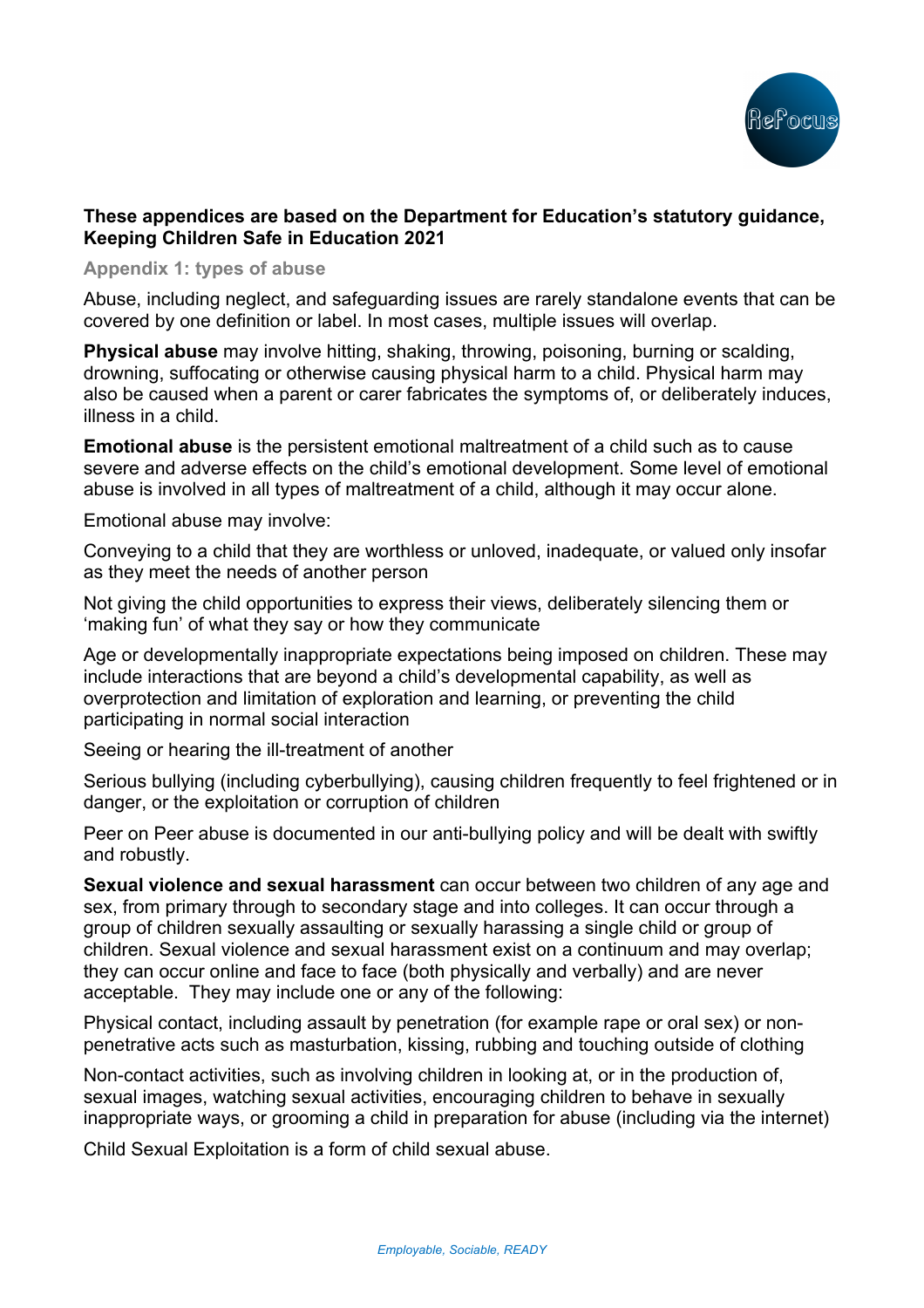

## **These appendices are based on the Department for Education's statutory guidance, Keeping Children Safe in Education 2021**

**Appendix 1: types of abuse**

Abuse, including neglect, and safeguarding issues are rarely standalone events that can be covered by one definition or label. In most cases, multiple issues will overlap.

**Physical abuse** may involve hitting, shaking, throwing, poisoning, burning or scalding, drowning, suffocating or otherwise causing physical harm to a child. Physical harm may also be caused when a parent or carer fabricates the symptoms of, or deliberately induces, illness in a child.

**Emotional abuse** is the persistent emotional maltreatment of a child such as to cause severe and adverse effects on the child's emotional development. Some level of emotional abuse is involved in all types of maltreatment of a child, although it may occur alone.

Emotional abuse may involve:

Conveying to a child that they are worthless or unloved, inadequate, or valued only insofar as they meet the needs of another person

Not giving the child opportunities to express their views, deliberately silencing them or 'making fun' of what they say or how they communicate

Age or developmentally inappropriate expectations being imposed on children. These may include interactions that are beyond a child's developmental capability, as well as overprotection and limitation of exploration and learning, or preventing the child participating in normal social interaction

Seeing or hearing the ill-treatment of another

Serious bullying (including cyberbullying), causing children frequently to feel frightened or in danger, or the exploitation or corruption of children

Peer on Peer abuse is documented in our anti-bullying policy and will be dealt with swiftly and robustly.

**Sexual violence and sexual harassment** can occur between two children of any age and sex, from primary through to secondary stage and into colleges. It can occur through a group of children sexually assaulting or sexually harassing a single child or group of children. Sexual violence and sexual harassment exist on a continuum and may overlap; they can occur online and face to face (both physically and verbally) and are never acceptable. They may include one or any of the following:

Physical contact, including assault by penetration (for example rape or oral sex) or nonpenetrative acts such as masturbation, kissing, rubbing and touching outside of clothing

Non-contact activities, such as involving children in looking at, or in the production of, sexual images, watching sexual activities, encouraging children to behave in sexually inappropriate ways, or grooming a child in preparation for abuse (including via the internet)

Child Sexual Exploitation is a form of child sexual abuse.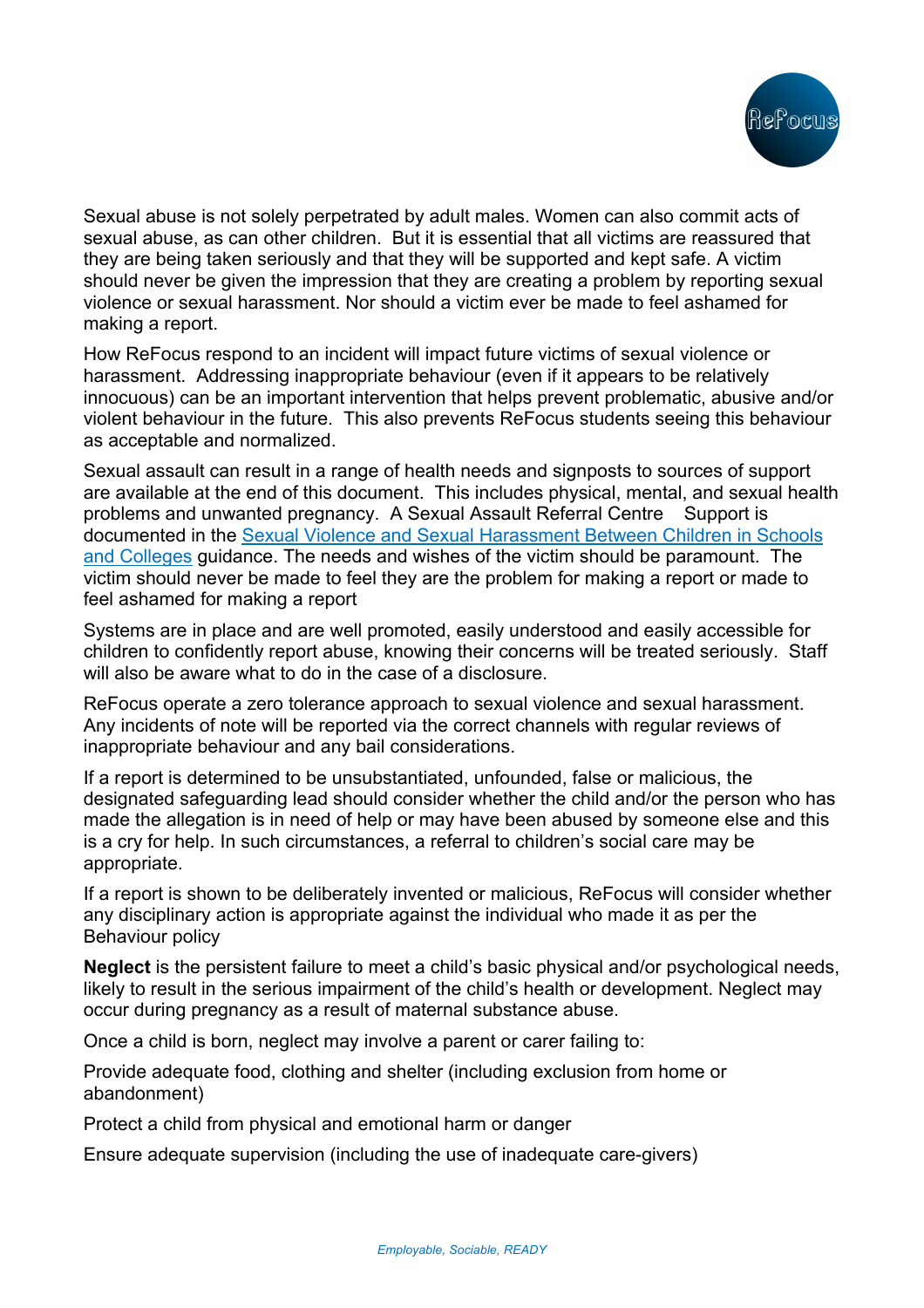

Sexual abuse is not solely perpetrated by adult males. Women can also commit acts of sexual abuse, as can other children. But it is essential that all victims are reassured that they are being taken seriously and that they will be supported and kept safe. A victim should never be given the impression that they are creating a problem by reporting sexual violence or sexual harassment. Nor should a victim ever be made to feel ashamed for making a report.

How ReFocus respond to an incident will impact future victims of sexual violence or harassment. Addressing inappropriate behaviour (even if it appears to be relatively innocuous) can be an important intervention that helps prevent problematic, abusive and/or violent behaviour in the future. This also prevents ReFocus students seeing this behaviour as acceptable and normalized.

Sexual assault can result in a range of health needs and signposts to sources of support are available at the end of this document. This includes physical, mental, and sexual health problems and unwanted pregnancy. A Sexual Assault Referral Centre Support is documented in the Sexual Violence and Sexual Harassment Between Children in Schools and Colleges guidance. The needs and wishes of the victim should be paramount. The victim should never be made to feel they are the problem for making a report or made to feel ashamed for making a report

Systems are in place and are well promoted, easily understood and easily accessible for children to confidently report abuse, knowing their concerns will be treated seriously. Staff will also be aware what to do in the case of a disclosure.

ReFocus operate a zero tolerance approach to sexual violence and sexual harassment. Any incidents of note will be reported via the correct channels with regular reviews of inappropriate behaviour and any bail considerations.

If a report is determined to be unsubstantiated, unfounded, false or malicious, the designated safeguarding lead should consider whether the child and/or the person who has made the allegation is in need of help or may have been abused by someone else and this is a cry for help. In such circumstances, a referral to children's social care may be appropriate.

If a report is shown to be deliberately invented or malicious, ReFocus will consider whether any disciplinary action is appropriate against the individual who made it as per the Behaviour policy

**Neglect** is the persistent failure to meet a child's basic physical and/or psychological needs, likely to result in the serious impairment of the child's health or development. Neglect may occur during pregnancy as a result of maternal substance abuse.

Once a child is born, neglect may involve a parent or carer failing to:

Provide adequate food, clothing and shelter (including exclusion from home or abandonment)

Protect a child from physical and emotional harm or danger

Ensure adequate supervision (including the use of inadequate care-givers)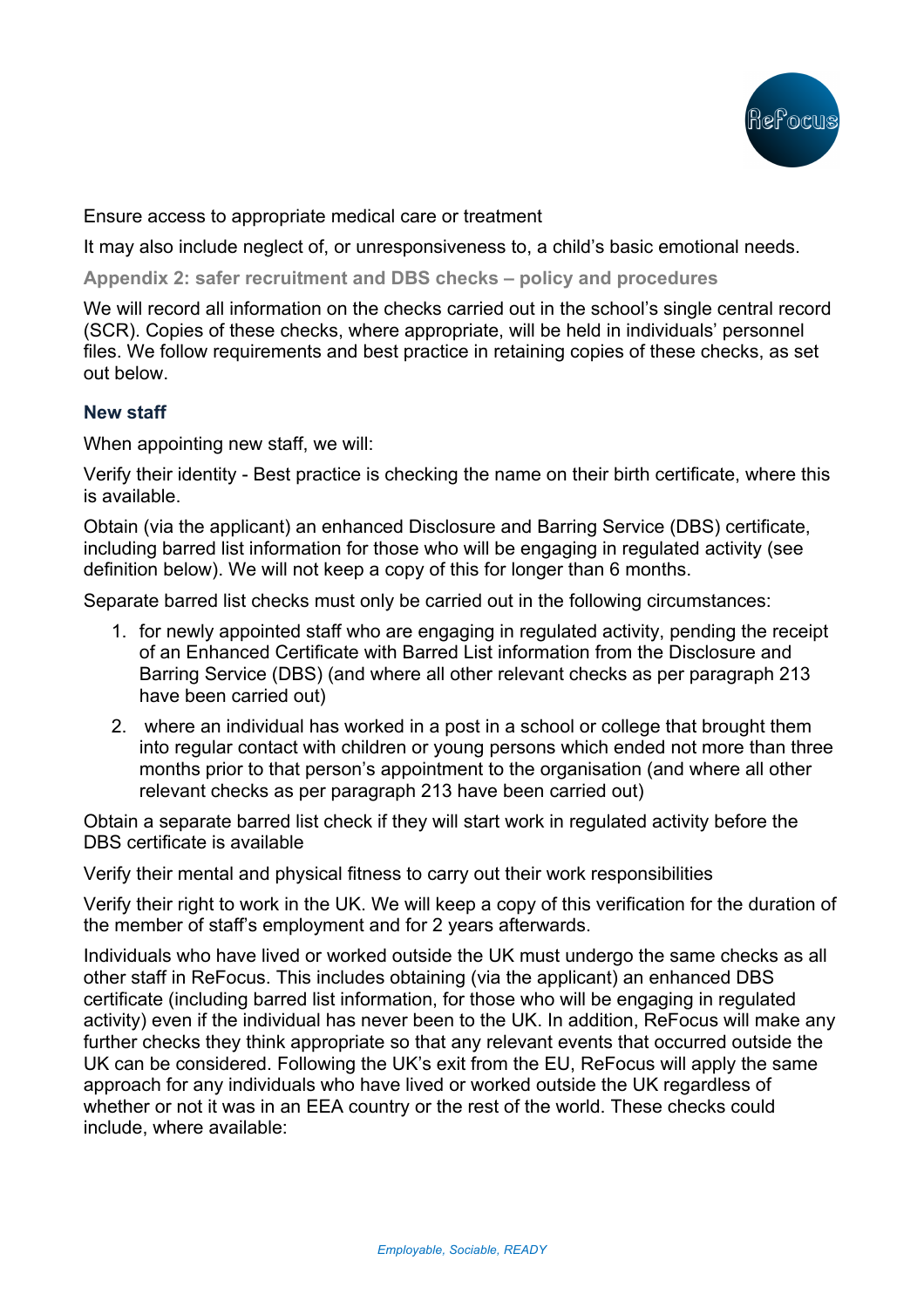

Ensure access to appropriate medical care or treatment

It may also include neglect of, or unresponsiveness to, a child's basic emotional needs.

**Appendix 2: safer recruitment and DBS checks – policy and procedures**

We will record all information on the checks carried out in the school's single central record (SCR). Copies of these checks, where appropriate, will be held in individuals' personnel files. We follow requirements and best practice in retaining copies of these checks, as set out below.

## **New staff**

When appointing new staff, we will:

Verify their identity - Best practice is checking the name on their birth certificate, where this is available.

Obtain (via the applicant) an enhanced Disclosure and Barring Service (DBS) certificate, including barred list information for those who will be engaging in regulated activity (see definition below). We will not keep a copy of this for longer than 6 months.

Separate barred list checks must only be carried out in the following circumstances:

- 1. for newly appointed staff who are engaging in regulated activity, pending the receipt of an Enhanced Certificate with Barred List information from the Disclosure and Barring Service (DBS) (and where all other relevant checks as per paragraph 213 have been carried out)
- 2. where an individual has worked in a post in a school or college that brought them into regular contact with children or young persons which ended not more than three months prior to that person's appointment to the organisation (and where all other relevant checks as per paragraph 213 have been carried out)

Obtain a separate barred list check if they will start work in regulated activity before the DBS certificate is available

Verify their mental and physical fitness to carry out their work responsibilities

Verify their right to work in the UK. We will keep a copy of this verification for the duration of the member of staff's employment and for 2 years afterwards.

Individuals who have lived or worked outside the UK must undergo the same checks as all other staff in ReFocus. This includes obtaining (via the applicant) an enhanced DBS certificate (including barred list information, for those who will be engaging in regulated activity) even if the individual has never been to the UK. In addition, ReFocus will make any further checks they think appropriate so that any relevant events that occurred outside the UK can be considered. Following the UK's exit from the EU, ReFocus will apply the same approach for any individuals who have lived or worked outside the UK regardless of whether or not it was in an EEA country or the rest of the world. These checks could include, where available: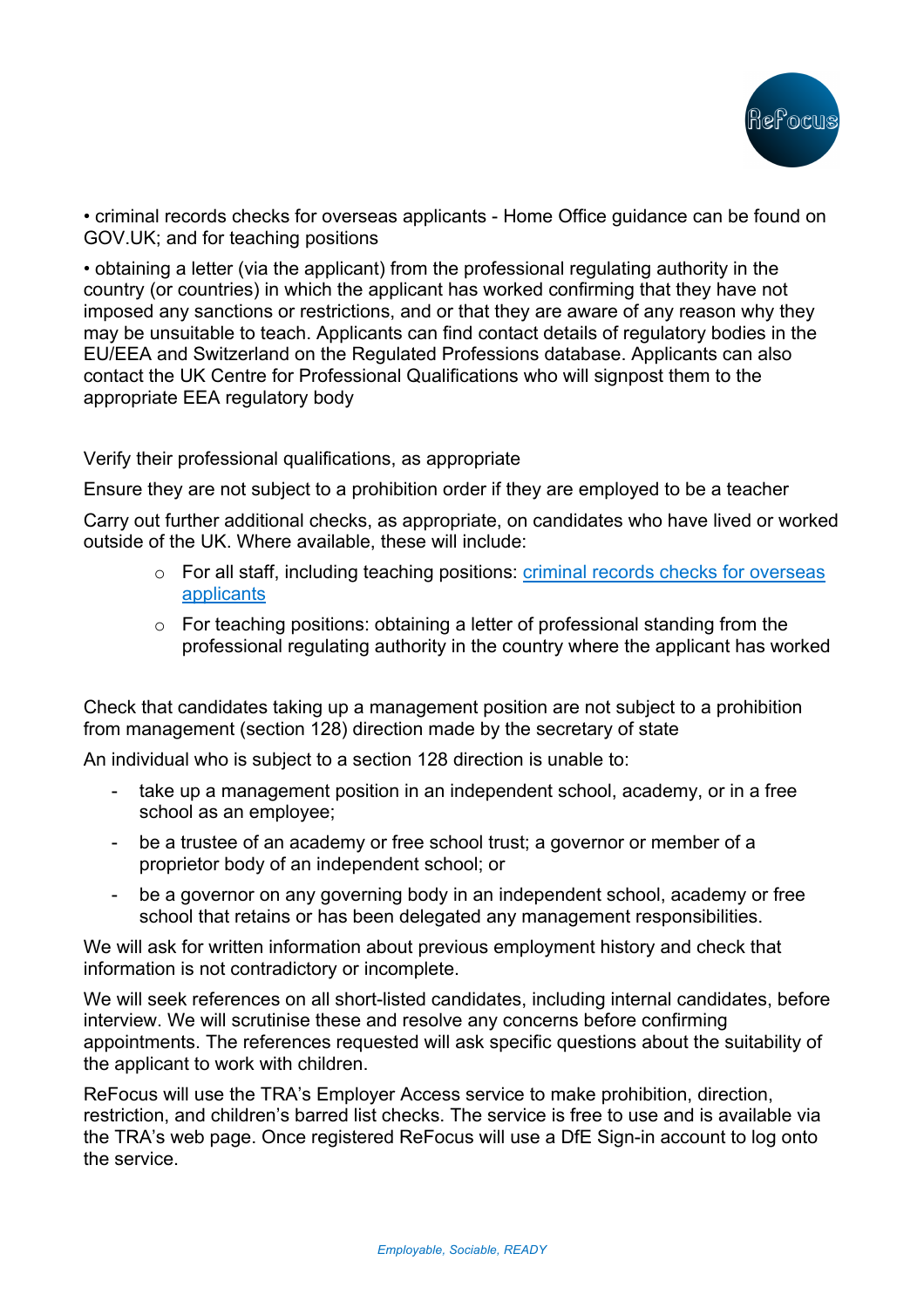

• criminal records checks for overseas applicants - Home Office guidance can be found on GOV.UK; and for teaching positions

• obtaining a letter (via the applicant) from the professional regulating authority in the country (or countries) in which the applicant has worked confirming that they have not imposed any sanctions or restrictions, and or that they are aware of any reason why they may be unsuitable to teach. Applicants can find contact details of regulatory bodies in the EU/EEA and Switzerland on the Regulated Professions database. Applicants can also contact the UK Centre for Professional Qualifications who will signpost them to the appropriate EEA regulatory body

Verify their professional qualifications, as appropriate

Ensure they are not subject to a prohibition order if they are employed to be a teacher

Carry out further additional checks, as appropriate, on candidates who have lived or worked outside of the UK. Where available, these will include:

- o For all staff, including teaching positions: criminal records checks for overseas applicants
- o For teaching positions: obtaining a letter of professional standing from the professional regulating authority in the country where the applicant has worked

Check that candidates taking up a management position are not subject to a prohibition from management (section 128) direction made by the secretary of state

An individual who is subject to a section 128 direction is unable to:

- take up a management position in an independent school, academy, or in a free school as an employee;
- be a trustee of an academy or free school trust; a governor or member of a proprietor body of an independent school; or
- be a governor on any governing body in an independent school, academy or free school that retains or has been delegated any management responsibilities.

We will ask for written information about previous employment history and check that information is not contradictory or incomplete.

We will seek references on all short-listed candidates, including internal candidates, before interview. We will scrutinise these and resolve any concerns before confirming appointments. The references requested will ask specific questions about the suitability of the applicant to work with children.

ReFocus will use the TRA's Employer Access service to make prohibition, direction, restriction, and children's barred list checks. The service is free to use and is available via the TRA's web page. Once registered ReFocus will use a DfE Sign-in account to log onto the service.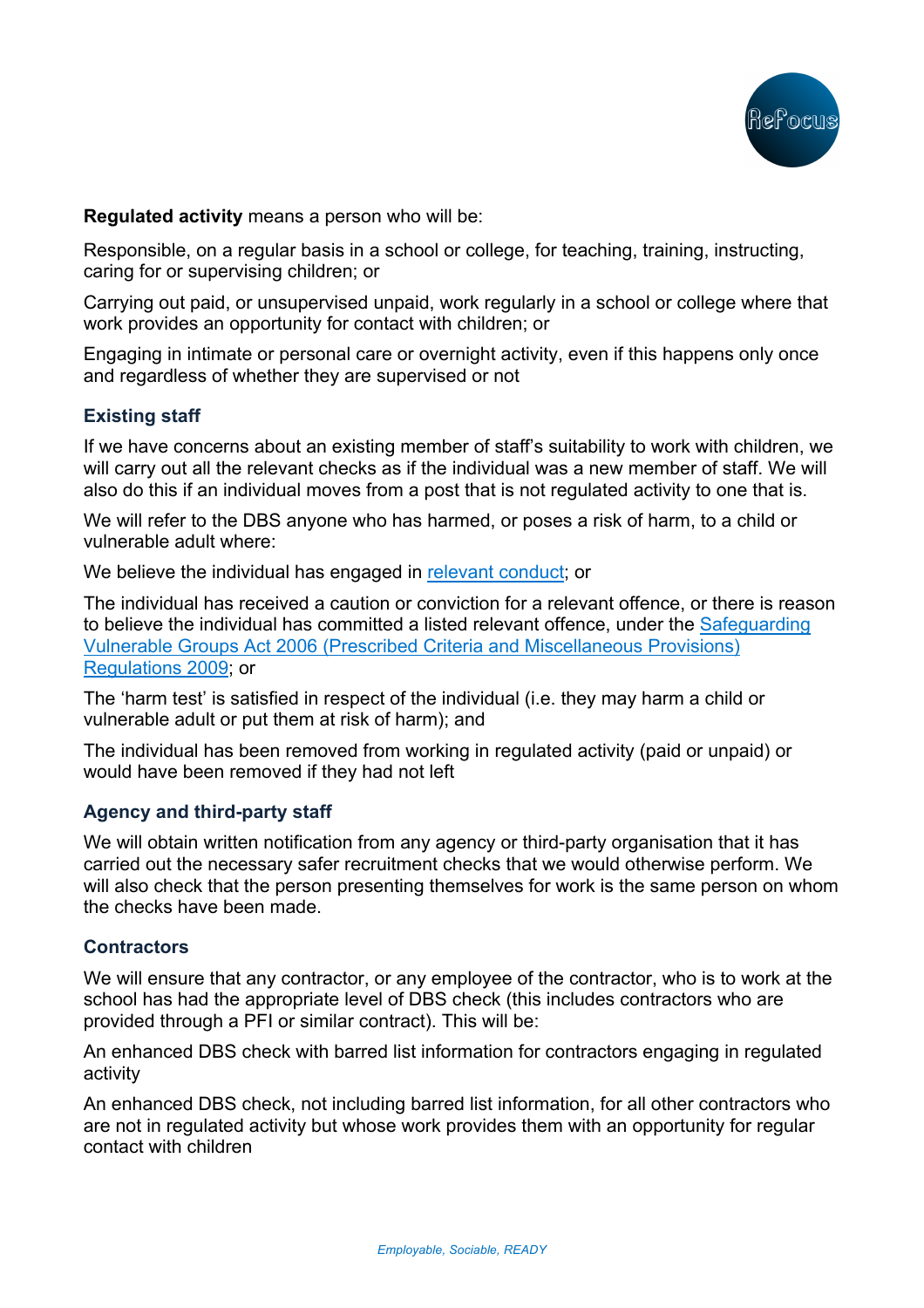

**Regulated activity** means a person who will be:

Responsible, on a regular basis in a school or college, for teaching, training, instructing, caring for or supervising children; or

Carrying out paid, or unsupervised unpaid, work regularly in a school or college where that work provides an opportunity for contact with children; or

Engaging in intimate or personal care or overnight activity, even if this happens only once and regardless of whether they are supervised or not

## **Existing staff**

If we have concerns about an existing member of staff's suitability to work with children, we will carry out all the relevant checks as if the individual was a new member of staff. We will also do this if an individual moves from a post that is not regulated activity to one that is.

We will refer to the DBS anyone who has harmed, or poses a risk of harm, to a child or vulnerable adult where:

We believe the individual has engaged in relevant conduct; or

The individual has received a caution or conviction for a relevant offence, or there is reason to believe the individual has committed a listed relevant offence, under the Safeguarding Vulnerable Groups Act 2006 (Prescribed Criteria and Miscellaneous Provisions) Regulations 2009; or

The 'harm test' is satisfied in respect of the individual (i.e. they may harm a child or vulnerable adult or put them at risk of harm); and

The individual has been removed from working in regulated activity (paid or unpaid) or would have been removed if they had not left

## **Agency and third-party staff**

We will obtain written notification from any agency or third-party organisation that it has carried out the necessary safer recruitment checks that we would otherwise perform. We will also check that the person presenting themselves for work is the same person on whom the checks have been made.

### **Contractors**

We will ensure that any contractor, or any employee of the contractor, who is to work at the school has had the appropriate level of DBS check (this includes contractors who are provided through a PFI or similar contract). This will be:

An enhanced DBS check with barred list information for contractors engaging in regulated activity

An enhanced DBS check, not including barred list information, for all other contractors who are not in regulated activity but whose work provides them with an opportunity for regular contact with children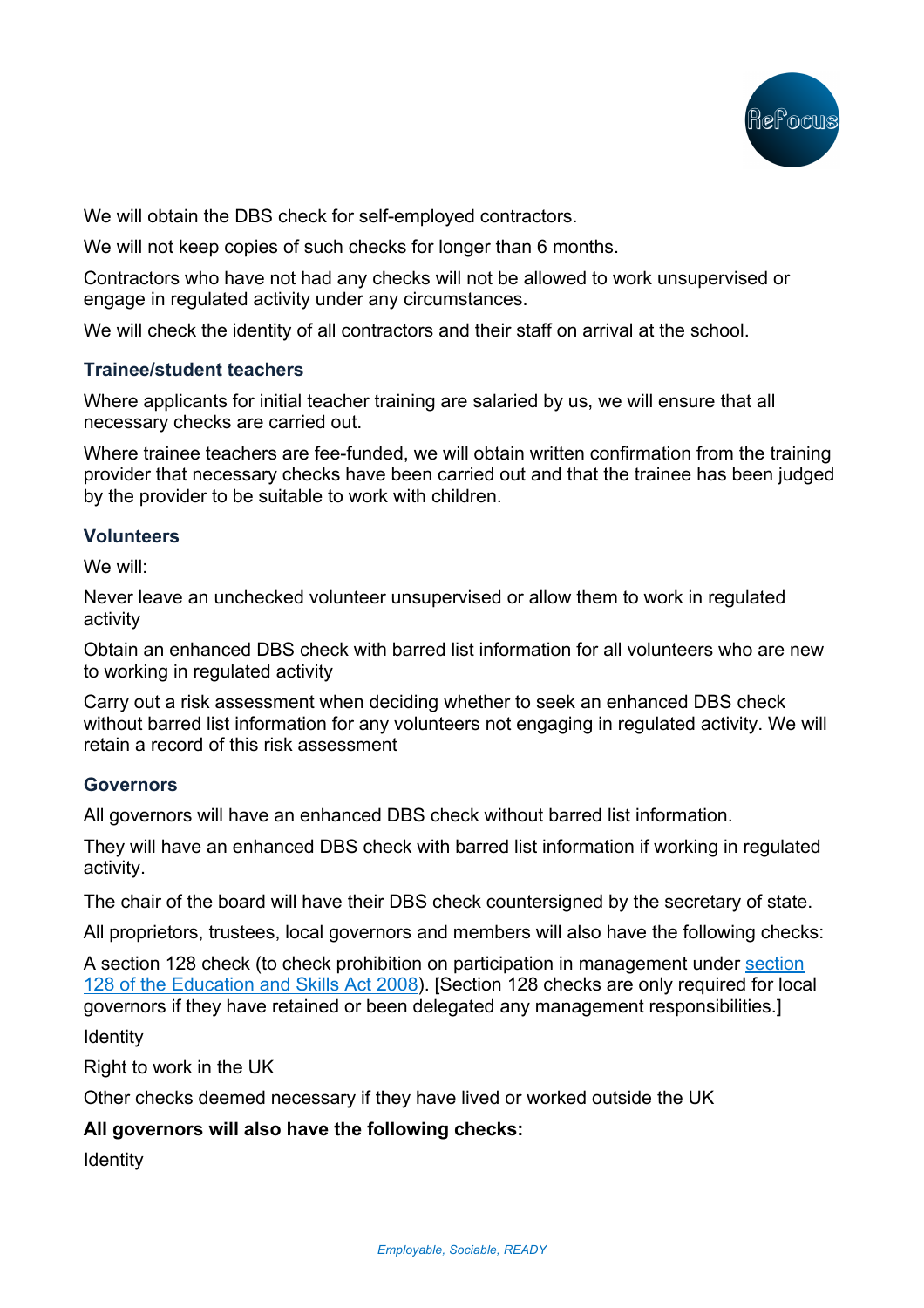

We will obtain the DBS check for self-employed contractors.

We will not keep copies of such checks for longer than 6 months.

Contractors who have not had any checks will not be allowed to work unsupervised or engage in regulated activity under any circumstances.

We will check the identity of all contractors and their staff on arrival at the school.

### **Trainee/student teachers**

Where applicants for initial teacher training are salaried by us, we will ensure that all necessary checks are carried out.

Where trainee teachers are fee-funded, we will obtain written confirmation from the training provider that necessary checks have been carried out and that the trainee has been judged by the provider to be suitable to work with children.

### **Volunteers**

We will:

Never leave an unchecked volunteer unsupervised or allow them to work in regulated activity

Obtain an enhanced DBS check with barred list information for all volunteers who are new to working in regulated activity

Carry out a risk assessment when deciding whether to seek an enhanced DBS check without barred list information for any volunteers not engaging in regulated activity. We will retain a record of this risk assessment

### **Governors**

All governors will have an enhanced DBS check without barred list information.

They will have an enhanced DBS check with barred list information if working in regulated activity.

The chair of the board will have their DBS check countersigned by the secretary of state.

All proprietors, trustees, local governors and members will also have the following checks:

A section 128 check (to check prohibition on participation in management under section 128 of the Education and Skills Act 2008). [Section 128 checks are only required for local governors if they have retained or been delegated any management responsibilities.]

Identity

Right to work in the UK

Other checks deemed necessary if they have lived or worked outside the UK

## **All governors will also have the following checks:**

**Identity**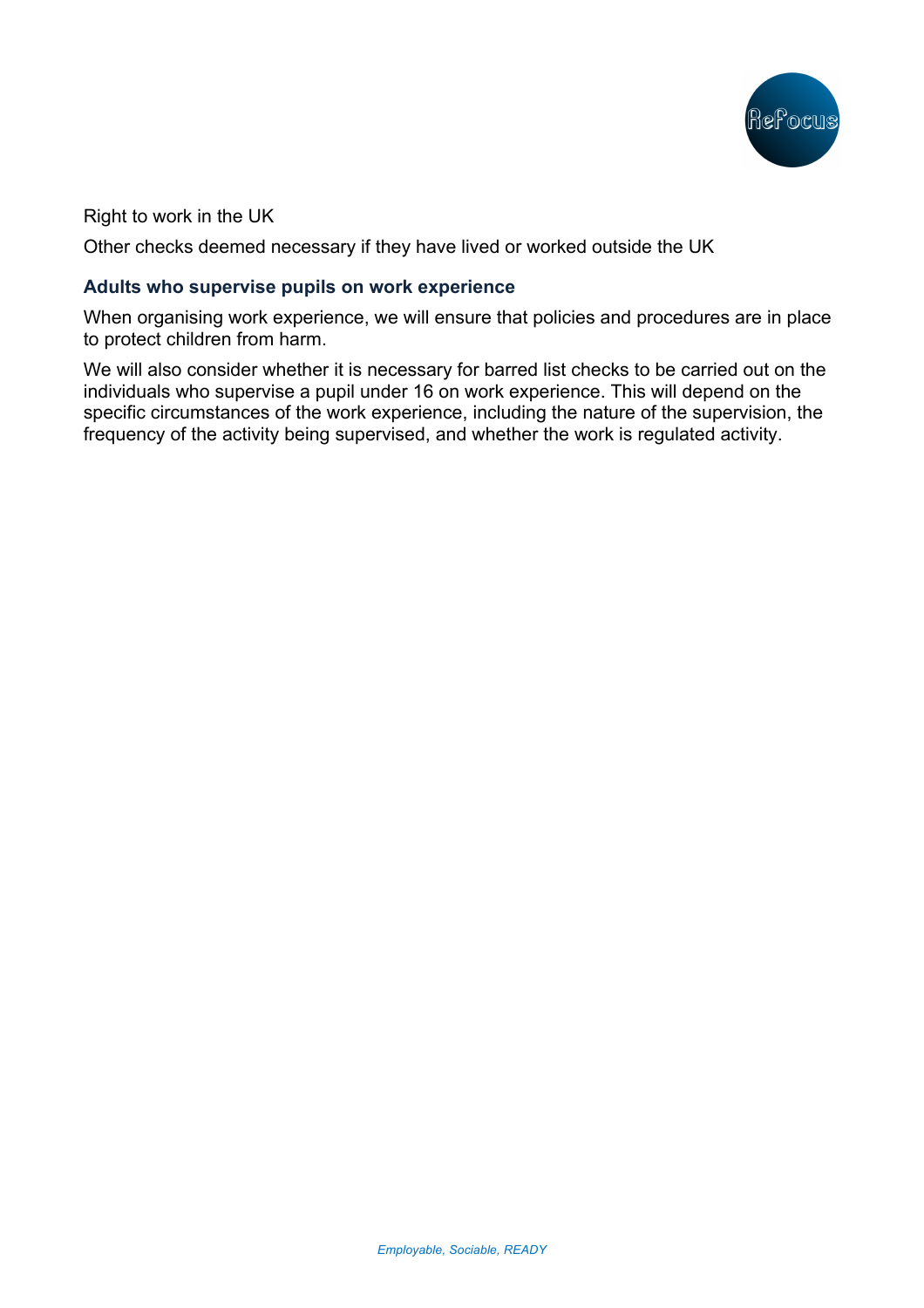

## Right to work in the UK

Other checks deemed necessary if they have lived or worked outside the UK

### **Adults who supervise pupils on work experience**

When organising work experience, we will ensure that policies and procedures are in place to protect children from harm.

We will also consider whether it is necessary for barred list checks to be carried out on the individuals who supervise a pupil under 16 on work experience. This will depend on the specific circumstances of the work experience, including the nature of the supervision, the frequency of the activity being supervised, and whether the work is regulated activity.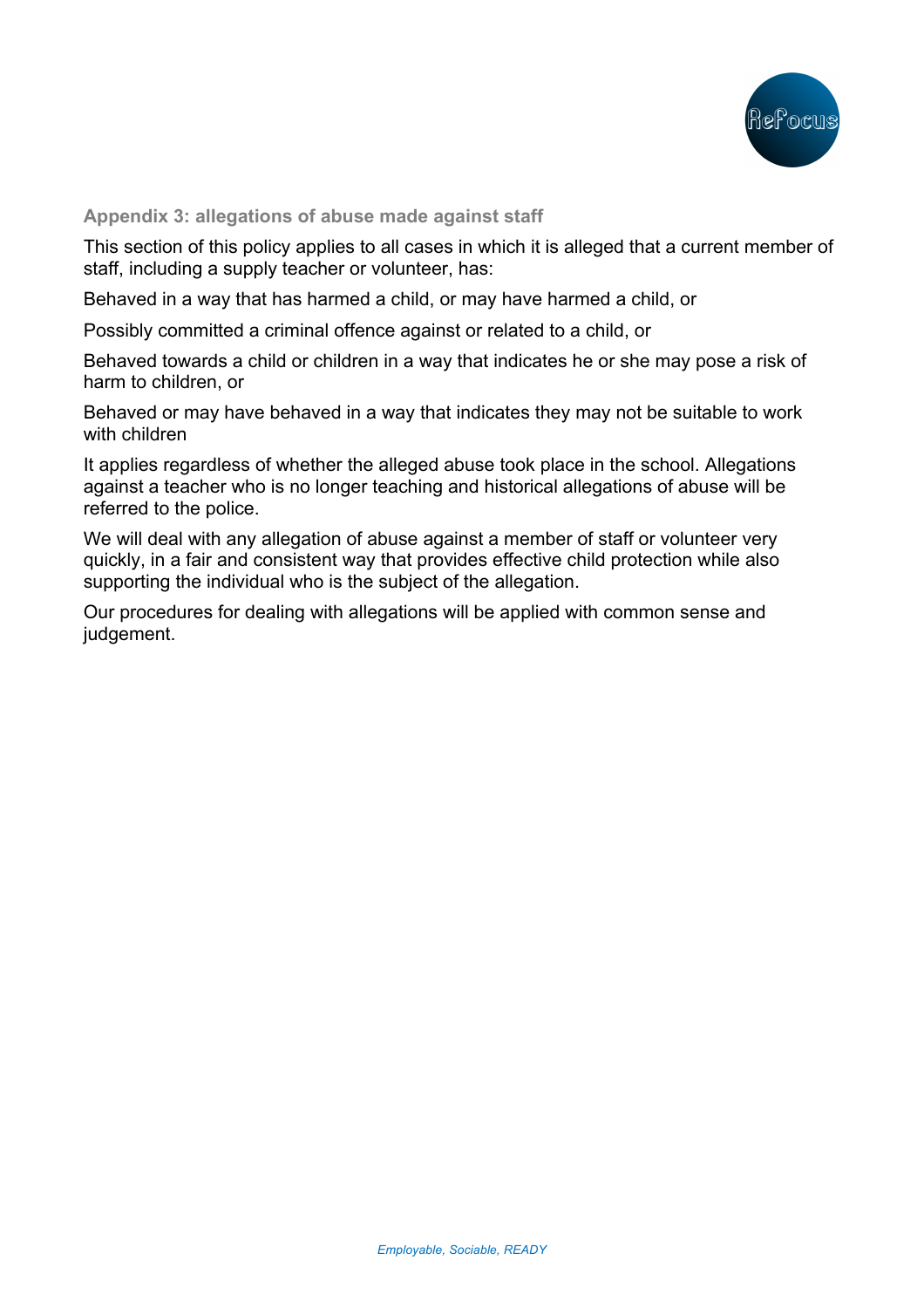

#### **Appendix 3: allegations of abuse made against staff**

This section of this policy applies to all cases in which it is alleged that a current member of staff, including a supply teacher or volunteer, has:

Behaved in a way that has harmed a child, or may have harmed a child, or

Possibly committed a criminal offence against or related to a child, or

Behaved towards a child or children in a way that indicates he or she may pose a risk of harm to children, or

Behaved or may have behaved in a way that indicates they may not be suitable to work with children

It applies regardless of whether the alleged abuse took place in the school. Allegations against a teacher who is no longer teaching and historical allegations of abuse will be referred to the police.

We will deal with any allegation of abuse against a member of staff or volunteer very quickly, in a fair and consistent way that provides effective child protection while also supporting the individual who is the subject of the allegation.

Our procedures for dealing with allegations will be applied with common sense and judgement.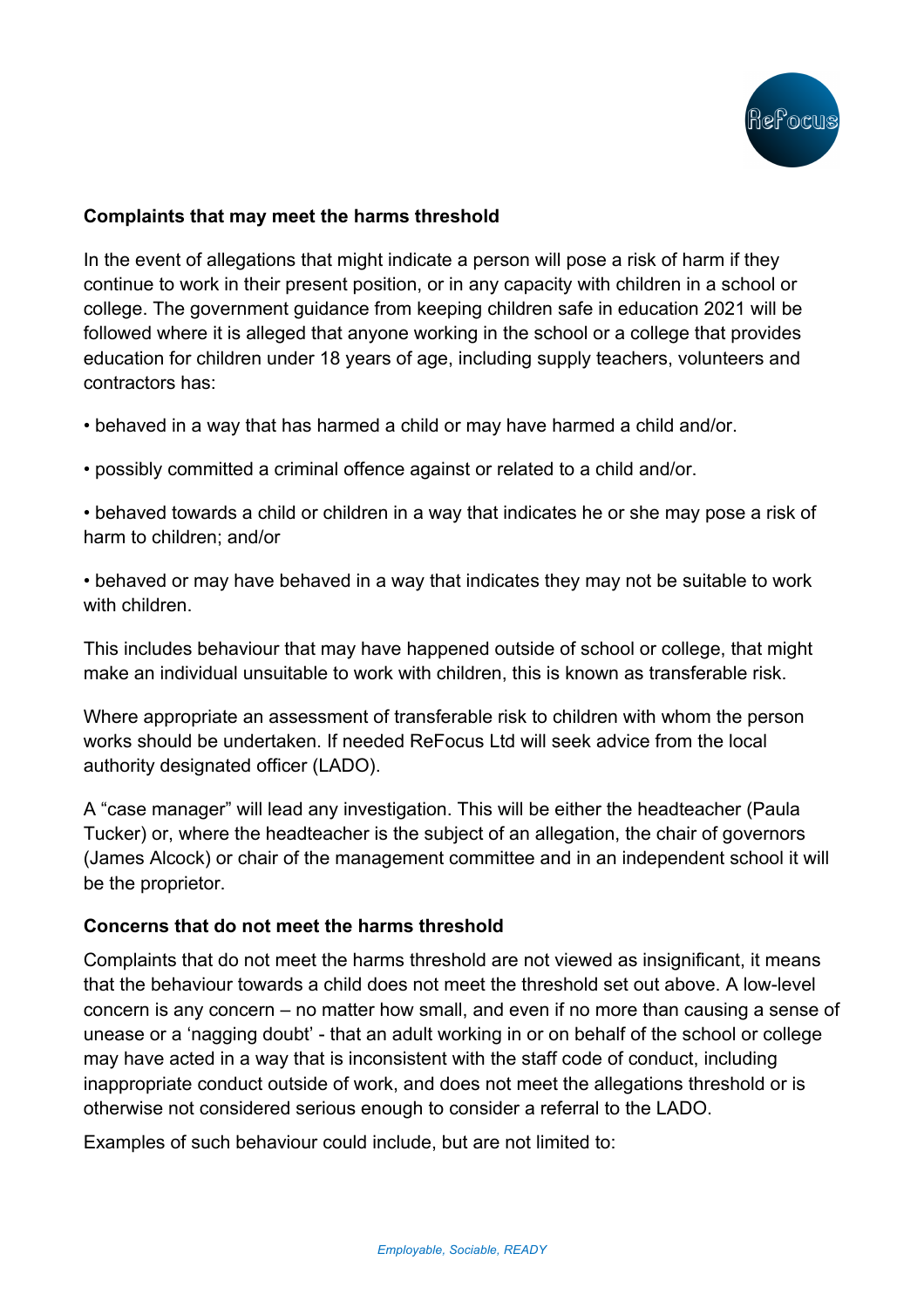

## **Complaints that may meet the harms threshold**

In the event of allegations that might indicate a person will pose a risk of harm if they continue to work in their present position, or in any capacity with children in a school or college. The government guidance from keeping children safe in education 2021 will be followed where it is alleged that anyone working in the school or a college that provides education for children under 18 years of age, including supply teachers, volunteers and contractors has:

• behaved in a way that has harmed a child or may have harmed a child and/or.

• possibly committed a criminal offence against or related to a child and/or.

• behaved towards a child or children in a way that indicates he or she may pose a risk of harm to children; and/or

• behaved or may have behaved in a way that indicates they may not be suitable to work with children.

This includes behaviour that may have happened outside of school or college, that might make an individual unsuitable to work with children, this is known as transferable risk.

Where appropriate an assessment of transferable risk to children with whom the person works should be undertaken. If needed ReFocus Ltd will seek advice from the local authority designated officer (LADO).

A "case manager" will lead any investigation. This will be either the headteacher (Paula Tucker) or, where the headteacher is the subject of an allegation, the chair of governors (James Alcock) or chair of the management committee and in an independent school it will be the proprietor.

## **Concerns that do not meet the harms threshold**

Complaints that do not meet the harms threshold are not viewed as insignificant, it means that the behaviour towards a child does not meet the threshold set out above. A low-level concern is any concern – no matter how small, and even if no more than causing a sense of unease or a 'nagging doubt' - that an adult working in or on behalf of the school or college may have acted in a way that is inconsistent with the staff code of conduct, including inappropriate conduct outside of work, and does not meet the allegations threshold or is otherwise not considered serious enough to consider a referral to the LADO.

Examples of such behaviour could include, but are not limited to: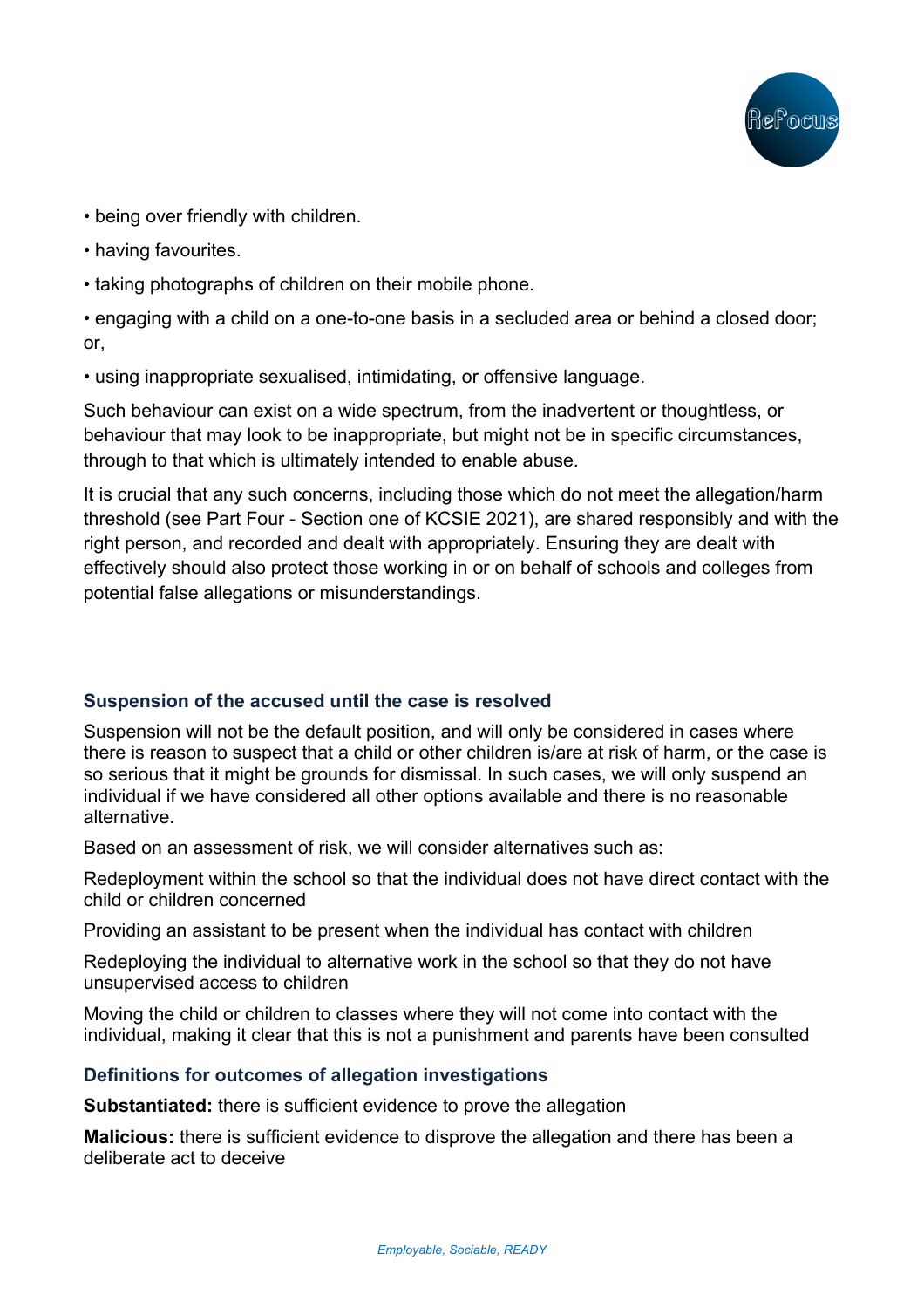

- being over friendly with children.
- having favourites.
- taking photographs of children on their mobile phone.

• engaging with a child on a one-to-one basis in a secluded area or behind a closed door; or,

• using inappropriate sexualised, intimidating, or offensive language.

Such behaviour can exist on a wide spectrum, from the inadvertent or thoughtless, or behaviour that may look to be inappropriate, but might not be in specific circumstances, through to that which is ultimately intended to enable abuse.

It is crucial that any such concerns, including those which do not meet the allegation/harm threshold (see Part Four - Section one of KCSIE 2021), are shared responsibly and with the right person, and recorded and dealt with appropriately. Ensuring they are dealt with effectively should also protect those working in or on behalf of schools and colleges from potential false allegations or misunderstandings.

# **Suspension of the accused until the case is resolved**

Suspension will not be the default position, and will only be considered in cases where there is reason to suspect that a child or other children is/are at risk of harm, or the case is so serious that it might be grounds for dismissal. In such cases, we will only suspend an individual if we have considered all other options available and there is no reasonable alternative.

Based on an assessment of risk, we will consider alternatives such as:

Redeployment within the school so that the individual does not have direct contact with the child or children concerned

Providing an assistant to be present when the individual has contact with children

Redeploying the individual to alternative work in the school so that they do not have unsupervised access to children

Moving the child or children to classes where they will not come into contact with the individual, making it clear that this is not a punishment and parents have been consulted

## **Definitions for outcomes of allegation investigations**

**Substantiated:** there is sufficient evidence to prove the allegation

**Malicious:** there is sufficient evidence to disprove the allegation and there has been a deliberate act to deceive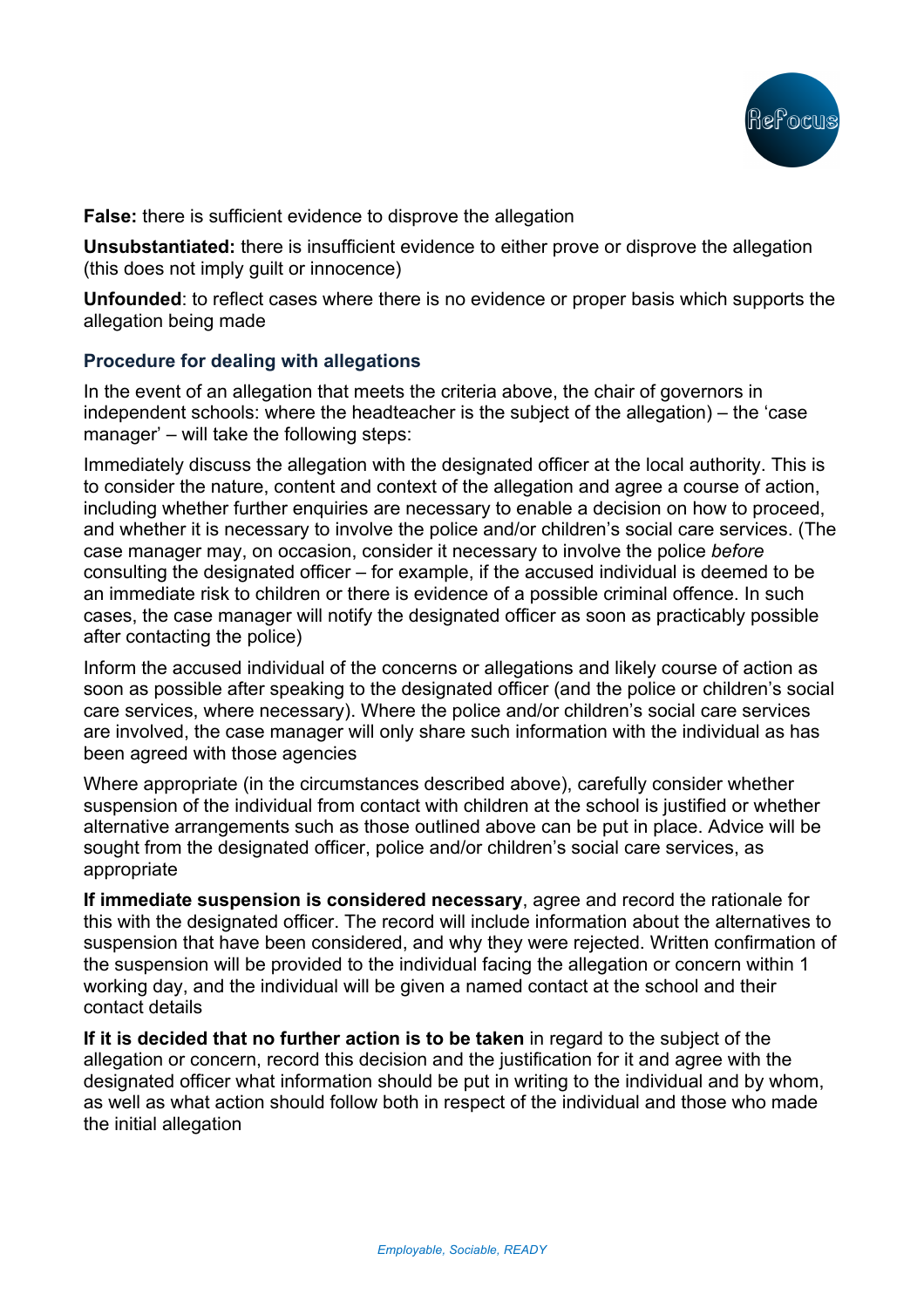

**False:** there is sufficient evidence to disprove the allegation

**Unsubstantiated:** there is insufficient evidence to either prove or disprove the allegation (this does not imply guilt or innocence)

**Unfounded**: to reflect cases where there is no evidence or proper basis which supports the allegation being made

## **Procedure for dealing with allegations**

In the event of an allegation that meets the criteria above, the chair of governors in independent schools: where the headteacher is the subject of the allegation) – the 'case manager' – will take the following steps:

Immediately discuss the allegation with the designated officer at the local authority. This is to consider the nature, content and context of the allegation and agree a course of action, including whether further enquiries are necessary to enable a decision on how to proceed, and whether it is necessary to involve the police and/or children's social care services. (The case manager may, on occasion, consider it necessary to involve the police *before* consulting the designated officer – for example, if the accused individual is deemed to be an immediate risk to children or there is evidence of a possible criminal offence. In such cases, the case manager will notify the designated officer as soon as practicably possible after contacting the police)

Inform the accused individual of the concerns or allegations and likely course of action as soon as possible after speaking to the designated officer (and the police or children's social care services, where necessary). Where the police and/or children's social care services are involved, the case manager will only share such information with the individual as has been agreed with those agencies

Where appropriate (in the circumstances described above), carefully consider whether suspension of the individual from contact with children at the school is justified or whether alternative arrangements such as those outlined above can be put in place. Advice will be sought from the designated officer, police and/or children's social care services, as appropriate

**If immediate suspension is considered necessary**, agree and record the rationale for this with the designated officer. The record will include information about the alternatives to suspension that have been considered, and why they were rejected. Written confirmation of the suspension will be provided to the individual facing the allegation or concern within 1 working day, and the individual will be given a named contact at the school and their contact details

**If it is decided that no further action is to be taken** in regard to the subject of the allegation or concern, record this decision and the justification for it and agree with the designated officer what information should be put in writing to the individual and by whom, as well as what action should follow both in respect of the individual and those who made the initial allegation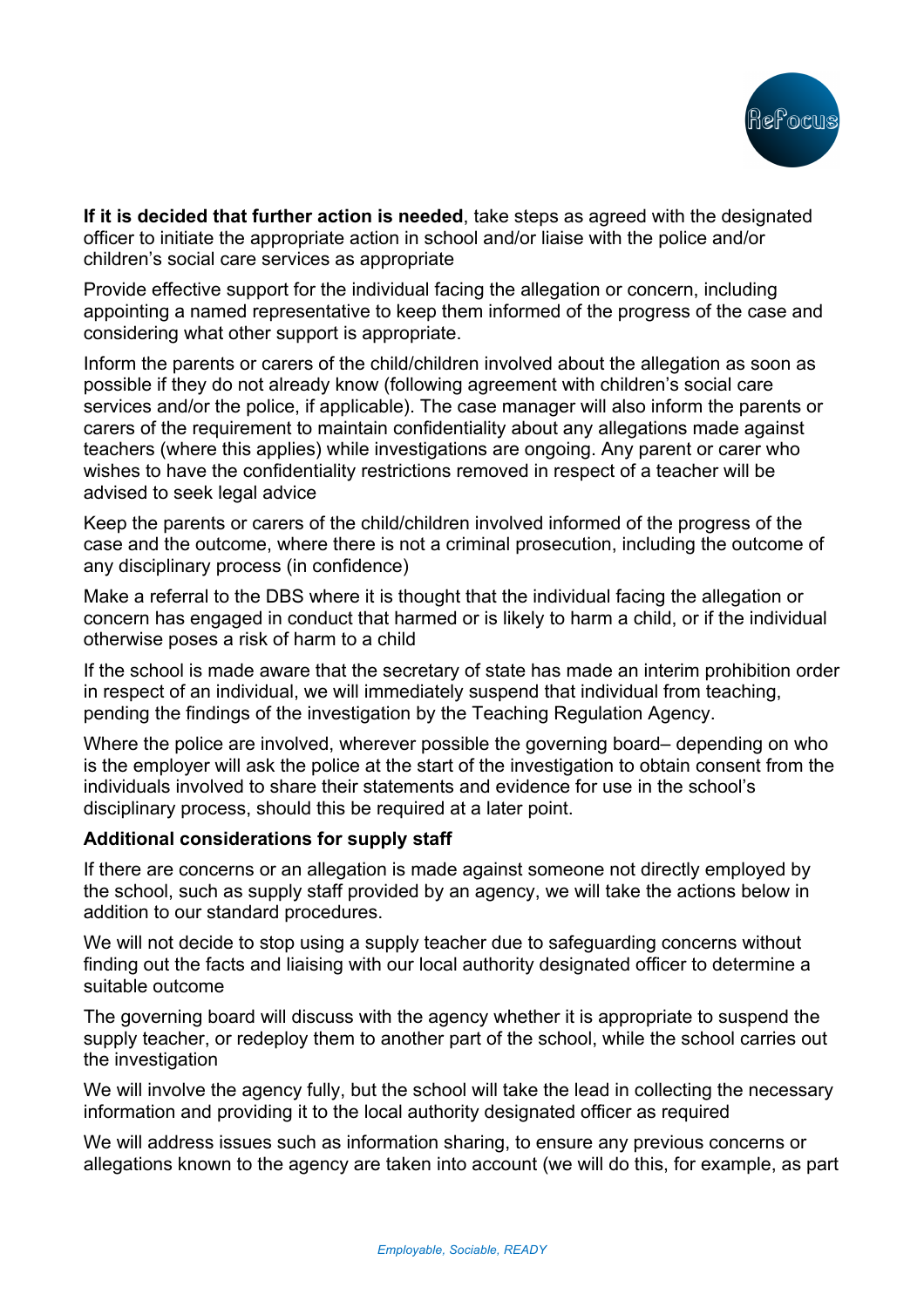

**If it is decided that further action is needed**, take steps as agreed with the designated officer to initiate the appropriate action in school and/or liaise with the police and/or children's social care services as appropriate

Provide effective support for the individual facing the allegation or concern, including appointing a named representative to keep them informed of the progress of the case and considering what other support is appropriate.

Inform the parents or carers of the child/children involved about the allegation as soon as possible if they do not already know (following agreement with children's social care services and/or the police, if applicable). The case manager will also inform the parents or carers of the requirement to maintain confidentiality about any allegations made against teachers (where this applies) while investigations are ongoing. Any parent or carer who wishes to have the confidentiality restrictions removed in respect of a teacher will be advised to seek legal advice

Keep the parents or carers of the child/children involved informed of the progress of the case and the outcome, where there is not a criminal prosecution, including the outcome of any disciplinary process (in confidence)

Make a referral to the DBS where it is thought that the individual facing the allegation or concern has engaged in conduct that harmed or is likely to harm a child, or if the individual otherwise poses a risk of harm to a child

If the school is made aware that the secretary of state has made an interim prohibition order in respect of an individual, we will immediately suspend that individual from teaching, pending the findings of the investigation by the Teaching Regulation Agency.

Where the police are involved, wherever possible the governing board– depending on who is the employer will ask the police at the start of the investigation to obtain consent from the individuals involved to share their statements and evidence for use in the school's disciplinary process, should this be required at a later point.

## **Additional considerations for supply staff**

If there are concerns or an allegation is made against someone not directly employed by the school, such as supply staff provided by an agency, we will take the actions below in addition to our standard procedures.

We will not decide to stop using a supply teacher due to safeguarding concerns without finding out the facts and liaising with our local authority designated officer to determine a suitable outcome

The governing board will discuss with the agency whether it is appropriate to suspend the supply teacher, or redeploy them to another part of the school, while the school carries out the investigation

We will involve the agency fully, but the school will take the lead in collecting the necessary information and providing it to the local authority designated officer as required

We will address issues such as information sharing, to ensure any previous concerns or allegations known to the agency are taken into account (we will do this, for example, as part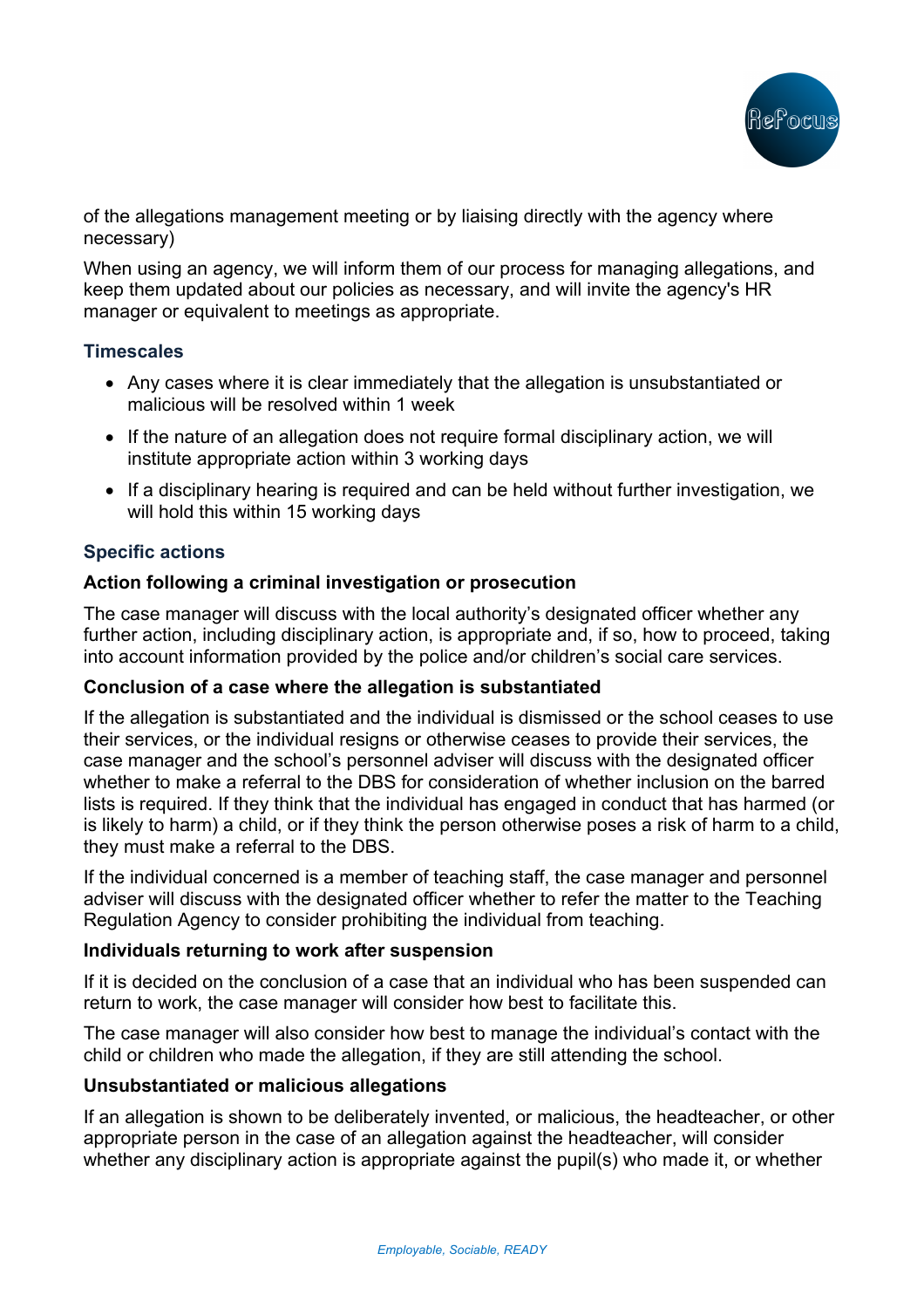

of the allegations management meeting or by liaising directly with the agency where necessary)

When using an agency, we will inform them of our process for managing allegations, and keep them updated about our policies as necessary, and will invite the agency's HR manager or equivalent to meetings as appropriate.

### **Timescales**

- Any cases where it is clear immediately that the allegation is unsubstantiated or malicious will be resolved within 1 week
- If the nature of an allegation does not require formal disciplinary action, we will institute appropriate action within 3 working days
- If a disciplinary hearing is required and can be held without further investigation, we will hold this within 15 working days

## **Specific actions**

### **Action following a criminal investigation or prosecution**

The case manager will discuss with the local authority's designated officer whether any further action, including disciplinary action, is appropriate and, if so, how to proceed, taking into account information provided by the police and/or children's social care services.

### **Conclusion of a case where the allegation is substantiated**

If the allegation is substantiated and the individual is dismissed or the school ceases to use their services, or the individual resigns or otherwise ceases to provide their services, the case manager and the school's personnel adviser will discuss with the designated officer whether to make a referral to the DBS for consideration of whether inclusion on the barred lists is required. If they think that the individual has engaged in conduct that has harmed (or is likely to harm) a child, or if they think the person otherwise poses a risk of harm to a child, they must make a referral to the DBS.

If the individual concerned is a member of teaching staff, the case manager and personnel adviser will discuss with the designated officer whether to refer the matter to the Teaching Regulation Agency to consider prohibiting the individual from teaching.

### **Individuals returning to work after suspension**

If it is decided on the conclusion of a case that an individual who has been suspended can return to work, the case manager will consider how best to facilitate this.

The case manager will also consider how best to manage the individual's contact with the child or children who made the allegation, if they are still attending the school.

### **Unsubstantiated or malicious allegations**

If an allegation is shown to be deliberately invented, or malicious, the headteacher, or other appropriate person in the case of an allegation against the headteacher, will consider whether any disciplinary action is appropriate against the pupil(s) who made it, or whether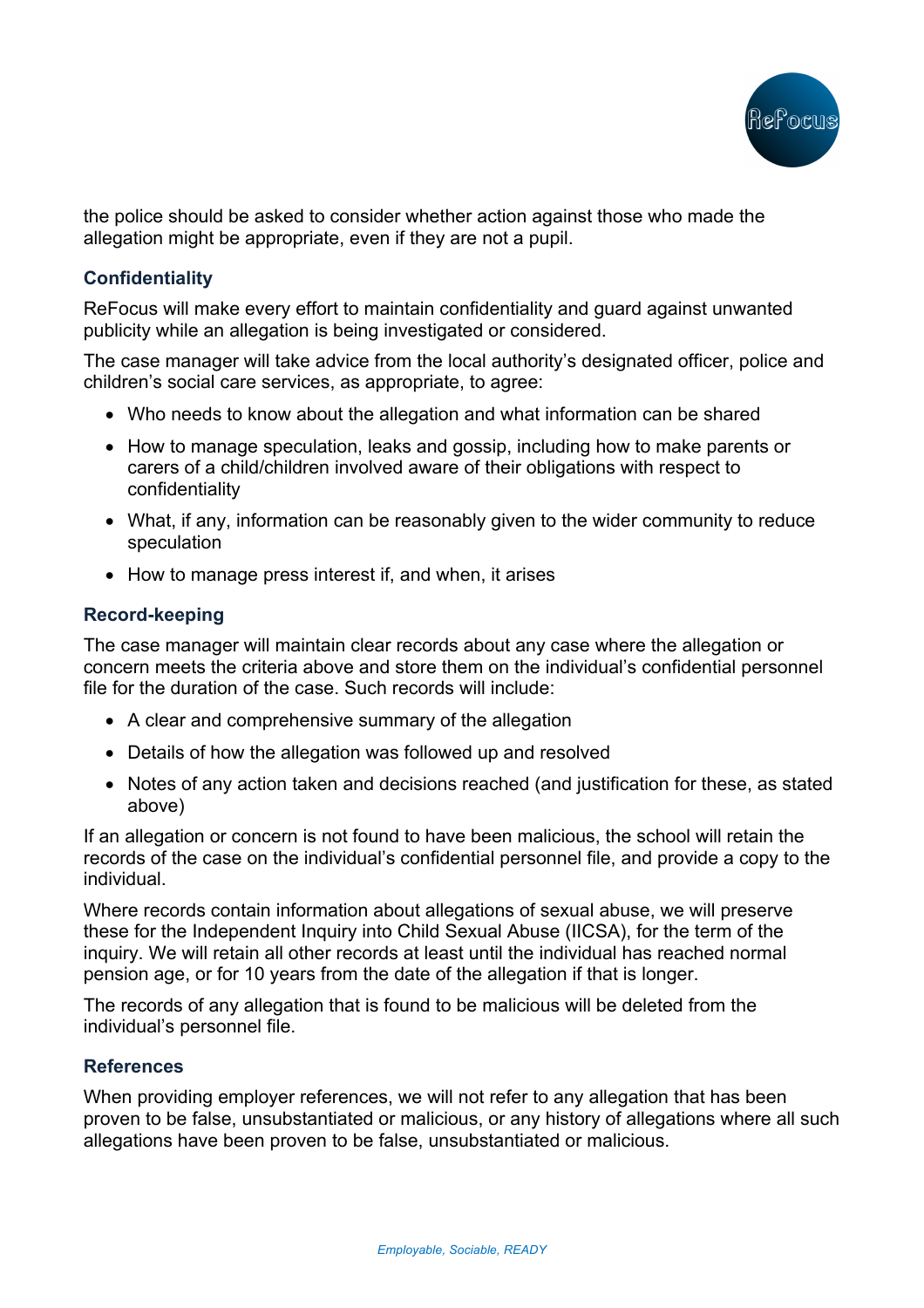

the police should be asked to consider whether action against those who made the allegation might be appropriate, even if they are not a pupil.

## **Confidentiality**

ReFocus will make every effort to maintain confidentiality and guard against unwanted publicity while an allegation is being investigated or considered.

The case manager will take advice from the local authority's designated officer, police and children's social care services, as appropriate, to agree:

- Who needs to know about the allegation and what information can be shared
- How to manage speculation, leaks and gossip, including how to make parents or carers of a child/children involved aware of their obligations with respect to confidentiality
- What, if any, information can be reasonably given to the wider community to reduce speculation
- How to manage press interest if, and when, it arises

## **Record-keeping**

The case manager will maintain clear records about any case where the allegation or concern meets the criteria above and store them on the individual's confidential personnel file for the duration of the case. Such records will include:

- A clear and comprehensive summary of the allegation
- Details of how the allegation was followed up and resolved
- Notes of any action taken and decisions reached (and justification for these, as stated above)

If an allegation or concern is not found to have been malicious, the school will retain the records of the case on the individual's confidential personnel file, and provide a copy to the individual.

Where records contain information about allegations of sexual abuse, we will preserve these for the Independent Inquiry into Child Sexual Abuse (IICSA), for the term of the inquiry. We will retain all other records at least until the individual has reached normal pension age, or for 10 years from the date of the allegation if that is longer.

The records of any allegation that is found to be malicious will be deleted from the individual's personnel file.

## **References**

When providing employer references, we will not refer to any allegation that has been proven to be false, unsubstantiated or malicious, or any history of allegations where all such allegations have been proven to be false, unsubstantiated or malicious.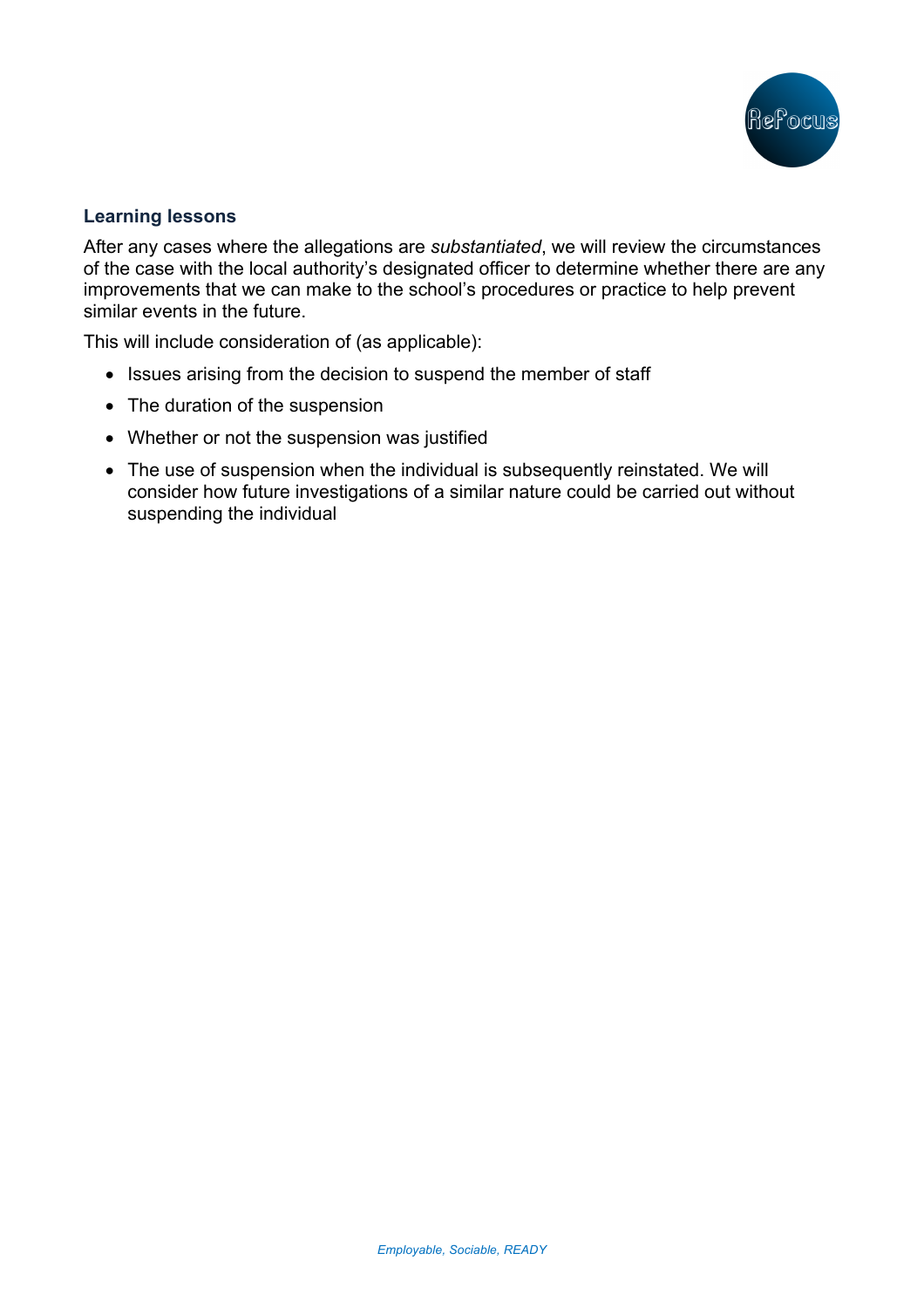

### **Learning lessons**

After any cases where the allegations are *substantiated*, we will review the circumstances of the case with the local authority's designated officer to determine whether there are any improvements that we can make to the school's procedures or practice to help prevent similar events in the future.

This will include consideration of (as applicable):

- Issues arising from the decision to suspend the member of staff
- The duration of the suspension
- Whether or not the suspension was justified
- The use of suspension when the individual is subsequently reinstated. We will consider how future investigations of a similar nature could be carried out without suspending the individual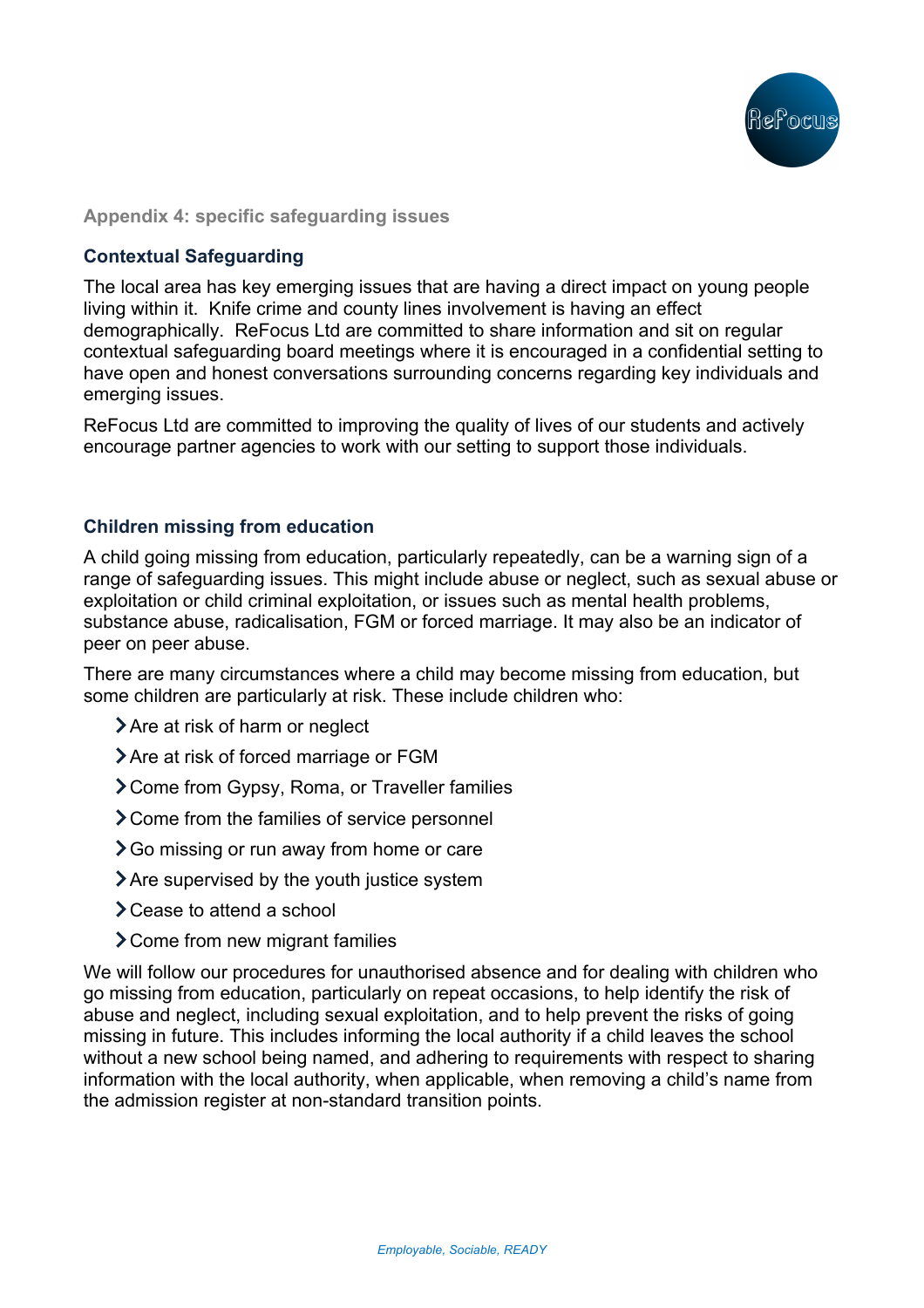

### **Appendix 4: specific safeguarding issues**

## **Contextual Safeguarding**

The local area has key emerging issues that are having a direct impact on young people living within it. Knife crime and county lines involvement is having an effect demographically. ReFocus Ltd are committed to share information and sit on regular contextual safeguarding board meetings where it is encouraged in a confidential setting to have open and honest conversations surrounding concerns regarding key individuals and emerging issues.

ReFocus Ltd are committed to improving the quality of lives of our students and actively encourage partner agencies to work with our setting to support those individuals.

### **Children missing from education**

A child going missing from education, particularly repeatedly, can be a warning sign of a range of safeguarding issues. This might include abuse or neglect, such as sexual abuse or exploitation or child criminal exploitation, or issues such as mental health problems, substance abuse, radicalisation, FGM or forced marriage. It may also be an indicator of peer on peer abuse.

There are many circumstances where a child may become missing from education, but some children are particularly at risk. These include children who:

- > Are at risk of harm or neglect
- > Are at risk of forced marriage or FGM
- Come from Gypsy, Roma, or Traveller families
- > Come from the families of service personnel
- **>** Go missing or run away from home or care
- Are supervised by the youth justice system
- **>**Cease to attend a school
- Come from new migrant families

We will follow our procedures for unauthorised absence and for dealing with children who go missing from education, particularly on repeat occasions, to help identify the risk of abuse and neglect, including sexual exploitation, and to help prevent the risks of going missing in future. This includes informing the local authority if a child leaves the school without a new school being named, and adhering to requirements with respect to sharing information with the local authority, when applicable, when removing a child's name from the admission register at non-standard transition points.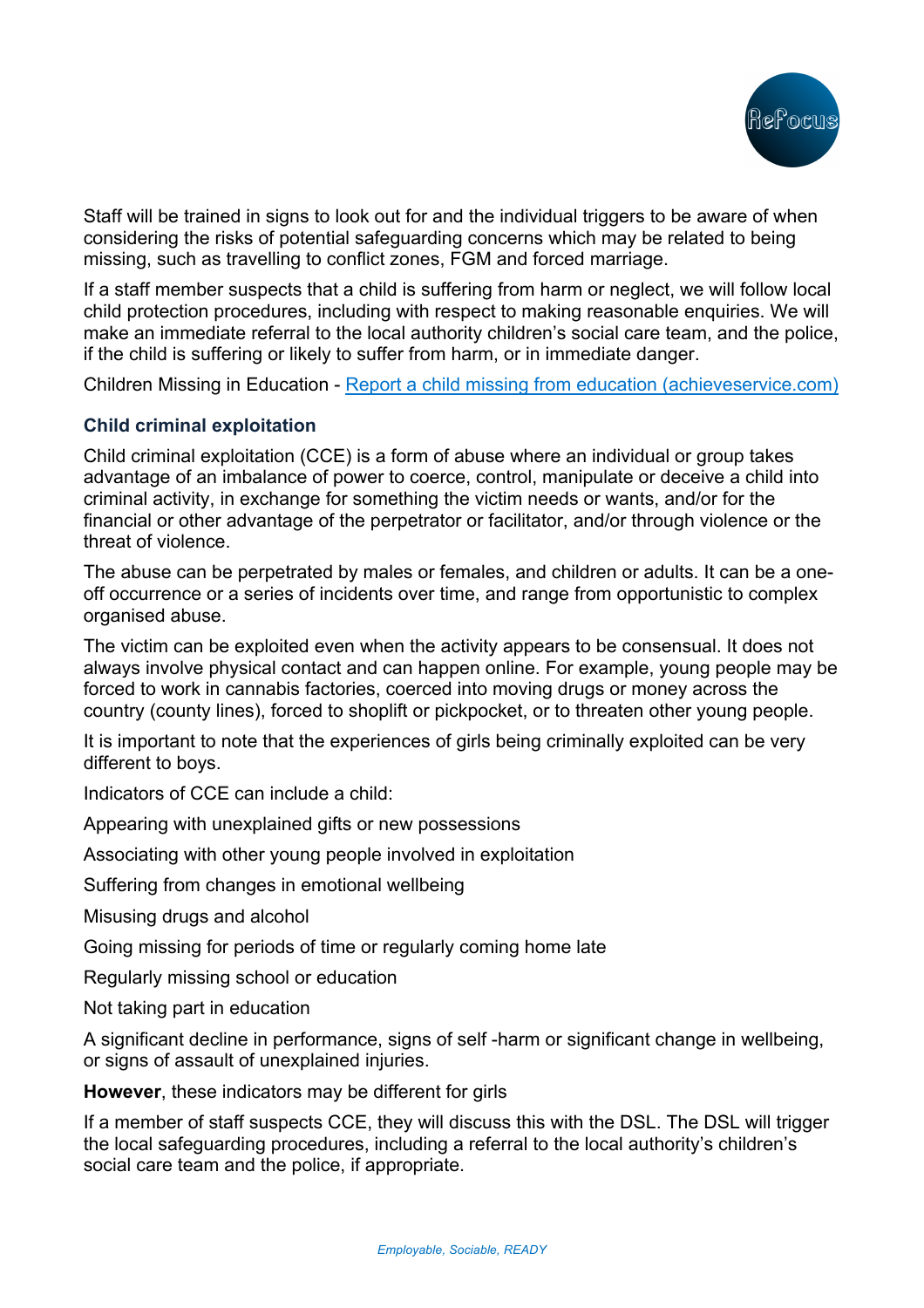

Staff will be trained in signs to look out for and the individual triggers to be aware of when considering the risks of potential safeguarding concerns which may be related to being missing, such as travelling to conflict zones, FGM and forced marriage.

If a staff member suspects that a child is suffering from harm or neglect, we will follow local child protection procedures, including with respect to making reasonable enquiries. We will make an immediate referral to the local authority children's social care team, and the police, if the child is suffering or likely to suffer from harm, or in immediate danger.

Children Missing in Education - Report a child missing from education (achieveservice.com)

## **Child criminal exploitation**

Child criminal exploitation (CCE) is a form of abuse where an individual or group takes advantage of an imbalance of power to coerce, control, manipulate or deceive a child into criminal activity, in exchange for something the victim needs or wants, and/or for the financial or other advantage of the perpetrator or facilitator, and/or through violence or the threat of violence.

The abuse can be perpetrated by males or females, and children or adults. It can be a oneoff occurrence or a series of incidents over time, and range from opportunistic to complex organised abuse.

The victim can be exploited even when the activity appears to be consensual. It does not always involve physical contact and can happen online. For example, young people may be forced to work in cannabis factories, coerced into moving drugs or money across the country (county lines), forced to shoplift or pickpocket, or to threaten other young people.

It is important to note that the experiences of girls being criminally exploited can be very different to boys.

Indicators of CCE can include a child:

Appearing with unexplained gifts or new possessions

Associating with other young people involved in exploitation

Suffering from changes in emotional wellbeing

Misusing drugs and alcohol

Going missing for periods of time or regularly coming home late

Regularly missing school or education

Not taking part in education

A significant decline in performance, signs of self -harm or significant change in wellbeing, or signs of assault of unexplained injuries.

**However**, these indicators may be different for girls

If a member of staff suspects CCE, they will discuss this with the DSL. The DSL will trigger the local safeguarding procedures, including a referral to the local authority's children's social care team and the police, if appropriate.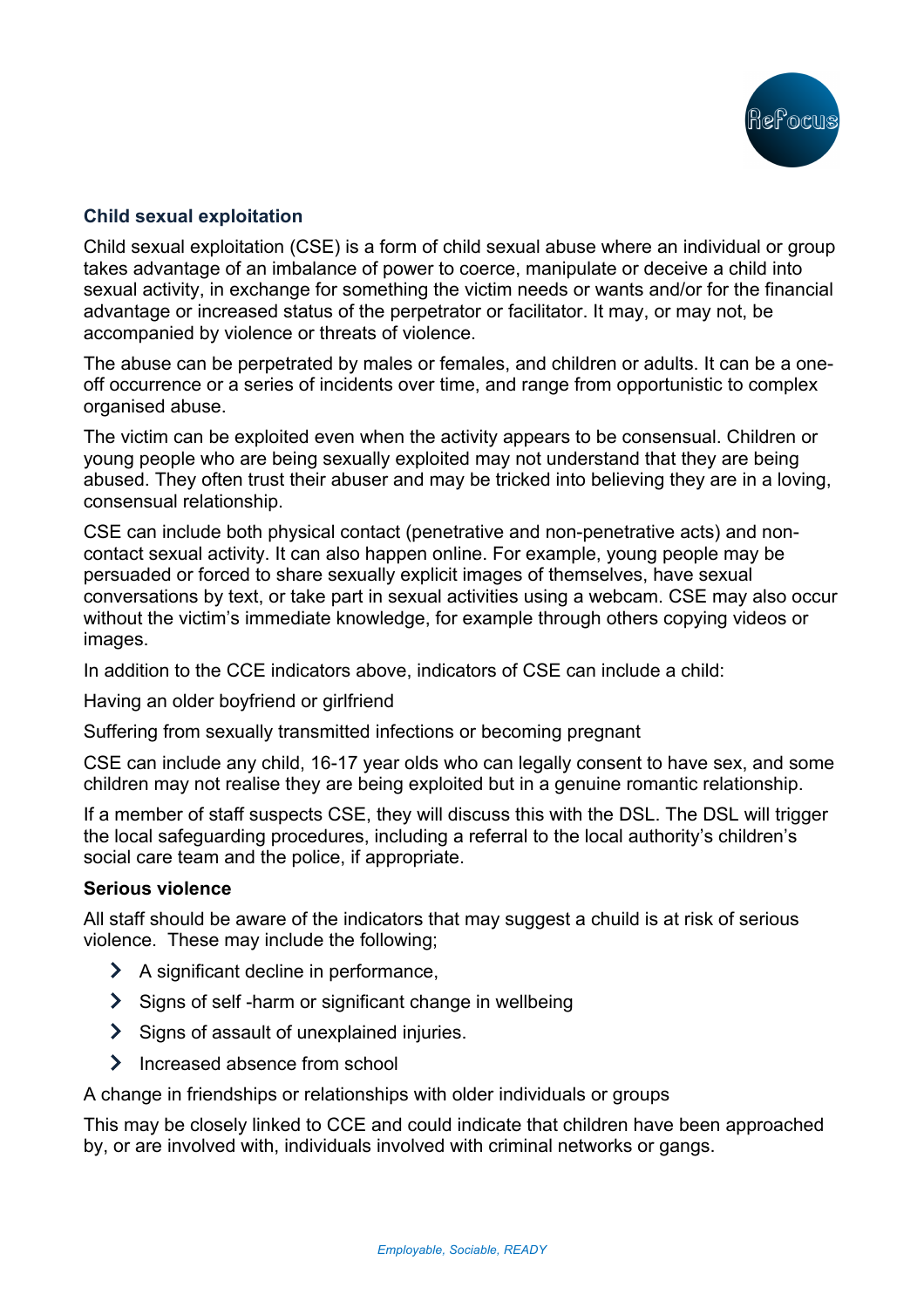# **Child sexual exploitation**

Child sexual exploitation (CSE) is a form of child sexual abuse where an individual or group takes advantage of an imbalance of power to coerce, manipulate or deceive a child into sexual activity, in exchange for something the victim needs or wants and/or for the financial advantage or increased status of the perpetrator or facilitator. It may, or may not, be accompanied by violence or threats of violence.

The abuse can be perpetrated by males or females, and children or adults. It can be a oneoff occurrence or a series of incidents over time, and range from opportunistic to complex organised abuse.

The victim can be exploited even when the activity appears to be consensual. Children or young people who are being sexually exploited may not understand that they are being abused. They often trust their abuser and may be tricked into believing they are in a loving, consensual relationship.

CSE can include both physical contact (penetrative and non-penetrative acts) and noncontact sexual activity. It can also happen online. For example, young people may be persuaded or forced to share sexually explicit images of themselves, have sexual conversations by text, or take part in sexual activities using a webcam. CSE may also occur without the victim's immediate knowledge, for example through others copying videos or images.

In addition to the CCE indicators above, indicators of CSE can include a child:

Having an older boyfriend or girlfriend

Suffering from sexually transmitted infections or becoming pregnant

CSE can include any child, 16-17 year olds who can legally consent to have sex, and some children may not realise they are being exploited but in a genuine romantic relationship.

If a member of staff suspects CSE, they will discuss this with the DSL. The DSL will trigger the local safeguarding procedures, including a referral to the local authority's children's social care team and the police, if appropriate.

### **Serious violence**

All staff should be aware of the indicators that may suggest a chuild is at risk of serious violence. These may include the following;

- $\blacktriangleright$  A significant decline in performance.
- Signs of self-harm or significant change in wellbeing
- Signs of assault of unexplained injuries.
- $\lambda$  Increased absence from school

A change in friendships or relationships with older individuals or groups

This may be closely linked to CCE and could indicate that children have been approached by, or are involved with, individuals involved with criminal networks or gangs.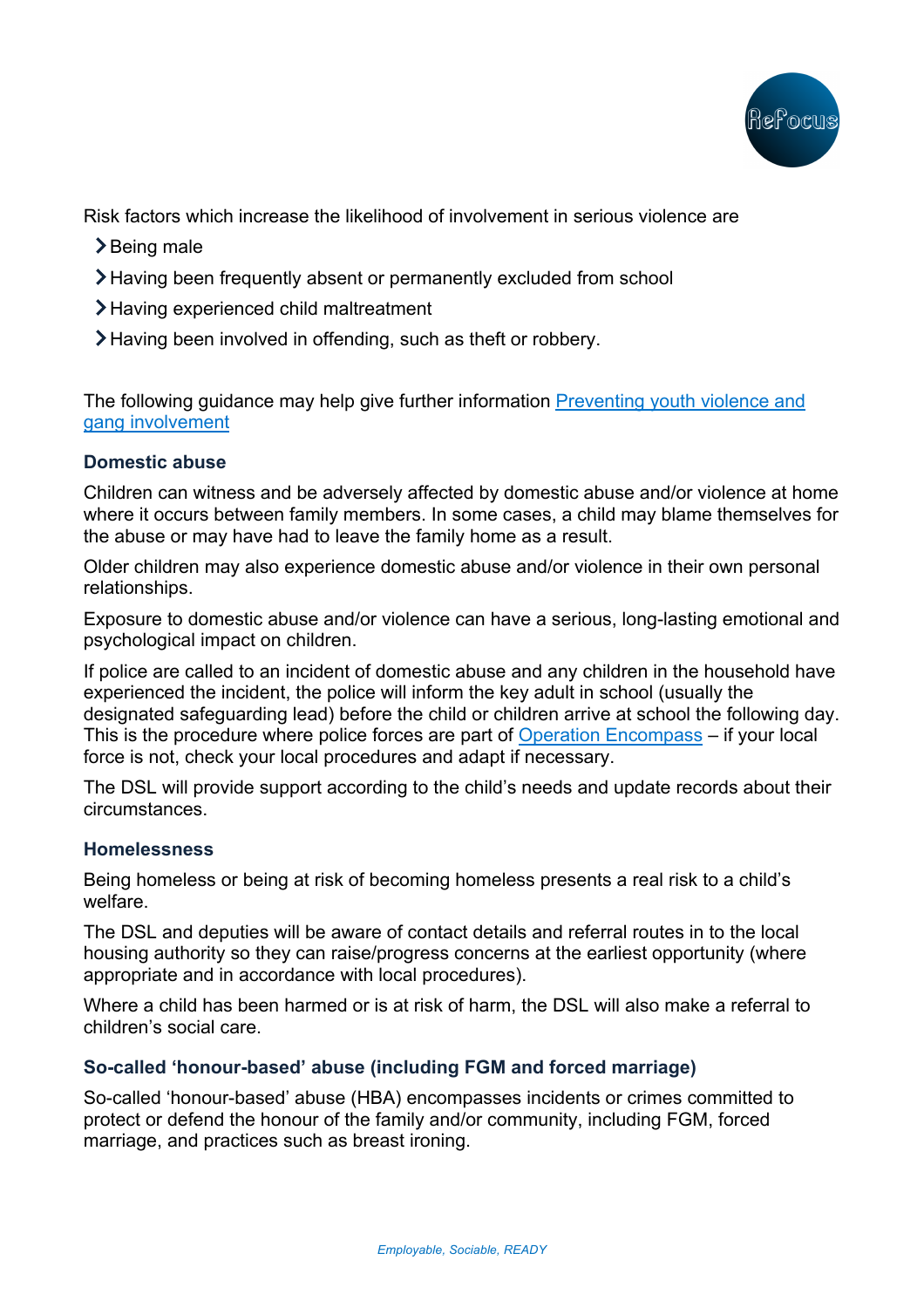

Risk factors which increase the likelihood of involvement in serious violence are

- >Being male
- Having been frequently absent or permanently excluded from school
- Having experienced child maltreatment
- Having been involved in offending, such as theft or robbery.

The following guidance may help give further information Preventing youth violence and gang involvement

## **Domestic abuse**

Children can witness and be adversely affected by domestic abuse and/or violence at home where it occurs between family members. In some cases, a child may blame themselves for the abuse or may have had to leave the family home as a result.

Older children may also experience domestic abuse and/or violence in their own personal relationships.

Exposure to domestic abuse and/or violence can have a serious, long-lasting emotional and psychological impact on children.

If police are called to an incident of domestic abuse and any children in the household have experienced the incident, the police will inform the key adult in school (usually the designated safeguarding lead) before the child or children arrive at school the following day. This is the procedure where police forces are part of Operation Encompass – if your local force is not, check your local procedures and adapt if necessary.

The DSL will provide support according to the child's needs and update records about their circumstances.

## **Homelessness**

Being homeless or being at risk of becoming homeless presents a real risk to a child's welfare.

The DSL and deputies will be aware of contact details and referral routes in to the local housing authority so they can raise/progress concerns at the earliest opportunity (where appropriate and in accordance with local procedures).

Where a child has been harmed or is at risk of harm, the DSL will also make a referral to children's social care.

# **So-called 'honour-based' abuse (including FGM and forced marriage)**

So-called 'honour-based' abuse (HBA) encompasses incidents or crimes committed to protect or defend the honour of the family and/or community, including FGM, forced marriage, and practices such as breast ironing.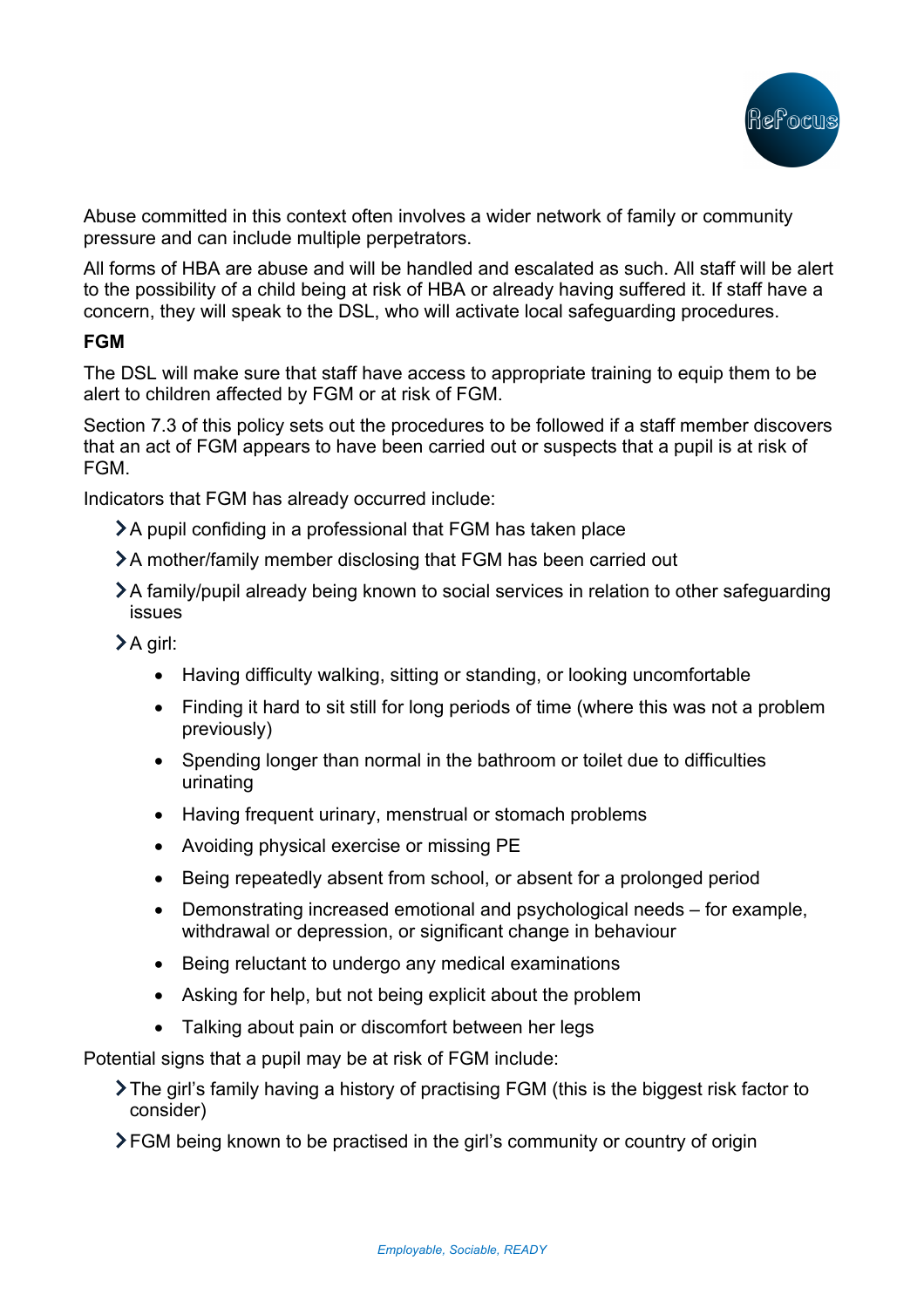

Abuse committed in this context often involves a wider network of family or community pressure and can include multiple perpetrators.

All forms of HBA are abuse and will be handled and escalated as such. All staff will be alert to the possibility of a child being at risk of HBA or already having suffered it. If staff have a concern, they will speak to the DSL, who will activate local safeguarding procedures.

## **FGM**

The DSL will make sure that staff have access to appropriate training to equip them to be alert to children affected by FGM or at risk of FGM.

Section 7.3 of this policy sets out the procedures to be followed if a staff member discovers that an act of FGM appears to have been carried out or suspects that a pupil is at risk of FGM.

Indicators that FGM has already occurred include:

A pupil confiding in a professional that FGM has taken place

A mother/family member disclosing that FGM has been carried out

A family/pupil already being known to social services in relation to other safeguarding issues

 $\sum A$  girl:

- Having difficulty walking, sitting or standing, or looking uncomfortable
- Finding it hard to sit still for long periods of time (where this was not a problem previously)
- Spending longer than normal in the bathroom or toilet due to difficulties urinating
- Having frequent urinary, menstrual or stomach problems
- Avoiding physical exercise or missing PE
- Being repeatedly absent from school, or absent for a prolonged period
- Demonstrating increased emotional and psychological needs for example, withdrawal or depression, or significant change in behaviour
- Being reluctant to undergo any medical examinations
- Asking for help, but not being explicit about the problem
- Talking about pain or discomfort between her legs

Potential signs that a pupil may be at risk of FGM include:

 $\blacktriangleright$  The girl's family having a history of practising FGM (this is the biggest risk factor to consider)

**FGM being known to be practised in the girl's community or country of origin**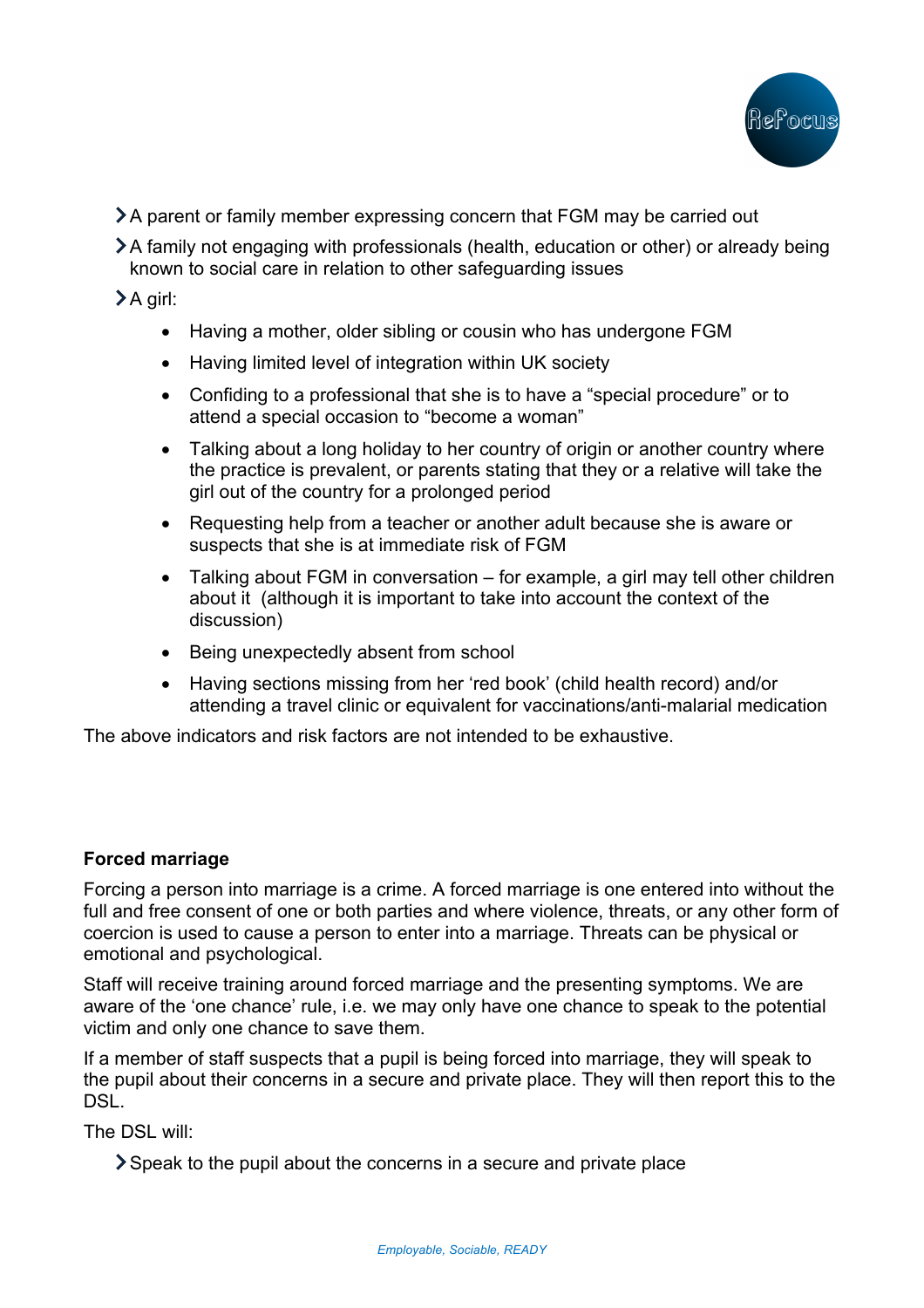

- A parent or family member expressing concern that FGM may be carried out
- A family not engaging with professionals (health, education or other) or already being known to social care in relation to other safeguarding issues

A girl:

- Having a mother, older sibling or cousin who has undergone FGM
- Having limited level of integration within UK society
- Confiding to a professional that she is to have a "special procedure" or to attend a special occasion to "become a woman"
- Talking about a long holiday to her country of origin or another country where the practice is prevalent, or parents stating that they or a relative will take the girl out of the country for a prolonged period
- Requesting help from a teacher or another adult because she is aware or suspects that she is at immediate risk of FGM
- Talking about FGM in conversation for example, a girl may tell other children about it (although it is important to take into account the context of the discussion)
- Being unexpectedly absent from school
- Having sections missing from her 'red book' (child health record) and/or attending a travel clinic or equivalent for vaccinations/anti-malarial medication

The above indicators and risk factors are not intended to be exhaustive.

## **Forced marriage**

Forcing a person into marriage is a crime. A forced marriage is one entered into without the full and free consent of one or both parties and where violence, threats, or any other form of coercion is used to cause a person to enter into a marriage. Threats can be physical or emotional and psychological.

Staff will receive training around forced marriage and the presenting symptoms. We are aware of the 'one chance' rule, i.e. we may only have one chance to speak to the potential victim and only one chance to save them.

If a member of staff suspects that a pupil is being forced into marriage, they will speak to the pupil about their concerns in a secure and private place. They will then report this to the **DSL.** 

The DSL will:

Speak to the pupil about the concerns in a secure and private place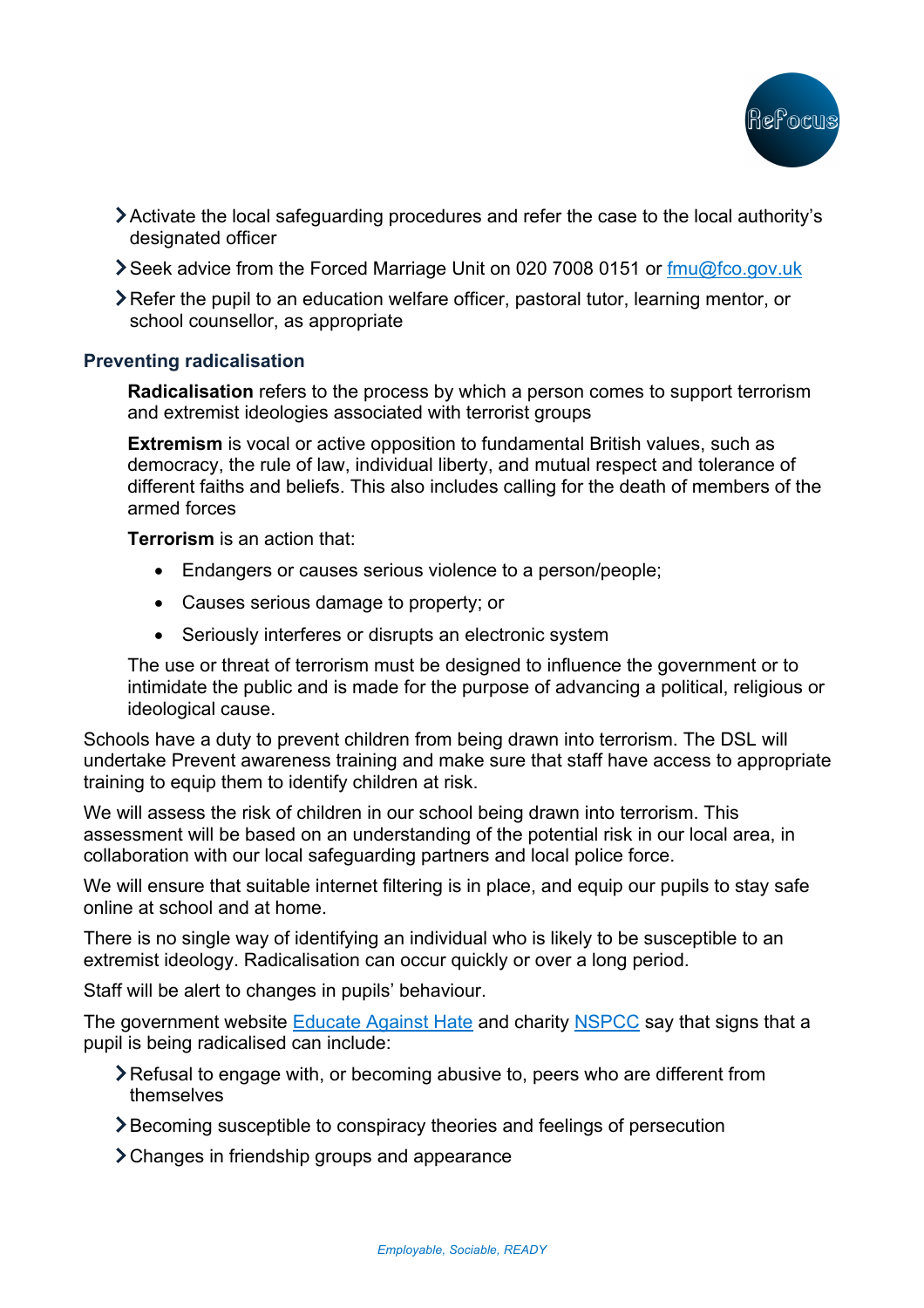

- Activate the local safeguarding procedures and refer the case to the local authority's designated officer
- Seek advice from the Forced Marriage Unit on 020 7008 0151 or fmu@fco.gov.uk
- Refer the pupil to an education welfare officer, pastoral tutor, learning mentor, or school counsellor, as appropriate

### **Preventing radicalisation**

**Radicalisation** refers to the process by which a person comes to support terrorism and extremist ideologies associated with terrorist groups

**Extremism** is vocal or active opposition to fundamental British values, such as democracy, the rule of law, individual liberty, and mutual respect and tolerance of different faiths and beliefs. This also includes calling for the death of members of the armed forces

**Terrorism** is an action that:

- Endangers or causes serious violence to a person/people;
- Causes serious damage to property; or
- Seriously interferes or disrupts an electronic system

The use or threat of terrorism must be designed to influence the government or to intimidate the public and is made for the purpose of advancing a political, religious or ideological cause.

Schools have a duty to prevent children from being drawn into terrorism. The DSL will undertake Prevent awareness training and make sure that staff have access to appropriate training to equip them to identify children at risk.

We will assess the risk of children in our school being drawn into terrorism. This assessment will be based on an understanding of the potential risk in our local area, in collaboration with our local safeguarding partners and local police force.

We will ensure that suitable internet filtering is in place, and equip our pupils to stay safe online at school and at home.

There is no single way of identifying an individual who is likely to be susceptible to an extremist ideology. Radicalisation can occur quickly or over a long period.

Staff will be alert to changes in pupils' behaviour.

The government website Educate Against Hate and charity NSPCC say that signs that a pupil is being radicalised can include:

- Refusal to engage with, or becoming abusive to, peers who are different from themselves
- Becoming susceptible to conspiracy theories and feelings of persecution
- Changes in friendship groups and appearance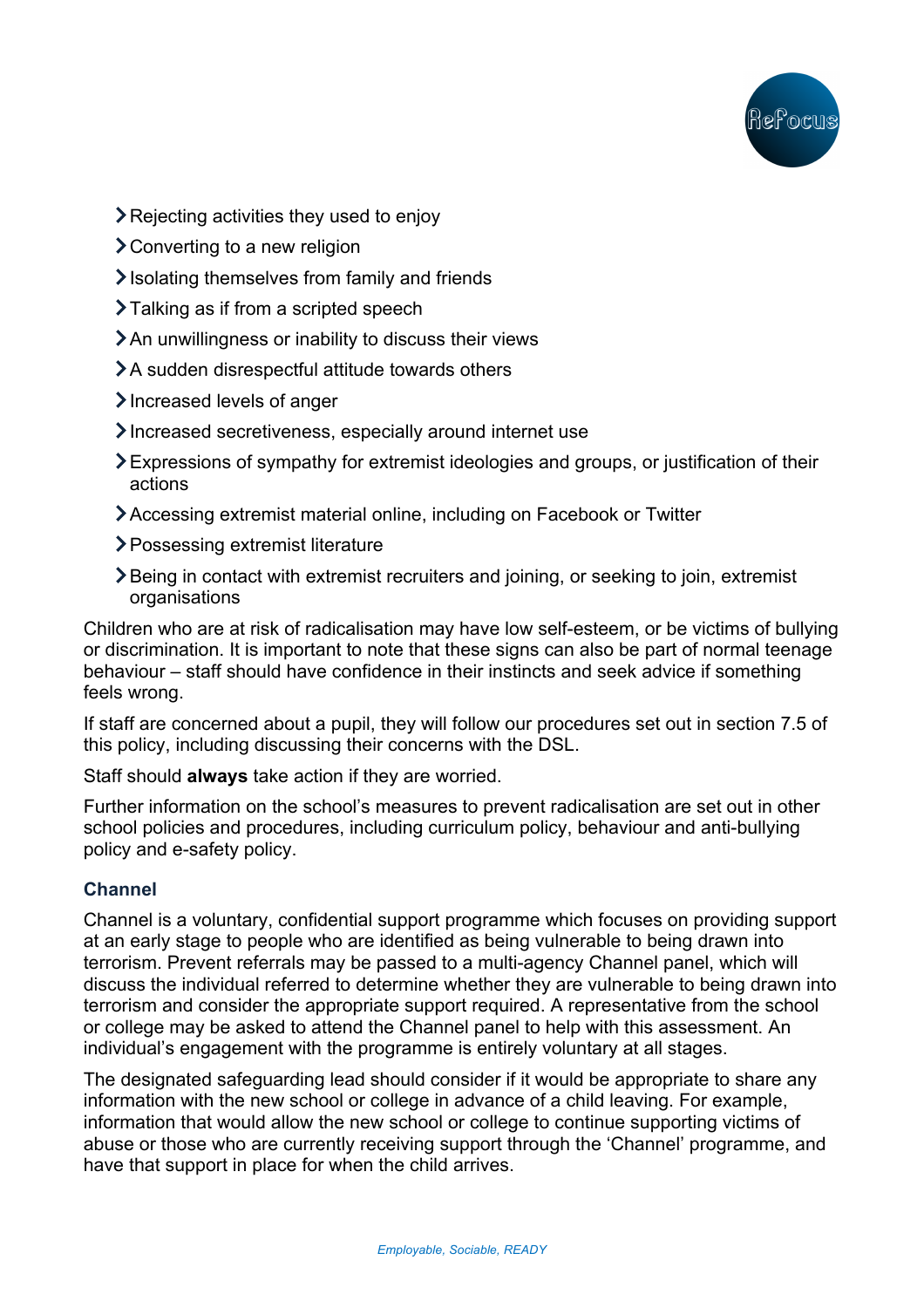

- **>** Rejecting activities they used to enjoy
- Converting to a new religion
- $\blacktriangleright$  Isolating themselves from family and friends
- >Talking as if from a scripted speech
- An unwillingness or inability to discuss their views
- >A sudden disrespectful attitude towards others
- Increased levels of anger
- Increased secretiveness, especially around internet use
- Expressions of sympathy for extremist ideologies and groups, or justification of their actions
- Accessing extremist material online, including on Facebook or Twitter
- Possessing extremist literature
- Being in contact with extremist recruiters and joining, or seeking to join, extremist organisations

Children who are at risk of radicalisation may have low self-esteem, or be victims of bullying or discrimination. It is important to note that these signs can also be part of normal teenage behaviour – staff should have confidence in their instincts and seek advice if something feels wrong.

If staff are concerned about a pupil, they will follow our procedures set out in section 7.5 of this policy, including discussing their concerns with the DSL.

Staff should **always** take action if they are worried.

Further information on the school's measures to prevent radicalisation are set out in other school policies and procedures, including curriculum policy, behaviour and anti-bullying policy and e-safety policy.

# **Channel**

Channel is a voluntary, confidential support programme which focuses on providing support at an early stage to people who are identified as being vulnerable to being drawn into terrorism. Prevent referrals may be passed to a multi-agency Channel panel, which will discuss the individual referred to determine whether they are vulnerable to being drawn into terrorism and consider the appropriate support required. A representative from the school or college may be asked to attend the Channel panel to help with this assessment. An individual's engagement with the programme is entirely voluntary at all stages.

The designated safeguarding lead should consider if it would be appropriate to share any information with the new school or college in advance of a child leaving. For example, information that would allow the new school or college to continue supporting victims of abuse or those who are currently receiving support through the 'Channel' programme, and have that support in place for when the child arrives.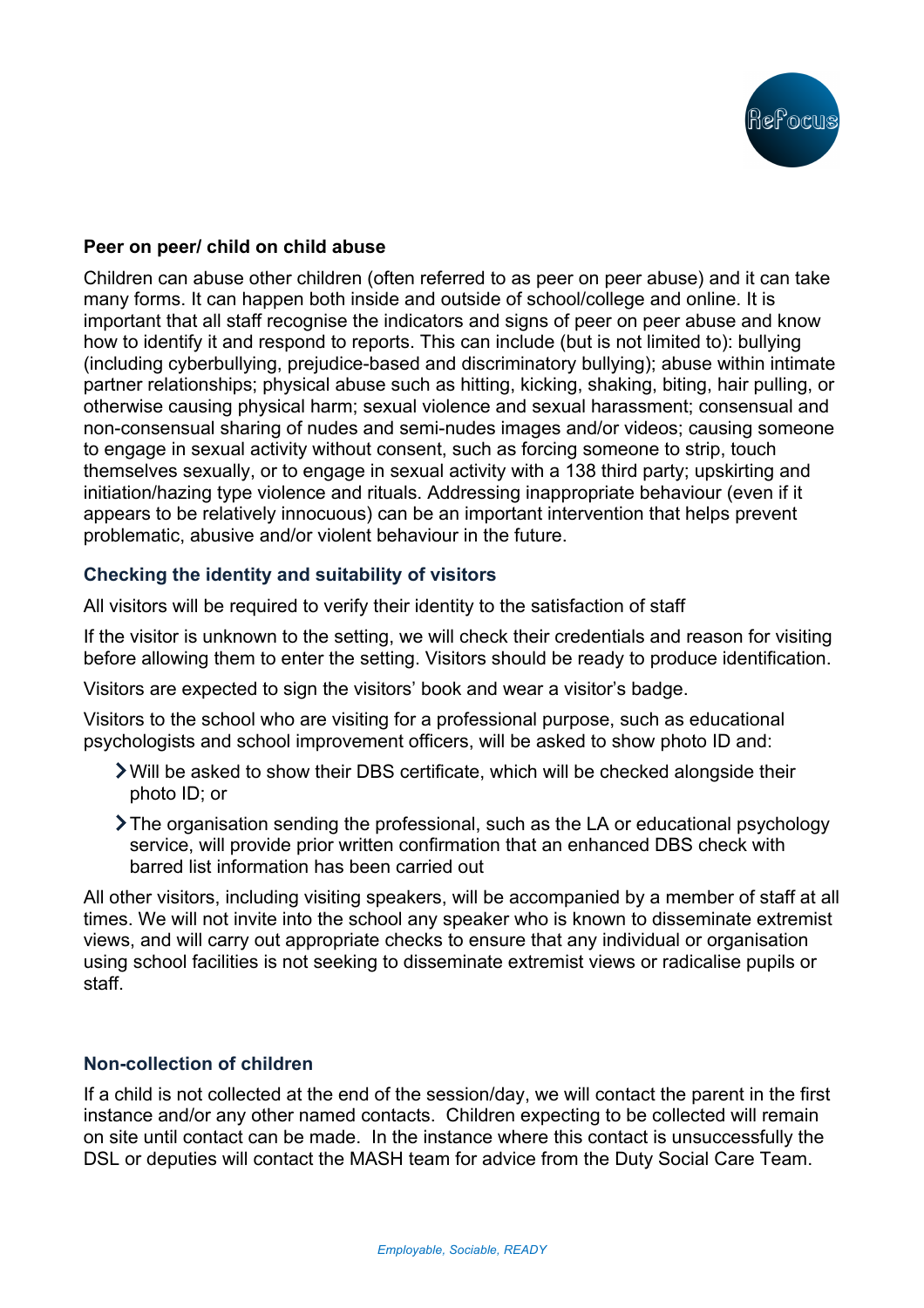

### **Peer on peer/ child on child abuse**

Children can abuse other children (often referred to as peer on peer abuse) and it can take many forms. It can happen both inside and outside of school/college and online. It is important that all staff recognise the indicators and signs of peer on peer abuse and know how to identify it and respond to reports. This can include (but is not limited to): bullying (including cyberbullying, prejudice-based and discriminatory bullying); abuse within intimate partner relationships; physical abuse such as hitting, kicking, shaking, biting, hair pulling, or otherwise causing physical harm; sexual violence and sexual harassment; consensual and non-consensual sharing of nudes and semi-nudes images and/or videos; causing someone to engage in sexual activity without consent, such as forcing someone to strip, touch themselves sexually, or to engage in sexual activity with a 138 third party; upskirting and initiation/hazing type violence and rituals. Addressing inappropriate behaviour (even if it appears to be relatively innocuous) can be an important intervention that helps prevent problematic, abusive and/or violent behaviour in the future.

## **Checking the identity and suitability of visitors**

All visitors will be required to verify their identity to the satisfaction of staff

If the visitor is unknown to the setting, we will check their credentials and reason for visiting before allowing them to enter the setting. Visitors should be ready to produce identification.

Visitors are expected to sign the visitors' book and wear a visitor's badge.

Visitors to the school who are visiting for a professional purpose, such as educational psychologists and school improvement officers, will be asked to show photo ID and:

- Will be asked to show their DBS certificate, which will be checked alongside their photo ID; or
- The organisation sending the professional, such as the LA or educational psychology service. will provide prior written confirmation that an enhanced DBS check with barred list information has been carried out

All other visitors, including visiting speakers, will be accompanied by a member of staff at all times. We will not invite into the school any speaker who is known to disseminate extremist views, and will carry out appropriate checks to ensure that any individual or organisation using school facilities is not seeking to disseminate extremist views or radicalise pupils or staff.

## **Non-collection of children**

If a child is not collected at the end of the session/day, we will contact the parent in the first instance and/or any other named contacts. Children expecting to be collected will remain on site until contact can be made. In the instance where this contact is unsuccessfully the DSL or deputies will contact the MASH team for advice from the Duty Social Care Team.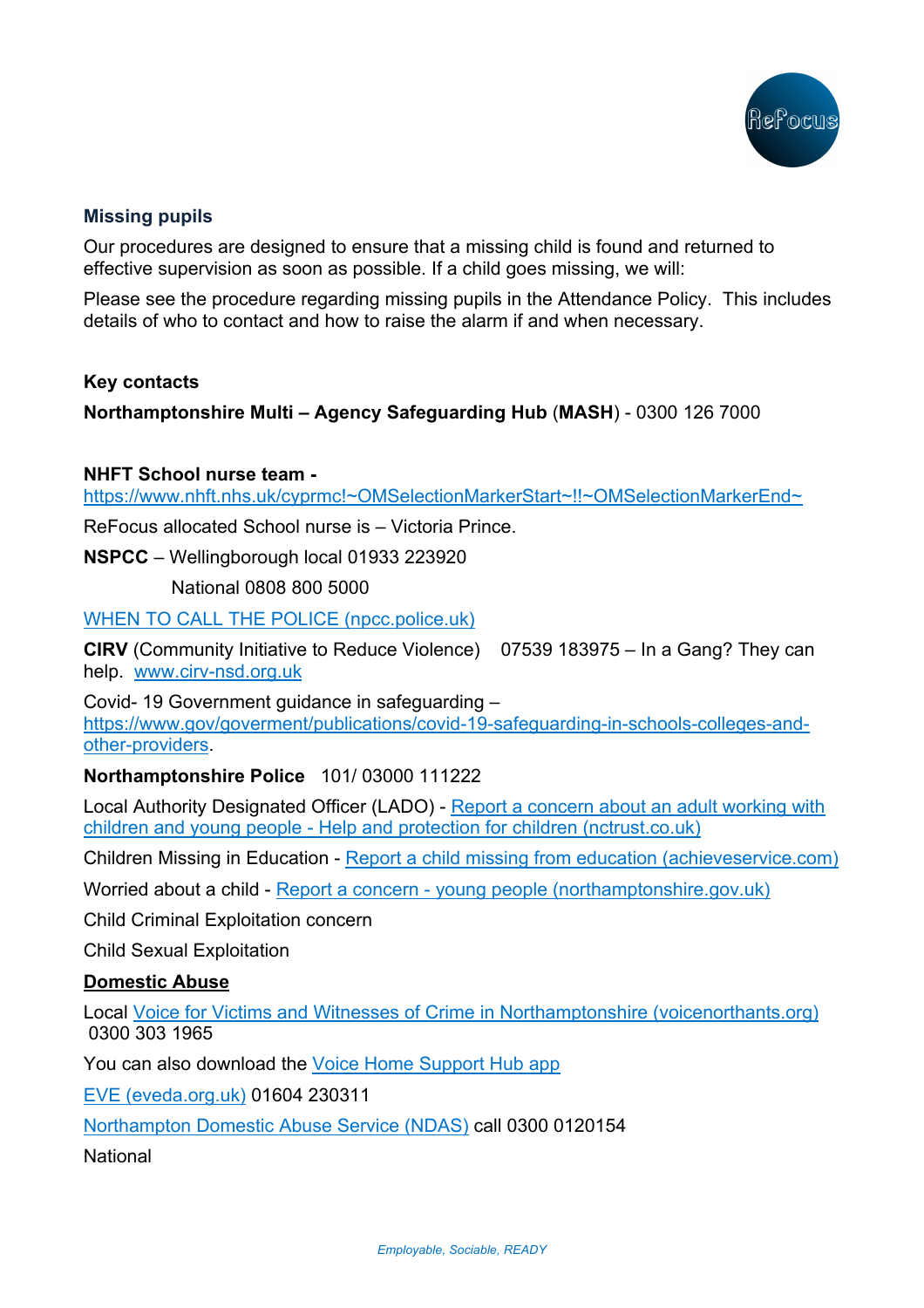

## **Missing pupils**

Our procedures are designed to ensure that a missing child is found and returned to effective supervision as soon as possible. If a child goes missing, we will:

Please see the procedure regarding missing pupils in the Attendance Policy. This includes details of who to contact and how to raise the alarm if and when necessary.

### **Key contacts**

**Northamptonshire Multi – Agency Safeguarding Hub** (**MASH**) - 0300 126 7000

### **NHFT School nurse team -**

https://www.nhft.nhs.uk/cyprmc!~OMSelectionMarkerStart~!!~OMSelectionMarkerEnd~

ReFocus allocated School nurse is – Victoria Prince.

**NSPCC** – Wellingborough local 01933 223920

National 0808 800 5000

WHEN TO CALL THE POLICE (npcc.police.uk)

**CIRV** (Community Initiative to Reduce Violence) 07539 183975 – In a Gang? They can help. www.cirv-nsd.org.uk

Covid- 19 Government guidance in safeguarding – https://www.gov/goverment/publications/covid-19-safeguarding-in-schools-colleges-andother-providers.

## **Northamptonshire Police** 101/ 03000 111222

Local Authority Designated Officer (LADO) - Report a concern about an adult working with children and young people - Help and protection for children (nctrust.co.uk)

Children Missing in Education - Report a child missing from education (achieveservice.com)

Worried about a child - Report a concern - young people (northamptonshire.gov.uk)

Child Criminal Exploitation concern

Child Sexual Exploitation

## **Domestic Abuse**

Local Voice for Victims and Witnesses of Crime in Northamptonshire (voicenorthants.org) 0300 303 1965

You can also download the Voice Home Support Hub app

EVE (eveda.org.uk) 01604 230311

Northampton Domestic Abuse Service (NDAS) call 0300 0120154

**National**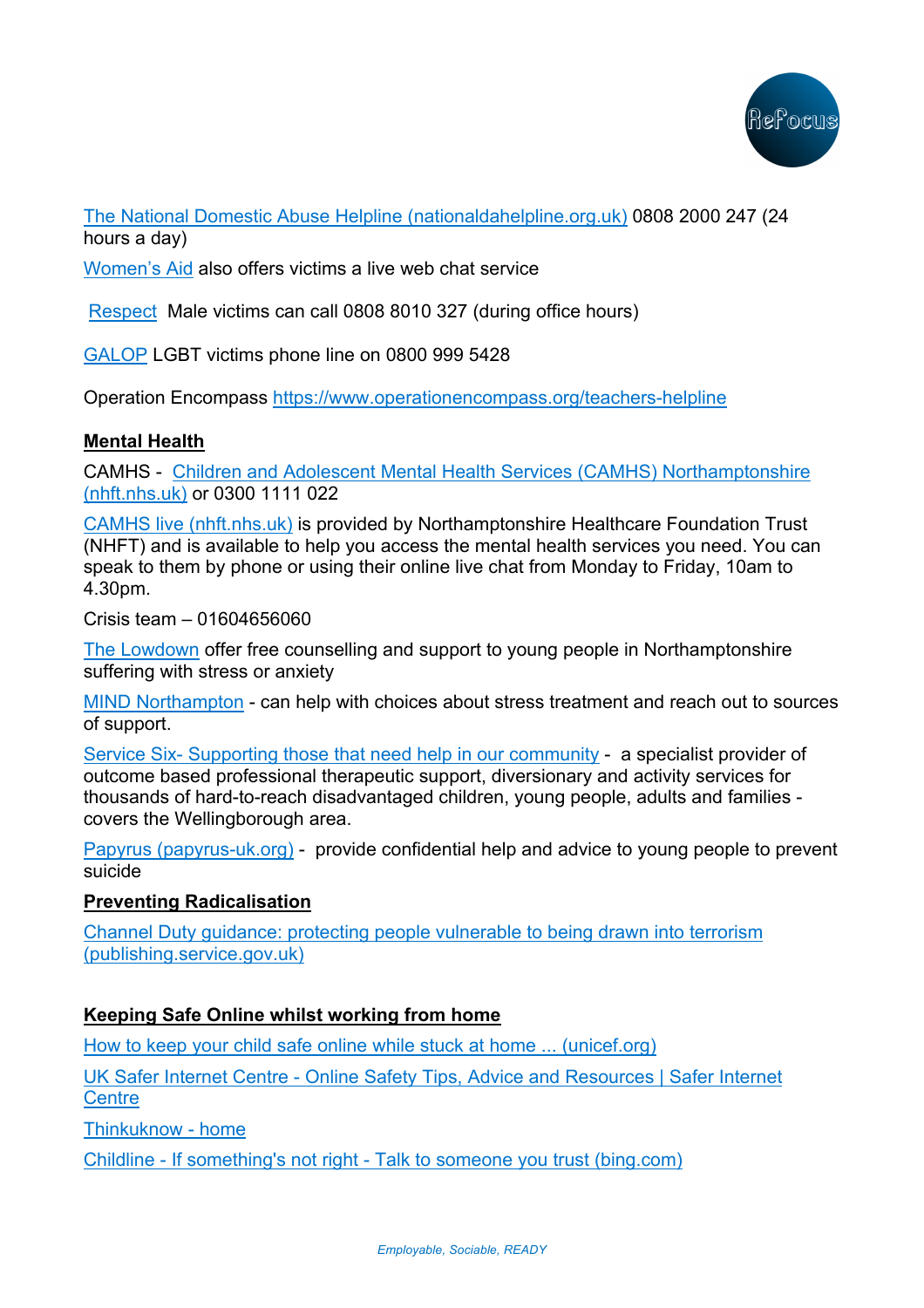

The National Domestic Abuse Helpline (nationaldahelpline.org.uk) 0808 2000 247 (24 hours a day)

Women's Aid also offers victims a live web chat service

Respect Male victims can call 0808 8010 327 (during office hours)

GALOP LGBT victims phone line on 0800 999 5428

Operation Encompass https://www.operationencompass.org/teachers-helpline

# **Mental Health**

CAMHS - Children and Adolescent Mental Health Services (CAMHS) Northamptonshire (nhft.nhs.uk) or 0300 1111 022

CAMHS live (nhft.nhs.uk) is provided by Northamptonshire Healthcare Foundation Trust (NHFT) and is available to help you access the mental health services you need. You can speak to them by phone or using their online live chat from Monday to Friday, 10am to 4.30pm.

Crisis team – 01604656060

The Lowdown offer free counselling and support to young people in Northamptonshire suffering with stress or anxiety

MIND Northampton - can help with choices about stress treatment and reach out to sources of support.

Service Six- Supporting those that need help in our community - a specialist provider of outcome based professional therapeutic support, diversionary and activity services for thousands of hard-to-reach disadvantaged children, young people, adults and families covers the Wellingborough area.

Papyrus (papyrus-uk.org) - provide confidential help and advice to young people to prevent suicide

## **Preventing Radicalisation**

Channel Duty guidance: protecting people vulnerable to being drawn into terrorism (publishing.service.gov.uk)

# **Keeping Safe Online whilst working from home**

How to keep your child safe online while stuck at home ... (unicef.org)

UK Safer Internet Centre - Online Safety Tips, Advice and Resources | Safer Internet **Centre** 

Thinkuknow - home

Childline - If something's not right - Talk to someone you trust (bing.com)